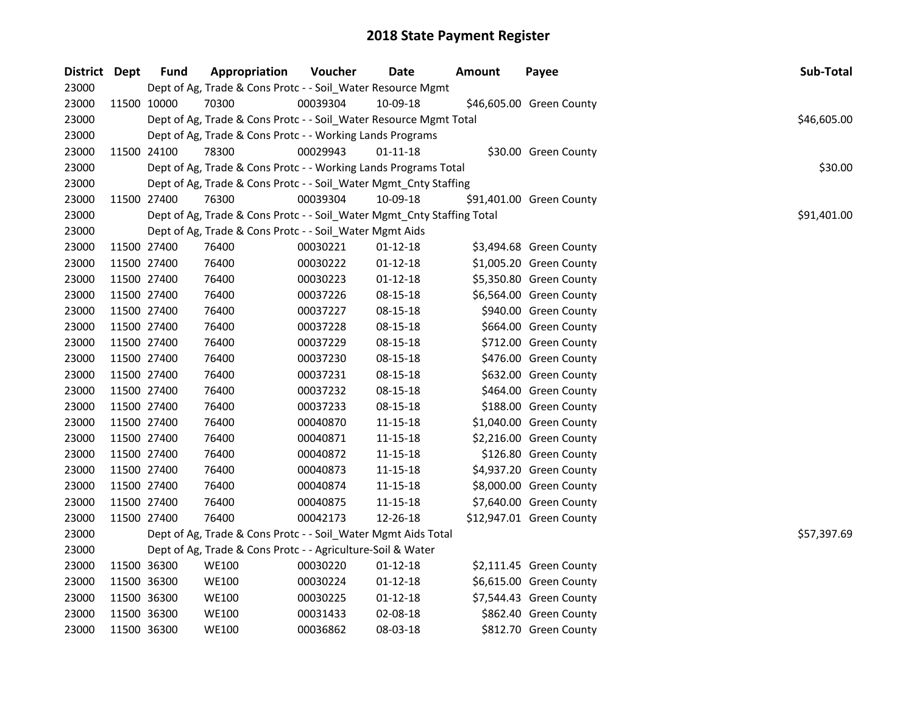| District Dept |             | <b>Fund</b> | Appropriation                                                          | Voucher  | <b>Date</b>    | <b>Amount</b> | Payee                    | Sub-Total   |
|---------------|-------------|-------------|------------------------------------------------------------------------|----------|----------------|---------------|--------------------------|-------------|
| 23000         |             |             | Dept of Ag, Trade & Cons Protc - - Soil_Water Resource Mgmt            |          |                |               |                          |             |
| 23000         | 11500 10000 |             | 70300                                                                  | 00039304 | 10-09-18       |               | \$46,605.00 Green County |             |
| 23000         |             |             | Dept of Ag, Trade & Cons Protc - - Soil_Water Resource Mgmt Total      |          |                |               |                          | \$46,605.00 |
| 23000         |             |             | Dept of Ag, Trade & Cons Protc - - Working Lands Programs              |          |                |               |                          |             |
| 23000         | 11500 24100 |             | 78300                                                                  | 00029943 | 01-11-18       |               | \$30.00 Green County     |             |
| 23000         |             |             | Dept of Ag, Trade & Cons Protc - - Working Lands Programs Total        |          |                |               |                          | \$30.00     |
| 23000         |             |             | Dept of Ag, Trade & Cons Protc - - Soil_Water Mgmt_Cnty Staffing       |          |                |               |                          |             |
| 23000         | 11500 27400 |             | 76300                                                                  | 00039304 | 10-09-18       |               | \$91,401.00 Green County |             |
| 23000         |             |             | Dept of Ag, Trade & Cons Protc - - Soil_Water Mgmt_Cnty Staffing Total |          |                |               |                          | \$91,401.00 |
| 23000         |             |             | Dept of Ag, Trade & Cons Protc - - Soil_Water Mgmt Aids                |          |                |               |                          |             |
| 23000         | 11500 27400 |             | 76400                                                                  | 00030221 | $01-12-18$     |               | \$3,494.68 Green County  |             |
| 23000         | 11500 27400 |             | 76400                                                                  | 00030222 | 01-12-18       |               | \$1,005.20 Green County  |             |
| 23000         | 11500 27400 |             | 76400                                                                  | 00030223 | $01 - 12 - 18$ |               | \$5,350.80 Green County  |             |
| 23000         | 11500 27400 |             | 76400                                                                  | 00037226 | 08-15-18       |               | \$6,564.00 Green County  |             |
| 23000         | 11500 27400 |             | 76400                                                                  | 00037227 | 08-15-18       |               | \$940.00 Green County    |             |
| 23000         | 11500 27400 |             | 76400                                                                  | 00037228 | 08-15-18       |               | \$664.00 Green County    |             |
| 23000         | 11500 27400 |             | 76400                                                                  | 00037229 | 08-15-18       |               | \$712.00 Green County    |             |
| 23000         | 11500 27400 |             | 76400                                                                  | 00037230 | 08-15-18       |               | \$476.00 Green County    |             |
| 23000         | 11500 27400 |             | 76400                                                                  | 00037231 | 08-15-18       |               | \$632.00 Green County    |             |
| 23000         | 11500 27400 |             | 76400                                                                  | 00037232 | 08-15-18       |               | \$464.00 Green County    |             |
| 23000         | 11500 27400 |             | 76400                                                                  | 00037233 | 08-15-18       |               | \$188.00 Green County    |             |
| 23000         | 11500 27400 |             | 76400                                                                  | 00040870 | $11 - 15 - 18$ |               | \$1,040.00 Green County  |             |
| 23000         | 11500 27400 |             | 76400                                                                  | 00040871 | $11 - 15 - 18$ |               | \$2,216.00 Green County  |             |
| 23000         | 11500 27400 |             | 76400                                                                  | 00040872 | $11 - 15 - 18$ |               | \$126.80 Green County    |             |
| 23000         | 11500 27400 |             | 76400                                                                  | 00040873 | $11 - 15 - 18$ |               | \$4,937.20 Green County  |             |
| 23000         | 11500 27400 |             | 76400                                                                  | 00040874 | 11-15-18       |               | \$8,000.00 Green County  |             |
| 23000         | 11500 27400 |             | 76400                                                                  | 00040875 | 11-15-18       |               | \$7,640.00 Green County  |             |
| 23000         | 11500 27400 |             | 76400                                                                  | 00042173 | 12-26-18       |               | \$12,947.01 Green County |             |
| 23000         |             |             | Dept of Ag, Trade & Cons Protc - - Soil_Water Mgmt Aids Total          |          |                |               |                          | \$57,397.69 |
| 23000         |             |             | Dept of Ag, Trade & Cons Protc - - Agriculture-Soil & Water            |          |                |               |                          |             |
| 23000         | 11500 36300 |             | <b>WE100</b>                                                           | 00030220 | $01 - 12 - 18$ |               | \$2,111.45 Green County  |             |
| 23000         | 11500 36300 |             | <b>WE100</b>                                                           | 00030224 | $01 - 12 - 18$ |               | \$6,615.00 Green County  |             |
| 23000         | 11500 36300 |             | <b>WE100</b>                                                           | 00030225 | $01 - 12 - 18$ |               | \$7,544.43 Green County  |             |
| 23000         | 11500 36300 |             | <b>WE100</b>                                                           | 00031433 | 02-08-18       |               | \$862.40 Green County    |             |
| 23000         | 11500 36300 |             | <b>WE100</b>                                                           | 00036862 | 08-03-18       |               | \$812.70 Green County    |             |
|               |             |             |                                                                        |          |                |               |                          |             |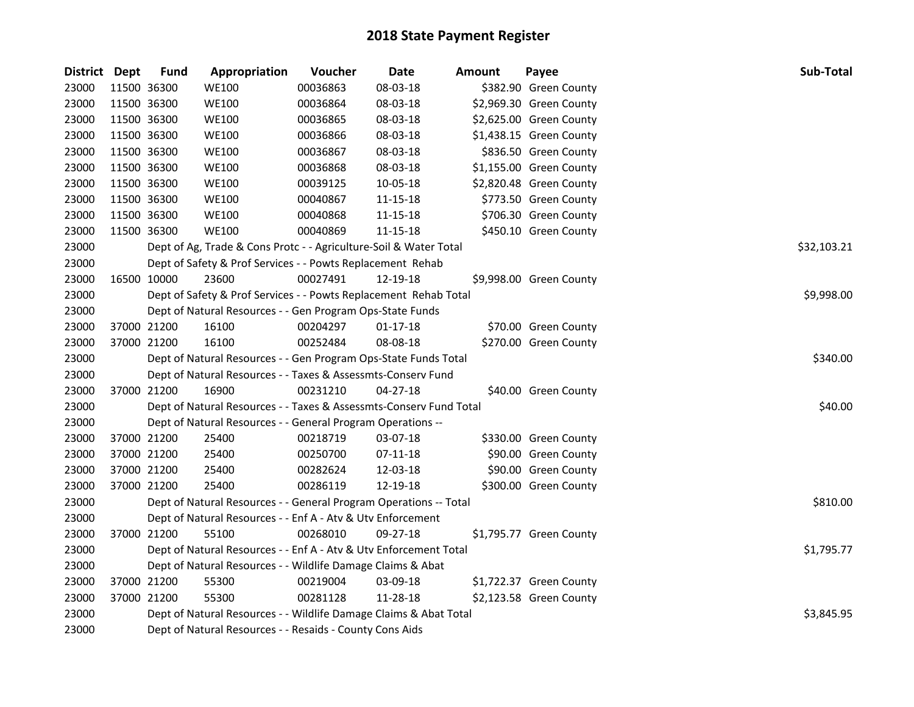| District Dept |             | <b>Fund</b>                                              | Appropriation                                                      | Voucher  | <b>Date</b>    | <b>Amount</b> | Payee                   | Sub-Total   |  |  |
|---------------|-------------|----------------------------------------------------------|--------------------------------------------------------------------|----------|----------------|---------------|-------------------------|-------------|--|--|
| 23000         |             | 11500 36300                                              | <b>WE100</b>                                                       | 00036863 | 08-03-18       |               | \$382.90 Green County   |             |  |  |
| 23000         | 11500 36300 |                                                          | <b>WE100</b>                                                       | 00036864 | 08-03-18       |               | \$2,969.30 Green County |             |  |  |
| 23000         | 11500 36300 |                                                          | <b>WE100</b>                                                       | 00036865 | 08-03-18       |               | \$2,625.00 Green County |             |  |  |
| 23000         |             | 11500 36300                                              | <b>WE100</b>                                                       | 00036866 | 08-03-18       |               | \$1,438.15 Green County |             |  |  |
| 23000         |             | 11500 36300                                              | <b>WE100</b>                                                       | 00036867 | 08-03-18       |               | \$836.50 Green County   |             |  |  |
| 23000         | 11500 36300 |                                                          | <b>WE100</b>                                                       | 00036868 | 08-03-18       |               | \$1,155.00 Green County |             |  |  |
| 23000         | 11500 36300 |                                                          | <b>WE100</b>                                                       | 00039125 | 10-05-18       |               | \$2,820.48 Green County |             |  |  |
| 23000         | 11500 36300 |                                                          | <b>WE100</b>                                                       | 00040867 | 11-15-18       |               | \$773.50 Green County   |             |  |  |
| 23000         | 11500 36300 |                                                          | <b>WE100</b>                                                       | 00040868 | 11-15-18       |               | \$706.30 Green County   |             |  |  |
| 23000         | 11500 36300 |                                                          | <b>WE100</b>                                                       | 00040869 | 11-15-18       |               | \$450.10 Green County   |             |  |  |
| 23000         |             |                                                          | Dept of Ag, Trade & Cons Protc - - Agriculture-Soil & Water Total  |          |                |               |                         | \$32,103.21 |  |  |
| 23000         |             |                                                          | Dept of Safety & Prof Services - - Powts Replacement Rehab         |          |                |               |                         |             |  |  |
| 23000         |             | 16500 10000                                              | 23600                                                              | 00027491 | 12-19-18       |               | \$9,998.00 Green County |             |  |  |
| 23000         |             |                                                          | Dept of Safety & Prof Services - - Powts Replacement Rehab Total   |          |                |               |                         | \$9,998.00  |  |  |
| 23000         |             |                                                          | Dept of Natural Resources - - Gen Program Ops-State Funds          |          |                |               |                         |             |  |  |
| 23000         |             | 37000 21200                                              | 16100                                                              | 00204297 | $01 - 17 - 18$ |               | \$70.00 Green County    |             |  |  |
| 23000         |             | 37000 21200                                              | 16100                                                              | 00252484 | 08-08-18       |               | \$270.00 Green County   |             |  |  |
| 23000         |             |                                                          | Dept of Natural Resources - - Gen Program Ops-State Funds Total    |          |                |               |                         | \$340.00    |  |  |
| 23000         |             |                                                          | Dept of Natural Resources - - Taxes & Assessmts-Conserv Fund       |          |                |               |                         |             |  |  |
| 23000         |             | 37000 21200                                              | 16900                                                              | 00231210 | $04 - 27 - 18$ |               | \$40.00 Green County    |             |  |  |
| 23000         |             |                                                          | Dept of Natural Resources - - Taxes & Assessmts-Conserv Fund Total |          |                |               |                         | \$40.00     |  |  |
| 23000         |             |                                                          | Dept of Natural Resources - - General Program Operations --        |          |                |               |                         |             |  |  |
| 23000         |             | 37000 21200                                              | 25400                                                              | 00218719 | 03-07-18       |               | \$330.00 Green County   |             |  |  |
| 23000         |             | 37000 21200                                              | 25400                                                              | 00250700 | 07-11-18       |               | \$90.00 Green County    |             |  |  |
| 23000         |             | 37000 21200                                              | 25400                                                              | 00282624 | 12-03-18       |               | \$90.00 Green County    |             |  |  |
| 23000         |             | 37000 21200                                              | 25400                                                              | 00286119 | 12-19-18       |               | \$300.00 Green County   |             |  |  |
| 23000         |             |                                                          | Dept of Natural Resources - - General Program Operations -- Total  |          |                |               |                         | \$810.00    |  |  |
| 23000         |             |                                                          | Dept of Natural Resources - - Enf A - Atv & Utv Enforcement        |          |                |               |                         |             |  |  |
| 23000         |             | 37000 21200                                              | 55100                                                              | 00268010 | 09-27-18       |               | \$1,795.77 Green County |             |  |  |
| 23000         |             |                                                          | Dept of Natural Resources - - Enf A - Atv & Utv Enforcement Total  |          |                |               |                         | \$1,795.77  |  |  |
| 23000         |             |                                                          | Dept of Natural Resources - - Wildlife Damage Claims & Abat        |          |                |               |                         |             |  |  |
| 23000         |             | 37000 21200                                              | 55300                                                              | 00219004 | 03-09-18       |               | \$1,722.37 Green County |             |  |  |
| 23000         |             | 37000 21200                                              | 55300                                                              | 00281128 | 11-28-18       |               | \$2,123.58 Green County |             |  |  |
| 23000         |             |                                                          | Dept of Natural Resources - - Wildlife Damage Claims & Abat Total  |          |                |               |                         | \$3,845.95  |  |  |
| 23000         |             | Dept of Natural Resources - - Resaids - County Cons Aids |                                                                    |          |                |               |                         |             |  |  |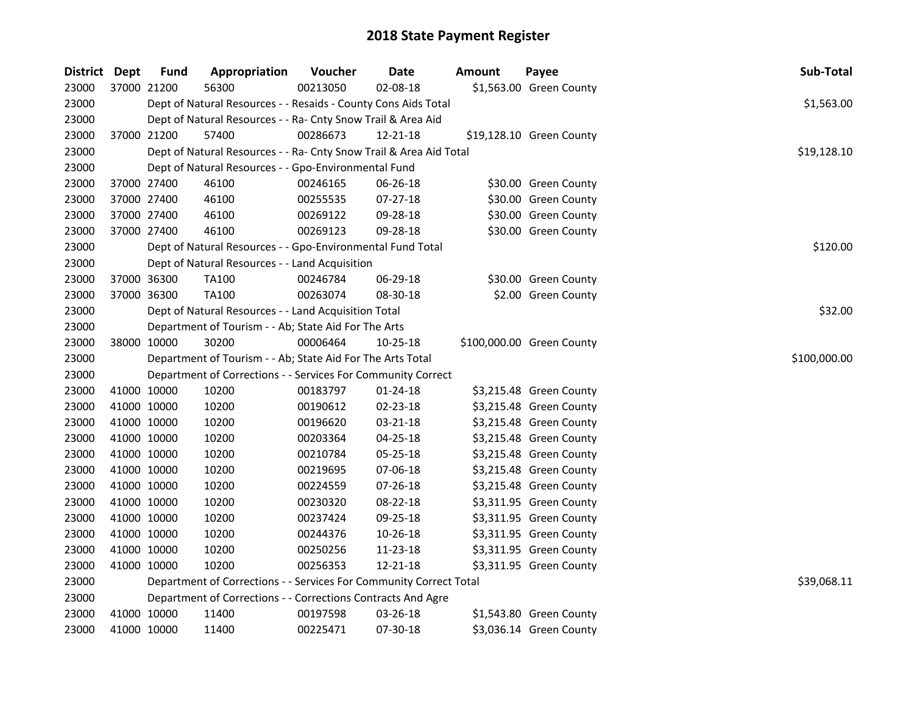| <b>District Dept</b> |             | <b>Fund</b> | Appropriation                                                      | Voucher  | <b>Date</b>    | <b>Amount</b> | Payee                     | Sub-Total    |
|----------------------|-------------|-------------|--------------------------------------------------------------------|----------|----------------|---------------|---------------------------|--------------|
| 23000                | 37000 21200 |             | 56300                                                              | 00213050 | 02-08-18       |               | \$1,563.00 Green County   |              |
| 23000                |             |             | Dept of Natural Resources - - Resaids - County Cons Aids Total     |          |                |               |                           | \$1,563.00   |
| 23000                |             |             | Dept of Natural Resources - - Ra- Cnty Snow Trail & Area Aid       |          |                |               |                           |              |
| 23000                | 37000 21200 |             | 57400                                                              | 00286673 | 12-21-18       |               | \$19,128.10 Green County  |              |
| 23000                |             |             | Dept of Natural Resources - - Ra- Cnty Snow Trail & Area Aid Total |          |                |               |                           | \$19,128.10  |
| 23000                |             |             | Dept of Natural Resources - - Gpo-Environmental Fund               |          |                |               |                           |              |
| 23000                |             | 37000 27400 | 46100                                                              | 00246165 | 06-26-18       |               | \$30.00 Green County      |              |
| 23000                |             | 37000 27400 | 46100                                                              | 00255535 | $07 - 27 - 18$ |               | \$30.00 Green County      |              |
| 23000                |             | 37000 27400 | 46100                                                              | 00269122 | 09-28-18       |               | \$30.00 Green County      |              |
| 23000                | 37000 27400 |             | 46100                                                              | 00269123 | 09-28-18       |               | \$30.00 Green County      |              |
| 23000                |             |             | Dept of Natural Resources - - Gpo-Environmental Fund Total         |          |                |               |                           | \$120.00     |
| 23000                |             |             | Dept of Natural Resources - - Land Acquisition                     |          |                |               |                           |              |
| 23000                | 37000 36300 |             | TA100                                                              | 00246784 | 06-29-18       |               | \$30.00 Green County      |              |
| 23000                | 37000 36300 |             | <b>TA100</b>                                                       | 00263074 | 08-30-18       |               | \$2.00 Green County       |              |
| 23000                |             |             | Dept of Natural Resources - - Land Acquisition Total               |          |                |               |                           | \$32.00      |
| 23000                |             |             | Department of Tourism - - Ab; State Aid For The Arts               |          |                |               |                           |              |
| 23000                |             | 38000 10000 | 30200                                                              | 00006464 | 10-25-18       |               | \$100,000.00 Green County |              |
| 23000                |             |             | Department of Tourism - - Ab; State Aid For The Arts Total         |          |                |               |                           | \$100,000.00 |
| 23000                |             |             | Department of Corrections - - Services For Community Correct       |          |                |               |                           |              |
| 23000                |             | 41000 10000 | 10200                                                              | 00183797 | $01 - 24 - 18$ |               | \$3,215.48 Green County   |              |
| 23000                |             | 41000 10000 | 10200                                                              | 00190612 | 02-23-18       |               | \$3,215.48 Green County   |              |
| 23000                | 41000 10000 |             | 10200                                                              | 00196620 | 03-21-18       |               | \$3,215.48 Green County   |              |
| 23000                |             | 41000 10000 | 10200                                                              | 00203364 | 04-25-18       |               | \$3,215.48 Green County   |              |
| 23000                |             | 41000 10000 | 10200                                                              | 00210784 | 05-25-18       |               | \$3,215.48 Green County   |              |
| 23000                |             | 41000 10000 | 10200                                                              | 00219695 | 07-06-18       |               | \$3,215.48 Green County   |              |
| 23000                |             | 41000 10000 | 10200                                                              | 00224559 | 07-26-18       |               | \$3,215.48 Green County   |              |
| 23000                |             | 41000 10000 | 10200                                                              | 00230320 | 08-22-18       |               | \$3,311.95 Green County   |              |
| 23000                |             | 41000 10000 | 10200                                                              | 00237424 | 09-25-18       |               | \$3,311.95 Green County   |              |
| 23000                |             | 41000 10000 | 10200                                                              | 00244376 | 10-26-18       |               | \$3,311.95 Green County   |              |
| 23000                |             | 41000 10000 | 10200                                                              | 00250256 | 11-23-18       |               | \$3,311.95 Green County   |              |
| 23000                | 41000 10000 |             | 10200                                                              | 00256353 | 12-21-18       |               | \$3,311.95 Green County   |              |
| 23000                |             |             | Department of Corrections - - Services For Community Correct Total |          |                |               |                           | \$39,068.11  |
| 23000                |             |             | Department of Corrections - - Corrections Contracts And Agre       |          |                |               |                           |              |
| 23000                |             | 41000 10000 | 11400                                                              | 00197598 | 03-26-18       |               | \$1,543.80 Green County   |              |
| 23000                | 41000 10000 |             | 11400                                                              | 00225471 | 07-30-18       |               | \$3,036.14 Green County   |              |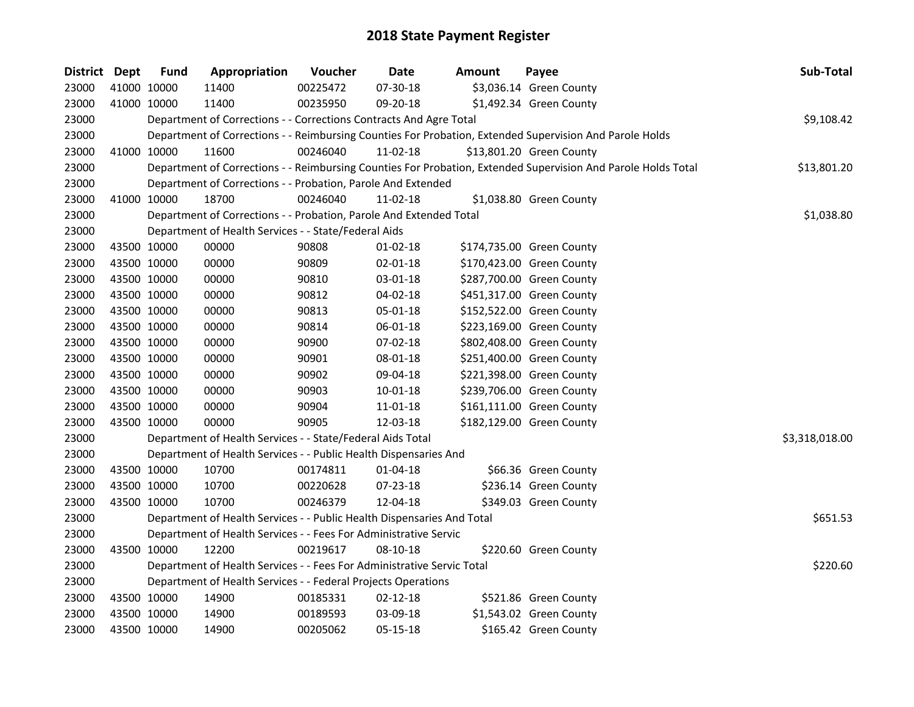| District Dept |             | <b>Fund</b> | Appropriation                                                          | Voucher  | <b>Date</b>    | <b>Amount</b> | Payee                                                                                                         | Sub-Total      |
|---------------|-------------|-------------|------------------------------------------------------------------------|----------|----------------|---------------|---------------------------------------------------------------------------------------------------------------|----------------|
| 23000         |             | 41000 10000 | 11400                                                                  | 00225472 | 07-30-18       |               | \$3,036.14 Green County                                                                                       |                |
| 23000         |             | 41000 10000 | 11400                                                                  | 00235950 | 09-20-18       |               | \$1,492.34 Green County                                                                                       |                |
| 23000         |             |             | Department of Corrections - - Corrections Contracts And Agre Total     |          |                |               |                                                                                                               | \$9,108.42     |
| 23000         |             |             |                                                                        |          |                |               | Department of Corrections - - Reimbursing Counties For Probation, Extended Supervision And Parole Holds       |                |
| 23000         |             | 41000 10000 | 11600                                                                  | 00246040 | 11-02-18       |               | \$13,801.20 Green County                                                                                      |                |
| 23000         |             |             |                                                                        |          |                |               | Department of Corrections - - Reimbursing Counties For Probation, Extended Supervision And Parole Holds Total | \$13,801.20    |
| 23000         |             |             | Department of Corrections - - Probation, Parole And Extended           |          |                |               |                                                                                                               |                |
| 23000         |             | 41000 10000 | 18700                                                                  | 00246040 | $11-02-18$     |               | \$1,038.80 Green County                                                                                       |                |
| 23000         |             |             | Department of Corrections - - Probation, Parole And Extended Total     |          |                |               |                                                                                                               | \$1,038.80     |
| 23000         |             |             | Department of Health Services - - State/Federal Aids                   |          |                |               |                                                                                                               |                |
| 23000         | 43500 10000 |             | 00000                                                                  | 90808    | 01-02-18       |               | \$174,735.00 Green County                                                                                     |                |
| 23000         |             | 43500 10000 | 00000                                                                  | 90809    | $02 - 01 - 18$ |               | \$170,423.00 Green County                                                                                     |                |
| 23000         |             | 43500 10000 | 00000                                                                  | 90810    | 03-01-18       |               | \$287,700.00 Green County                                                                                     |                |
| 23000         | 43500 10000 |             | 00000                                                                  | 90812    | 04-02-18       |               | \$451,317.00 Green County                                                                                     |                |
| 23000         |             | 43500 10000 | 00000                                                                  | 90813    | 05-01-18       |               | \$152,522.00 Green County                                                                                     |                |
| 23000         |             | 43500 10000 | 00000                                                                  | 90814    | 06-01-18       |               | \$223,169.00 Green County                                                                                     |                |
| 23000         | 43500 10000 |             | 00000                                                                  | 90900    | 07-02-18       |               | \$802,408.00 Green County                                                                                     |                |
| 23000         |             | 43500 10000 | 00000                                                                  | 90901    | 08-01-18       |               | \$251,400.00 Green County                                                                                     |                |
| 23000         |             | 43500 10000 | 00000                                                                  | 90902    | 09-04-18       |               | \$221,398.00 Green County                                                                                     |                |
| 23000         |             | 43500 10000 | 00000                                                                  | 90903    | 10-01-18       |               | \$239,706.00 Green County                                                                                     |                |
| 23000         |             | 43500 10000 | 00000                                                                  | 90904    | 11-01-18       |               | \$161,111.00 Green County                                                                                     |                |
| 23000         |             | 43500 10000 | 00000                                                                  | 90905    | 12-03-18       |               | \$182,129.00 Green County                                                                                     |                |
| 23000         |             |             | Department of Health Services - - State/Federal Aids Total             |          |                |               |                                                                                                               | \$3,318,018.00 |
| 23000         |             |             | Department of Health Services - - Public Health Dispensaries And       |          |                |               |                                                                                                               |                |
| 23000         | 43500 10000 |             | 10700                                                                  | 00174811 | $01 - 04 - 18$ |               | \$66.36 Green County                                                                                          |                |
| 23000         |             | 43500 10000 | 10700                                                                  | 00220628 | 07-23-18       |               | \$236.14 Green County                                                                                         |                |
| 23000         |             | 43500 10000 | 10700                                                                  | 00246379 | 12-04-18       |               | \$349.03 Green County                                                                                         |                |
| 23000         |             |             | Department of Health Services - - Public Health Dispensaries And Total |          |                |               |                                                                                                               | \$651.53       |
| 23000         |             |             | Department of Health Services - - Fees For Administrative Servic       |          |                |               |                                                                                                               |                |
| 23000         |             | 43500 10000 | 12200                                                                  | 00219617 | 08-10-18       |               | \$220.60 Green County                                                                                         |                |
| 23000         |             |             | Department of Health Services - - Fees For Administrative Servic Total |          |                |               |                                                                                                               | \$220.60       |
| 23000         |             |             | Department of Health Services - - Federal Projects Operations          |          |                |               |                                                                                                               |                |
| 23000         |             | 43500 10000 | 14900                                                                  | 00185331 | $02 - 12 - 18$ |               | \$521.86 Green County                                                                                         |                |
| 23000         |             | 43500 10000 | 14900                                                                  | 00189593 | 03-09-18       |               | \$1,543.02 Green County                                                                                       |                |
| 23000         |             | 43500 10000 | 14900                                                                  | 00205062 | 05-15-18       |               | \$165.42 Green County                                                                                         |                |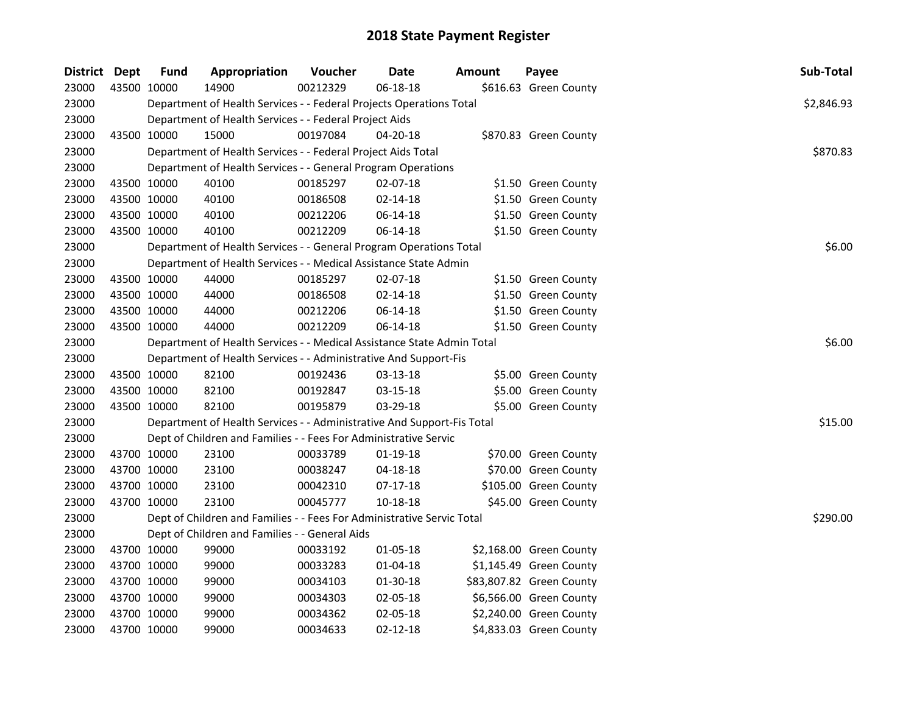| District Dept |             | Fund        | Appropriation                                                          | Voucher  | <b>Date</b>    | <b>Amount</b> | Payee                    | Sub-Total  |
|---------------|-------------|-------------|------------------------------------------------------------------------|----------|----------------|---------------|--------------------------|------------|
| 23000         |             | 43500 10000 | 14900                                                                  | 00212329 | 06-18-18       |               | \$616.63 Green County    |            |
| 23000         |             |             | Department of Health Services - - Federal Projects Operations Total    |          |                |               |                          | \$2,846.93 |
| 23000         |             |             | Department of Health Services - - Federal Project Aids                 |          |                |               |                          |            |
| 23000         | 43500 10000 |             | 15000                                                                  | 00197084 | 04-20-18       |               | \$870.83 Green County    |            |
| 23000         |             |             | Department of Health Services - - Federal Project Aids Total           |          |                |               |                          | \$870.83   |
| 23000         |             |             | Department of Health Services - - General Program Operations           |          |                |               |                          |            |
| 23000         | 43500 10000 |             | 40100                                                                  | 00185297 | $02 - 07 - 18$ |               | \$1.50 Green County      |            |
| 23000         | 43500 10000 |             | 40100                                                                  | 00186508 | $02 - 14 - 18$ |               | \$1.50 Green County      |            |
| 23000         | 43500 10000 |             | 40100                                                                  | 00212206 | 06-14-18       |               | \$1.50 Green County      |            |
| 23000         | 43500 10000 |             | 40100                                                                  | 00212209 | 06-14-18       |               | \$1.50 Green County      |            |
| 23000         |             |             | Department of Health Services - - General Program Operations Total     |          |                |               |                          | \$6.00     |
| 23000         |             |             | Department of Health Services - - Medical Assistance State Admin       |          |                |               |                          |            |
| 23000         | 43500 10000 |             | 44000                                                                  | 00185297 | 02-07-18       |               | \$1.50 Green County      |            |
| 23000         | 43500 10000 |             | 44000                                                                  | 00186508 | 02-14-18       |               | \$1.50 Green County      |            |
| 23000         | 43500 10000 |             | 44000                                                                  | 00212206 | 06-14-18       |               | \$1.50 Green County      |            |
| 23000         |             | 43500 10000 | 44000                                                                  | 00212209 | 06-14-18       |               | \$1.50 Green County      |            |
| 23000         |             |             | Department of Health Services - - Medical Assistance State Admin Total |          |                |               |                          | \$6.00     |
| 23000         |             |             | Department of Health Services - - Administrative And Support-Fis       |          |                |               |                          |            |
| 23000         | 43500 10000 |             | 82100                                                                  | 00192436 | 03-13-18       |               | \$5.00 Green County      |            |
| 23000         | 43500 10000 |             | 82100                                                                  | 00192847 | 03-15-18       |               | \$5.00 Green County      |            |
| 23000         | 43500 10000 |             | 82100                                                                  | 00195879 | 03-29-18       |               | \$5.00 Green County      |            |
| 23000         |             |             | Department of Health Services - - Administrative And Support-Fis Total |          |                |               |                          | \$15.00    |
| 23000         |             |             | Dept of Children and Families - - Fees For Administrative Servic       |          |                |               |                          |            |
| 23000         | 43700 10000 |             | 23100                                                                  | 00033789 | $01-19-18$     |               | \$70.00 Green County     |            |
| 23000         | 43700 10000 |             | 23100                                                                  | 00038247 | 04-18-18       |               | \$70.00 Green County     |            |
| 23000         | 43700 10000 |             | 23100                                                                  | 00042310 | $07-17-18$     |               | \$105.00 Green County    |            |
| 23000         | 43700 10000 |             | 23100                                                                  | 00045777 | 10-18-18       |               | \$45.00 Green County     |            |
| 23000         |             |             | Dept of Children and Families - - Fees For Administrative Servic Total |          |                |               |                          | \$290.00   |
| 23000         |             |             | Dept of Children and Families - - General Aids                         |          |                |               |                          |            |
| 23000         | 43700 10000 |             | 99000                                                                  | 00033192 | 01-05-18       |               | \$2,168.00 Green County  |            |
| 23000         | 43700 10000 |             | 99000                                                                  | 00033283 | 01-04-18       |               | \$1,145.49 Green County  |            |
| 23000         | 43700 10000 |             | 99000                                                                  | 00034103 | 01-30-18       |               | \$83,807.82 Green County |            |
| 23000         | 43700 10000 |             | 99000                                                                  | 00034303 | 02-05-18       |               | \$6,566.00 Green County  |            |
| 23000         | 43700 10000 |             | 99000                                                                  | 00034362 | 02-05-18       |               | \$2,240.00 Green County  |            |
| 23000         | 43700 10000 |             | 99000                                                                  | 00034633 | $02 - 12 - 18$ |               | \$4,833.03 Green County  |            |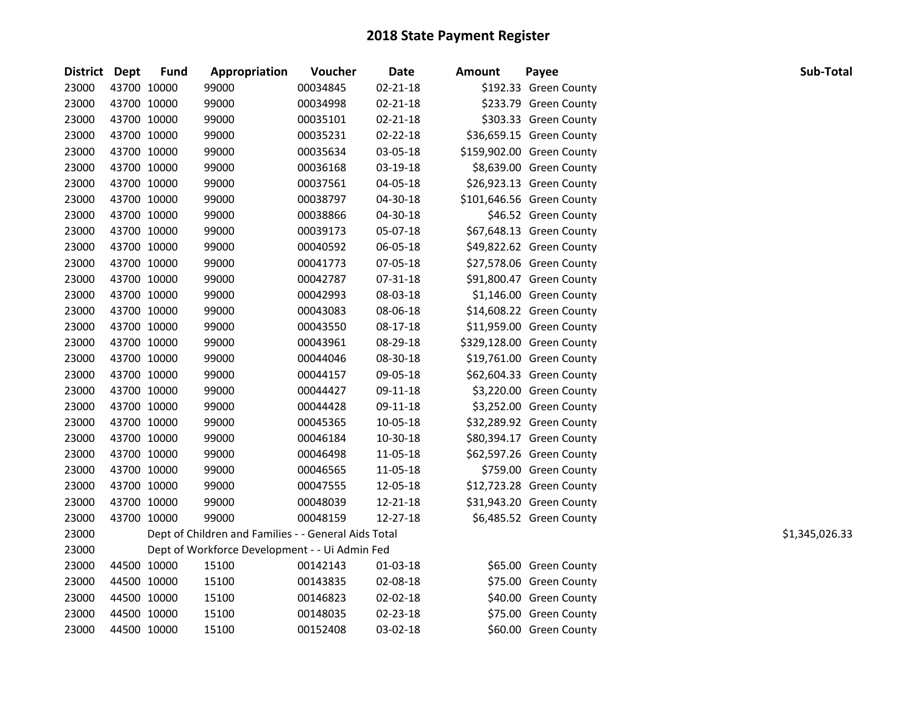| District Dept |             | <b>Fund</b> | Appropriation                                        | Voucher  | <b>Date</b>    | <b>Amount</b> | Payee                     | Sub-Total      |
|---------------|-------------|-------------|------------------------------------------------------|----------|----------------|---------------|---------------------------|----------------|
| 23000         | 43700 10000 |             | 99000                                                | 00034845 | $02 - 21 - 18$ |               | \$192.33 Green County     |                |
| 23000         | 43700 10000 |             | 99000                                                | 00034998 | $02 - 21 - 18$ |               | \$233.79 Green County     |                |
| 23000         | 43700 10000 |             | 99000                                                | 00035101 | $02 - 21 - 18$ |               | \$303.33 Green County     |                |
| 23000         | 43700 10000 |             | 99000                                                | 00035231 | 02-22-18       |               | \$36,659.15 Green County  |                |
| 23000         | 43700 10000 |             | 99000                                                | 00035634 | 03-05-18       |               | \$159,902.00 Green County |                |
| 23000         | 43700 10000 |             | 99000                                                | 00036168 | 03-19-18       |               | \$8,639.00 Green County   |                |
| 23000         | 43700 10000 |             | 99000                                                | 00037561 | 04-05-18       |               | \$26,923.13 Green County  |                |
| 23000         | 43700 10000 |             | 99000                                                | 00038797 | 04-30-18       |               | \$101,646.56 Green County |                |
| 23000         | 43700 10000 |             | 99000                                                | 00038866 | 04-30-18       |               | \$46.52 Green County      |                |
| 23000         | 43700 10000 |             | 99000                                                | 00039173 | 05-07-18       |               | \$67,648.13 Green County  |                |
| 23000         | 43700 10000 |             | 99000                                                | 00040592 | 06-05-18       |               | \$49,822.62 Green County  |                |
| 23000         | 43700 10000 |             | 99000                                                | 00041773 | 07-05-18       |               | \$27,578.06 Green County  |                |
| 23000         | 43700 10000 |             | 99000                                                | 00042787 | 07-31-18       |               | \$91,800.47 Green County  |                |
| 23000         | 43700 10000 |             | 99000                                                | 00042993 | 08-03-18       |               | \$1,146.00 Green County   |                |
| 23000         | 43700 10000 |             | 99000                                                | 00043083 | 08-06-18       |               | \$14,608.22 Green County  |                |
| 23000         | 43700 10000 |             | 99000                                                | 00043550 | 08-17-18       |               | \$11,959.00 Green County  |                |
| 23000         | 43700 10000 |             | 99000                                                | 00043961 | 08-29-18       |               | \$329,128.00 Green County |                |
| 23000         | 43700 10000 |             | 99000                                                | 00044046 | 08-30-18       |               | \$19,761.00 Green County  |                |
| 23000         | 43700 10000 |             | 99000                                                | 00044157 | 09-05-18       |               | \$62,604.33 Green County  |                |
| 23000         | 43700 10000 |             | 99000                                                | 00044427 | 09-11-18       |               | \$3,220.00 Green County   |                |
| 23000         | 43700 10000 |             | 99000                                                | 00044428 | 09-11-18       |               | \$3,252.00 Green County   |                |
| 23000         | 43700 10000 |             | 99000                                                | 00045365 | 10-05-18       |               | \$32,289.92 Green County  |                |
| 23000         | 43700 10000 |             | 99000                                                | 00046184 | 10-30-18       |               | \$80,394.17 Green County  |                |
| 23000         | 43700 10000 |             | 99000                                                | 00046498 | 11-05-18       |               | \$62,597.26 Green County  |                |
| 23000         | 43700 10000 |             | 99000                                                | 00046565 | 11-05-18       |               | \$759.00 Green County     |                |
| 23000         | 43700 10000 |             | 99000                                                | 00047555 | 12-05-18       |               | \$12,723.28 Green County  |                |
| 23000         | 43700 10000 |             | 99000                                                | 00048039 | 12-21-18       |               | \$31,943.20 Green County  |                |
| 23000         | 43700 10000 |             | 99000                                                | 00048159 | 12-27-18       |               | \$6,485.52 Green County   |                |
| 23000         |             |             | Dept of Children and Families - - General Aids Total |          |                |               |                           | \$1,345,026.33 |
| 23000         |             |             | Dept of Workforce Development - - Ui Admin Fed       |          |                |               |                           |                |
| 23000         | 44500 10000 |             | 15100                                                | 00142143 | 01-03-18       |               | \$65.00 Green County      |                |
| 23000         | 44500 10000 |             | 15100                                                | 00143835 | 02-08-18       |               | \$75.00 Green County      |                |
| 23000         | 44500 10000 |             | 15100                                                | 00146823 | 02-02-18       |               | \$40.00 Green County      |                |
| 23000         | 44500 10000 |             | 15100                                                | 00148035 | 02-23-18       |               | \$75.00 Green County      |                |
| 23000         | 44500 10000 |             | 15100                                                | 00152408 | 03-02-18       |               | \$60.00 Green County      |                |
|               |             |             |                                                      |          |                |               |                           |                |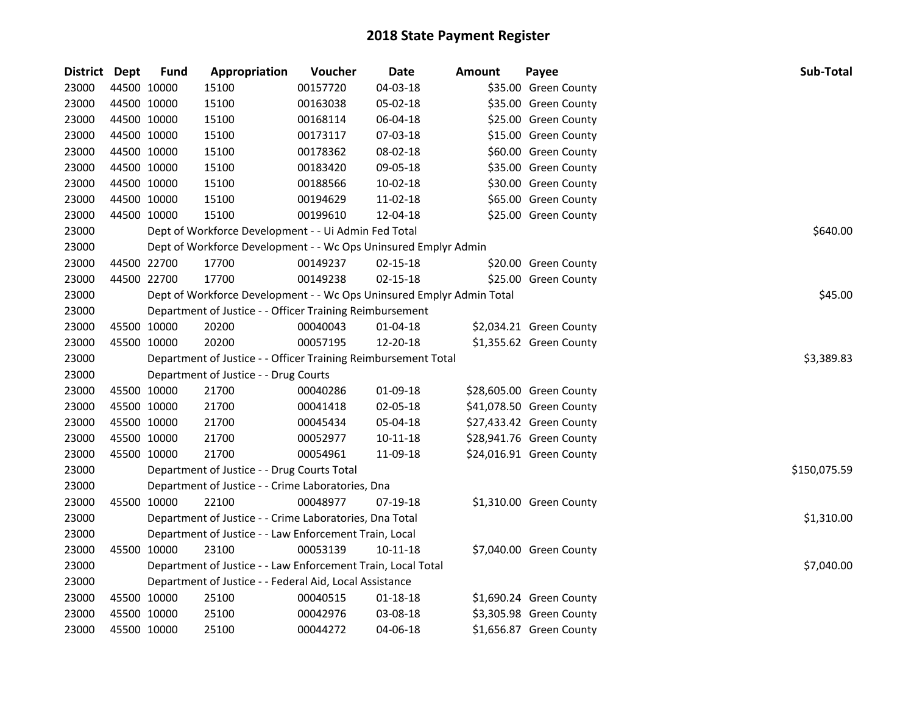| District Dept |             | <b>Fund</b> | Appropriation                                                         | Voucher  | <b>Date</b>    | <b>Amount</b> | Payee                    | Sub-Total    |
|---------------|-------------|-------------|-----------------------------------------------------------------------|----------|----------------|---------------|--------------------------|--------------|
| 23000         | 44500 10000 |             | 15100                                                                 | 00157720 | 04-03-18       |               | \$35.00 Green County     |              |
| 23000         | 44500 10000 |             | 15100                                                                 | 00163038 | 05-02-18       |               | \$35.00 Green County     |              |
| 23000         | 44500 10000 |             | 15100                                                                 | 00168114 | 06-04-18       |               | \$25.00 Green County     |              |
| 23000         | 44500 10000 |             | 15100                                                                 | 00173117 | 07-03-18       |               | \$15.00 Green County     |              |
| 23000         | 44500 10000 |             | 15100                                                                 | 00178362 | 08-02-18       |               | \$60.00 Green County     |              |
| 23000         | 44500 10000 |             | 15100                                                                 | 00183420 | 09-05-18       |               | \$35.00 Green County     |              |
| 23000         | 44500 10000 |             | 15100                                                                 | 00188566 | 10-02-18       |               | \$30.00 Green County     |              |
| 23000         | 44500 10000 |             | 15100                                                                 | 00194629 | 11-02-18       |               | \$65.00 Green County     |              |
| 23000         | 44500 10000 |             | 15100                                                                 | 00199610 | 12-04-18       |               | \$25.00 Green County     |              |
| 23000         |             |             | Dept of Workforce Development - - Ui Admin Fed Total                  |          |                |               |                          | \$640.00     |
| 23000         |             |             | Dept of Workforce Development - - Wc Ops Uninsured Emplyr Admin       |          |                |               |                          |              |
| 23000         | 44500 22700 |             | 17700                                                                 | 00149237 | $02 - 15 - 18$ |               | \$20.00 Green County     |              |
| 23000         | 44500 22700 |             | 17700                                                                 | 00149238 | $02 - 15 - 18$ |               | \$25.00 Green County     |              |
| 23000         |             |             | Dept of Workforce Development - - Wc Ops Uninsured Emplyr Admin Total |          |                |               |                          | \$45.00      |
| 23000         |             |             | Department of Justice - - Officer Training Reimbursement              |          |                |               |                          |              |
| 23000         | 45500 10000 |             | 20200                                                                 | 00040043 | 01-04-18       |               | \$2,034.21 Green County  |              |
| 23000         | 45500 10000 |             | 20200                                                                 | 00057195 | 12-20-18       |               | \$1,355.62 Green County  |              |
| 23000         |             |             | Department of Justice - - Officer Training Reimbursement Total        |          |                |               |                          | \$3,389.83   |
| 23000         |             |             | Department of Justice - - Drug Courts                                 |          |                |               |                          |              |
| 23000         | 45500 10000 |             | 21700                                                                 | 00040286 | 01-09-18       |               | \$28,605.00 Green County |              |
| 23000         | 45500 10000 |             | 21700                                                                 | 00041418 | 02-05-18       |               | \$41,078.50 Green County |              |
| 23000         | 45500 10000 |             | 21700                                                                 | 00045434 | 05-04-18       |               | \$27,433.42 Green County |              |
| 23000         | 45500 10000 |             | 21700                                                                 | 00052977 | 10-11-18       |               | \$28,941.76 Green County |              |
| 23000         |             | 45500 10000 | 21700                                                                 | 00054961 | 11-09-18       |               | \$24,016.91 Green County |              |
| 23000         |             |             | Department of Justice - - Drug Courts Total                           |          |                |               |                          | \$150,075.59 |
| 23000         |             |             | Department of Justice - - Crime Laboratories, Dna                     |          |                |               |                          |              |
| 23000         | 45500 10000 |             | 22100                                                                 | 00048977 | 07-19-18       |               | \$1,310.00 Green County  |              |
| 23000         |             |             | Department of Justice - - Crime Laboratories, Dna Total               |          |                |               |                          | \$1,310.00   |
| 23000         |             |             | Department of Justice - - Law Enforcement Train, Local                |          |                |               |                          |              |
| 23000         | 45500 10000 |             | 23100                                                                 | 00053139 | 10-11-18       |               | \$7,040.00 Green County  |              |
| 23000         |             |             | Department of Justice - - Law Enforcement Train, Local Total          |          |                |               |                          | \$7,040.00   |
| 23000         |             |             | Department of Justice - - Federal Aid, Local Assistance               |          |                |               |                          |              |
| 23000         | 45500 10000 |             | 25100                                                                 | 00040515 | 01-18-18       |               | \$1,690.24 Green County  |              |
| 23000         | 45500 10000 |             | 25100                                                                 | 00042976 | 03-08-18       |               | \$3,305.98 Green County  |              |
| 23000         | 45500 10000 |             | 25100                                                                 | 00044272 | 04-06-18       |               | \$1,656.87 Green County  |              |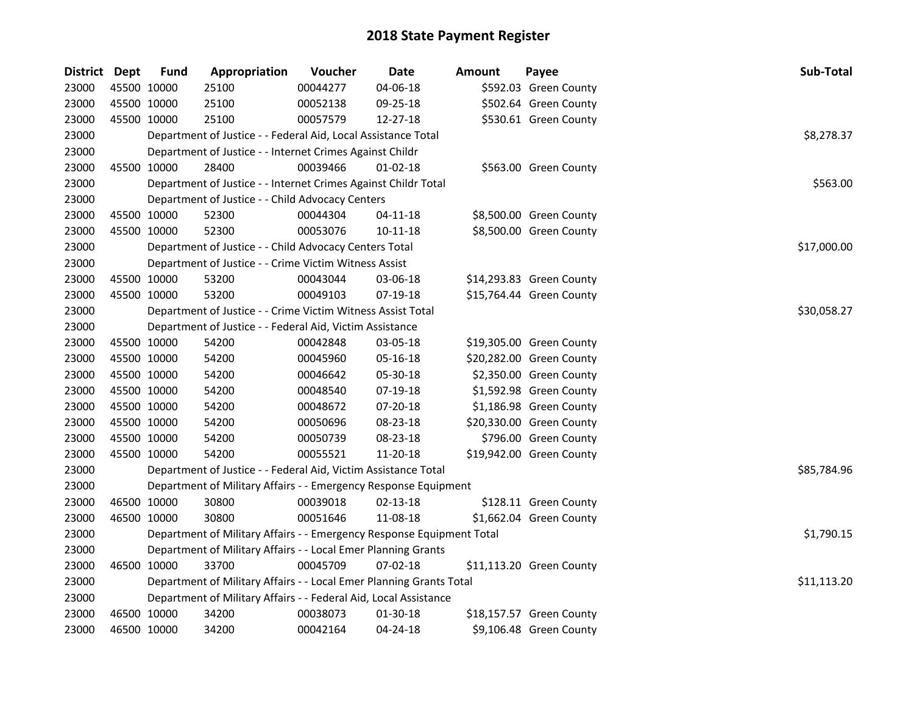| District Dept |             | <b>Fund</b> | Appropriation                                                         | Voucher  | <b>Date</b>    | Amount | Payee                    | Sub-Total   |
|---------------|-------------|-------------|-----------------------------------------------------------------------|----------|----------------|--------|--------------------------|-------------|
| 23000         | 45500 10000 |             | 25100                                                                 | 00044277 | 04-06-18       |        | \$592.03 Green County    |             |
| 23000         | 45500 10000 |             | 25100                                                                 | 00052138 | 09-25-18       |        | \$502.64 Green County    |             |
| 23000         | 45500 10000 |             | 25100                                                                 | 00057579 | 12-27-18       |        | \$530.61 Green County    |             |
| 23000         |             |             | Department of Justice - - Federal Aid, Local Assistance Total         |          |                |        |                          | \$8,278.37  |
| 23000         |             |             | Department of Justice - - Internet Crimes Against Childr              |          |                |        |                          |             |
| 23000         |             | 45500 10000 | 28400                                                                 | 00039466 | $01 - 02 - 18$ |        | \$563.00 Green County    |             |
| 23000         |             |             | Department of Justice - - Internet Crimes Against Childr Total        |          |                |        |                          | \$563.00    |
| 23000         |             |             | Department of Justice - - Child Advocacy Centers                      |          |                |        |                          |             |
| 23000         |             | 45500 10000 | 52300                                                                 | 00044304 | $04 - 11 - 18$ |        | \$8,500.00 Green County  |             |
| 23000         | 45500 10000 |             | 52300                                                                 | 00053076 | $10 - 11 - 18$ |        | \$8,500.00 Green County  |             |
| 23000         |             |             | Department of Justice - - Child Advocacy Centers Total                |          |                |        |                          | \$17,000.00 |
| 23000         |             |             | Department of Justice - - Crime Victim Witness Assist                 |          |                |        |                          |             |
| 23000         | 45500 10000 |             | 53200                                                                 | 00043044 | 03-06-18       |        | \$14,293.83 Green County |             |
| 23000         | 45500 10000 |             | 53200                                                                 | 00049103 | 07-19-18       |        | \$15,764.44 Green County |             |
| 23000         |             |             | Department of Justice - - Crime Victim Witness Assist Total           |          |                |        |                          | \$30,058.27 |
| 23000         |             |             | Department of Justice - - Federal Aid, Victim Assistance              |          |                |        |                          |             |
| 23000         | 45500 10000 |             | 54200                                                                 | 00042848 | 03-05-18       |        | \$19,305.00 Green County |             |
| 23000         | 45500 10000 |             | 54200                                                                 | 00045960 | 05-16-18       |        | \$20,282.00 Green County |             |
| 23000         | 45500 10000 |             | 54200                                                                 | 00046642 | 05-30-18       |        | \$2,350.00 Green County  |             |
| 23000         | 45500 10000 |             | 54200                                                                 | 00048540 | 07-19-18       |        | \$1,592.98 Green County  |             |
| 23000         | 45500 10000 |             | 54200                                                                 | 00048672 | 07-20-18       |        | \$1,186.98 Green County  |             |
| 23000         | 45500 10000 |             | 54200                                                                 | 00050696 | 08-23-18       |        | \$20,330.00 Green County |             |
| 23000         | 45500 10000 |             | 54200                                                                 | 00050739 | 08-23-18       |        | \$796.00 Green County    |             |
| 23000         | 45500 10000 |             | 54200                                                                 | 00055521 | 11-20-18       |        | \$19,942.00 Green County |             |
| 23000         |             |             | Department of Justice - - Federal Aid, Victim Assistance Total        |          |                |        |                          | \$85,784.96 |
| 23000         |             |             | Department of Military Affairs - - Emergency Response Equipment       |          |                |        |                          |             |
| 23000         | 46500 10000 |             | 30800                                                                 | 00039018 | $02 - 13 - 18$ |        | \$128.11 Green County    |             |
| 23000         | 46500 10000 |             | 30800                                                                 | 00051646 | 11-08-18       |        | \$1,662.04 Green County  |             |
| 23000         |             |             | Department of Military Affairs - - Emergency Response Equipment Total |          |                |        |                          | \$1,790.15  |
| 23000         |             |             | Department of Military Affairs - - Local Emer Planning Grants         |          |                |        |                          |             |
| 23000         | 46500 10000 |             | 33700                                                                 | 00045709 | $07 - 02 - 18$ |        | \$11,113.20 Green County |             |
| 23000         |             |             | Department of Military Affairs - - Local Emer Planning Grants Total   |          |                |        |                          | \$11,113.20 |
| 23000         |             |             | Department of Military Affairs - - Federal Aid, Local Assistance      |          |                |        |                          |             |
| 23000         |             | 46500 10000 | 34200                                                                 | 00038073 | 01-30-18       |        | \$18,157.57 Green County |             |
| 23000         | 46500 10000 |             | 34200                                                                 | 00042164 | 04-24-18       |        | \$9,106.48 Green County  |             |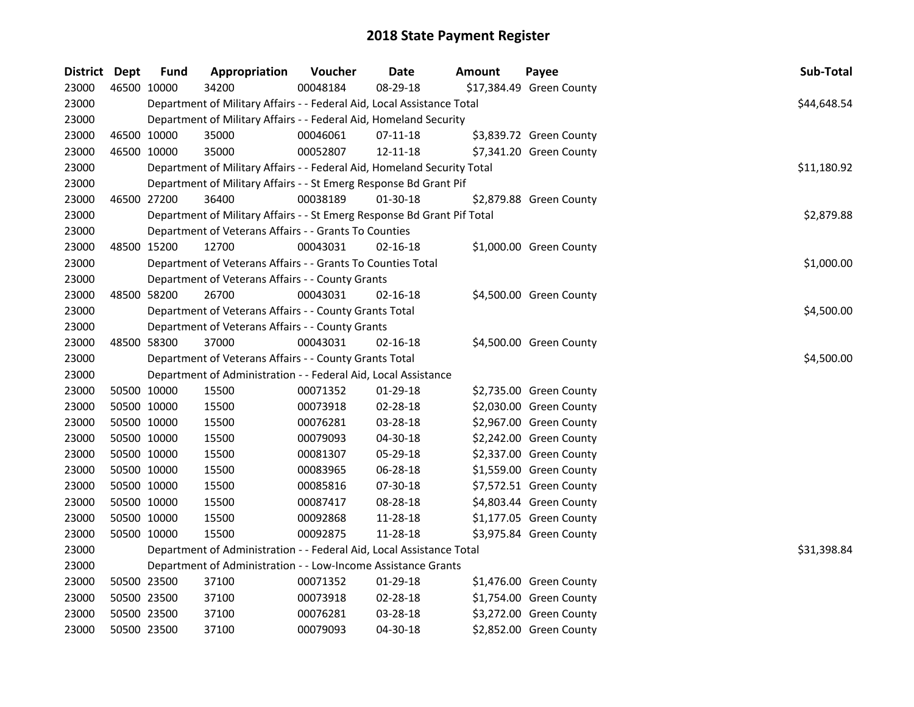| District Dept |             | <b>Fund</b> | Appropriation                                                           | Voucher  | <b>Date</b>    | <b>Amount</b> | Payee                    | Sub-Total   |
|---------------|-------------|-------------|-------------------------------------------------------------------------|----------|----------------|---------------|--------------------------|-------------|
| 23000         | 46500 10000 |             | 34200                                                                   | 00048184 | 08-29-18       |               | \$17,384.49 Green County |             |
| 23000         |             |             | Department of Military Affairs - - Federal Aid, Local Assistance Total  |          |                |               |                          | \$44,648.54 |
| 23000         |             |             | Department of Military Affairs - - Federal Aid, Homeland Security       |          |                |               |                          |             |
| 23000         | 46500 10000 |             | 35000                                                                   | 00046061 | 07-11-18       |               | \$3,839.72 Green County  |             |
| 23000         | 46500 10000 |             | 35000                                                                   | 00052807 | 12-11-18       |               | \$7,341.20 Green County  |             |
| 23000         |             |             | Department of Military Affairs - - Federal Aid, Homeland Security Total |          |                |               |                          | \$11,180.92 |
| 23000         |             |             | Department of Military Affairs - - St Emerg Response Bd Grant Pif       |          |                |               |                          |             |
| 23000         | 46500 27200 |             | 36400                                                                   | 00038189 | 01-30-18       |               | \$2,879.88 Green County  |             |
| 23000         |             |             | Department of Military Affairs - - St Emerg Response Bd Grant Pif Total |          |                |               |                          | \$2,879.88  |
| 23000         |             |             | Department of Veterans Affairs - - Grants To Counties                   |          |                |               |                          |             |
| 23000         | 48500 15200 |             | 12700                                                                   | 00043031 | 02-16-18       |               | \$1,000.00 Green County  |             |
| 23000         |             |             | Department of Veterans Affairs - - Grants To Counties Total             |          |                |               |                          | \$1,000.00  |
| 23000         |             |             | Department of Veterans Affairs - - County Grants                        |          |                |               |                          |             |
| 23000         | 48500 58200 |             | 26700                                                                   | 00043031 | 02-16-18       |               | \$4,500.00 Green County  |             |
| 23000         |             |             | Department of Veterans Affairs - - County Grants Total                  |          |                |               |                          | \$4,500.00  |
| 23000         |             |             | Department of Veterans Affairs - - County Grants                        |          |                |               |                          |             |
| 23000         | 48500 58300 |             | 37000                                                                   | 00043031 | $02 - 16 - 18$ |               | \$4,500.00 Green County  |             |
| 23000         |             |             | Department of Veterans Affairs - - County Grants Total                  |          |                |               |                          | \$4,500.00  |
| 23000         |             |             | Department of Administration - - Federal Aid, Local Assistance          |          |                |               |                          |             |
| 23000         | 50500 10000 |             | 15500                                                                   | 00071352 | 01-29-18       |               | \$2,735.00 Green County  |             |
| 23000         | 50500 10000 |             | 15500                                                                   | 00073918 | 02-28-18       |               | \$2,030.00 Green County  |             |
| 23000         | 50500 10000 |             | 15500                                                                   | 00076281 | 03-28-18       |               | \$2,967.00 Green County  |             |
| 23000         | 50500 10000 |             | 15500                                                                   | 00079093 | 04-30-18       |               | \$2,242.00 Green County  |             |
| 23000         | 50500 10000 |             | 15500                                                                   | 00081307 | 05-29-18       |               | \$2,337.00 Green County  |             |
| 23000         | 50500 10000 |             | 15500                                                                   | 00083965 | 06-28-18       |               | \$1,559.00 Green County  |             |
| 23000         | 50500 10000 |             | 15500                                                                   | 00085816 | 07-30-18       |               | \$7,572.51 Green County  |             |
| 23000         | 50500 10000 |             | 15500                                                                   | 00087417 | 08-28-18       |               | \$4,803.44 Green County  |             |
| 23000         | 50500 10000 |             | 15500                                                                   | 00092868 | 11-28-18       |               | \$1,177.05 Green County  |             |
| 23000         | 50500 10000 |             | 15500                                                                   | 00092875 | 11-28-18       |               | \$3,975.84 Green County  |             |
| 23000         |             |             | Department of Administration - - Federal Aid, Local Assistance Total    |          |                |               |                          | \$31,398.84 |
| 23000         |             |             | Department of Administration - - Low-Income Assistance Grants           |          |                |               |                          |             |
| 23000         | 50500 23500 |             | 37100                                                                   | 00071352 | 01-29-18       |               | \$1,476.00 Green County  |             |
| 23000         | 50500 23500 |             | 37100                                                                   | 00073918 | 02-28-18       |               | \$1,754.00 Green County  |             |
| 23000         | 50500 23500 |             | 37100                                                                   | 00076281 | 03-28-18       |               | \$3,272.00 Green County  |             |
| 23000         | 50500 23500 |             | 37100                                                                   | 00079093 | 04-30-18       |               | \$2,852.00 Green County  |             |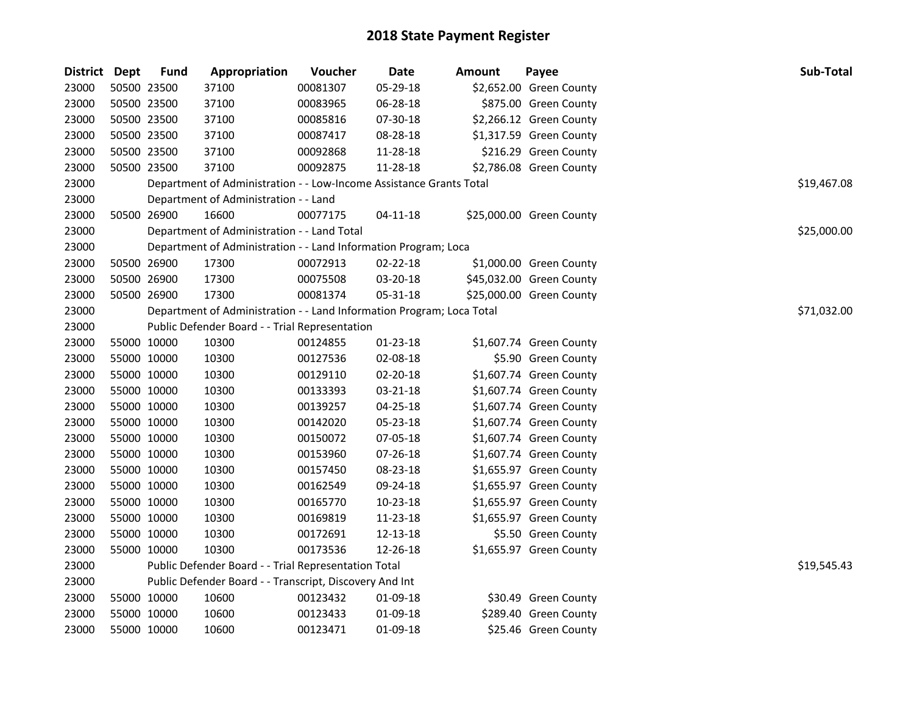| District Dept | <b>Fund</b> | Appropriation                                                         | Voucher  | <b>Date</b>    | <b>Amount</b> | Payee                    | Sub-Total   |
|---------------|-------------|-----------------------------------------------------------------------|----------|----------------|---------------|--------------------------|-------------|
| 23000         | 50500 23500 | 37100                                                                 | 00081307 | 05-29-18       |               | \$2,652.00 Green County  |             |
| 23000         | 50500 23500 | 37100                                                                 | 00083965 | 06-28-18       |               | \$875.00 Green County    |             |
| 23000         | 50500 23500 | 37100                                                                 | 00085816 | 07-30-18       |               | \$2,266.12 Green County  |             |
| 23000         | 50500 23500 | 37100                                                                 | 00087417 | 08-28-18       |               | \$1,317.59 Green County  |             |
| 23000         | 50500 23500 | 37100                                                                 | 00092868 | 11-28-18       |               | \$216.29 Green County    |             |
| 23000         | 50500 23500 | 37100                                                                 | 00092875 | 11-28-18       |               | \$2,786.08 Green County  |             |
| 23000         |             | Department of Administration - - Low-Income Assistance Grants Total   |          |                |               |                          | \$19,467.08 |
| 23000         |             | Department of Administration - - Land                                 |          |                |               |                          |             |
| 23000         | 50500 26900 | 16600                                                                 | 00077175 | $04 - 11 - 18$ |               | \$25,000.00 Green County |             |
| 23000         |             | Department of Administration - - Land Total                           |          |                |               |                          | \$25,000.00 |
| 23000         |             | Department of Administration - - Land Information Program; Loca       |          |                |               |                          |             |
| 23000         | 50500 26900 | 17300                                                                 | 00072913 | 02-22-18       |               | \$1,000.00 Green County  |             |
| 23000         | 50500 26900 | 17300                                                                 | 00075508 | 03-20-18       |               | \$45,032.00 Green County |             |
| 23000         | 50500 26900 | 17300                                                                 | 00081374 | 05-31-18       |               | \$25,000.00 Green County |             |
| 23000         |             | Department of Administration - - Land Information Program; Loca Total |          |                |               |                          | \$71,032.00 |
| 23000         |             | Public Defender Board - - Trial Representation                        |          |                |               |                          |             |
| 23000         | 55000 10000 | 10300                                                                 | 00124855 | 01-23-18       |               | \$1,607.74 Green County  |             |
| 23000         | 55000 10000 | 10300                                                                 | 00127536 | 02-08-18       |               | \$5.90 Green County      |             |
| 23000         | 55000 10000 | 10300                                                                 | 00129110 | 02-20-18       |               | \$1,607.74 Green County  |             |
| 23000         | 55000 10000 | 10300                                                                 | 00133393 | 03-21-18       |               | \$1,607.74 Green County  |             |
| 23000         | 55000 10000 | 10300                                                                 | 00139257 | 04-25-18       |               | \$1,607.74 Green County  |             |
| 23000         | 55000 10000 | 10300                                                                 | 00142020 | 05-23-18       |               | \$1,607.74 Green County  |             |
| 23000         | 55000 10000 | 10300                                                                 | 00150072 | 07-05-18       |               | \$1,607.74 Green County  |             |
| 23000         | 55000 10000 | 10300                                                                 | 00153960 | 07-26-18       |               | \$1,607.74 Green County  |             |
| 23000         | 55000 10000 | 10300                                                                 | 00157450 | 08-23-18       |               | \$1,655.97 Green County  |             |
| 23000         | 55000 10000 | 10300                                                                 | 00162549 | 09-24-18       |               | \$1,655.97 Green County  |             |
| 23000         | 55000 10000 | 10300                                                                 | 00165770 | 10-23-18       |               | \$1,655.97 Green County  |             |
| 23000         | 55000 10000 | 10300                                                                 | 00169819 | 11-23-18       |               | \$1,655.97 Green County  |             |
| 23000         | 55000 10000 | 10300                                                                 | 00172691 | 12-13-18       |               | \$5.50 Green County      |             |
| 23000         | 55000 10000 | 10300                                                                 | 00173536 | 12-26-18       |               | \$1,655.97 Green County  |             |
| 23000         |             | Public Defender Board - - Trial Representation Total                  |          |                |               |                          | \$19,545.43 |
| 23000         |             | Public Defender Board - - Transcript, Discovery And Int               |          |                |               |                          |             |
| 23000         | 55000 10000 | 10600                                                                 | 00123432 | 01-09-18       |               | \$30.49 Green County     |             |
| 23000         | 55000 10000 | 10600                                                                 | 00123433 | 01-09-18       |               | \$289.40 Green County    |             |
| 23000         | 55000 10000 | 10600                                                                 | 00123471 | 01-09-18       |               | \$25.46 Green County     |             |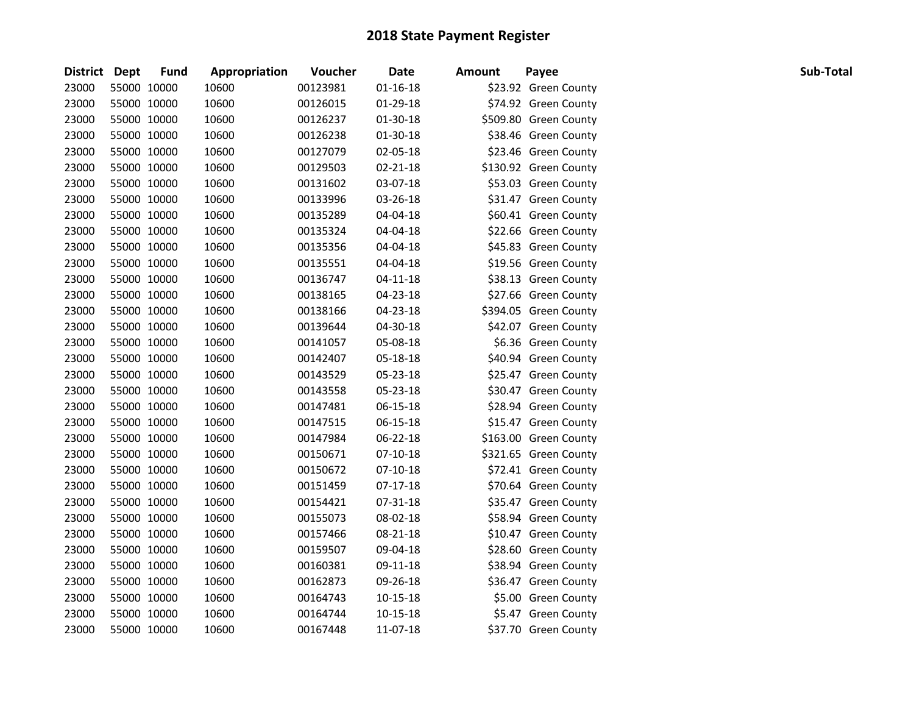| District Dept |             | <b>Fund</b> | Appropriation | Voucher  | <b>Date</b>    | <b>Amount</b> | Payee                 | Sub-Total |
|---------------|-------------|-------------|---------------|----------|----------------|---------------|-----------------------|-----------|
| 23000         | 55000 10000 |             | 10600         | 00123981 | $01 - 16 - 18$ |               | \$23.92 Green County  |           |
| 23000         | 55000 10000 |             | 10600         | 00126015 | 01-29-18       |               | \$74.92 Green County  |           |
| 23000         | 55000 10000 |             | 10600         | 00126237 | 01-30-18       |               | \$509.80 Green County |           |
| 23000         | 55000 10000 |             | 10600         | 00126238 | 01-30-18       |               | \$38.46 Green County  |           |
| 23000         | 55000 10000 |             | 10600         | 00127079 | 02-05-18       |               | \$23.46 Green County  |           |
| 23000         | 55000 10000 |             | 10600         | 00129503 | 02-21-18       |               | \$130.92 Green County |           |
| 23000         | 55000 10000 |             | 10600         | 00131602 | 03-07-18       |               | \$53.03 Green County  |           |
| 23000         | 55000 10000 |             | 10600         | 00133996 | 03-26-18       |               | \$31.47 Green County  |           |
| 23000         | 55000 10000 |             | 10600         | 00135289 | 04-04-18       |               | \$60.41 Green County  |           |
| 23000         | 55000 10000 |             | 10600         | 00135324 | 04-04-18       |               | \$22.66 Green County  |           |
| 23000         | 55000 10000 |             | 10600         | 00135356 | 04-04-18       |               | \$45.83 Green County  |           |
| 23000         | 55000 10000 |             | 10600         | 00135551 | 04-04-18       |               | \$19.56 Green County  |           |
| 23000         | 55000 10000 |             | 10600         | 00136747 | $04 - 11 - 18$ |               | \$38.13 Green County  |           |
| 23000         | 55000 10000 |             | 10600         | 00138165 | 04-23-18       |               | \$27.66 Green County  |           |
| 23000         | 55000 10000 |             | 10600         | 00138166 | 04-23-18       |               | \$394.05 Green County |           |
| 23000         | 55000 10000 |             | 10600         | 00139644 | 04-30-18       |               | \$42.07 Green County  |           |
| 23000         | 55000 10000 |             | 10600         | 00141057 | 05-08-18       |               | \$6.36 Green County   |           |
| 23000         | 55000 10000 |             | 10600         | 00142407 | 05-18-18       |               | \$40.94 Green County  |           |
| 23000         | 55000 10000 |             | 10600         | 00143529 | 05-23-18       |               | \$25.47 Green County  |           |
| 23000         | 55000 10000 |             | 10600         | 00143558 | 05-23-18       |               | \$30.47 Green County  |           |
| 23000         | 55000 10000 |             | 10600         | 00147481 | 06-15-18       |               | \$28.94 Green County  |           |
| 23000         | 55000 10000 |             | 10600         | 00147515 | 06-15-18       |               | \$15.47 Green County  |           |
| 23000         | 55000 10000 |             | 10600         | 00147984 | 06-22-18       |               | \$163.00 Green County |           |
| 23000         | 55000 10000 |             | 10600         | 00150671 | 07-10-18       |               | \$321.65 Green County |           |
| 23000         | 55000 10000 |             | 10600         | 00150672 | 07-10-18       |               | \$72.41 Green County  |           |
| 23000         | 55000 10000 |             | 10600         | 00151459 | $07-17-18$     |               | \$70.64 Green County  |           |
| 23000         | 55000 10000 |             | 10600         | 00154421 | 07-31-18       |               | \$35.47 Green County  |           |
| 23000         | 55000 10000 |             | 10600         | 00155073 | 08-02-18       |               | \$58.94 Green County  |           |
| 23000         | 55000 10000 |             | 10600         | 00157466 | 08-21-18       |               | \$10.47 Green County  |           |
| 23000         | 55000 10000 |             | 10600         | 00159507 | 09-04-18       |               | \$28.60 Green County  |           |
| 23000         | 55000 10000 |             | 10600         | 00160381 | 09-11-18       |               | \$38.94 Green County  |           |
| 23000         | 55000 10000 |             | 10600         | 00162873 | 09-26-18       |               | \$36.47 Green County  |           |
| 23000         | 55000 10000 |             | 10600         | 00164743 | 10-15-18       |               | \$5.00 Green County   |           |
| 23000         | 55000 10000 |             | 10600         | 00164744 | 10-15-18       |               | \$5.47 Green County   |           |
| 23000         | 55000 10000 |             | 10600         | 00167448 | 11-07-18       |               | \$37.70 Green County  |           |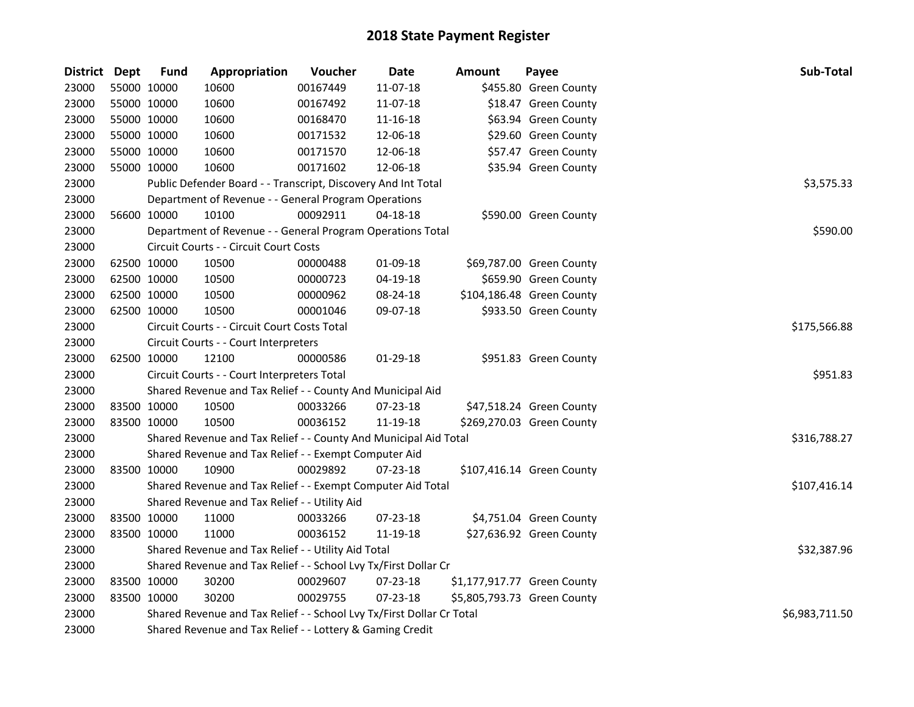| District Dept | <b>Fund</b>                                                     | Appropriation                                                               | Voucher  | <b>Date</b> | <b>Amount</b> | Payee                       | Sub-Total      |  |  |  |
|---------------|-----------------------------------------------------------------|-----------------------------------------------------------------------------|----------|-------------|---------------|-----------------------------|----------------|--|--|--|
| 23000         | 55000 10000                                                     | 10600                                                                       | 00167449 | 11-07-18    |               | \$455.80 Green County       |                |  |  |  |
| 23000         | 55000 10000                                                     | 10600                                                                       | 00167492 | 11-07-18    |               | \$18.47 Green County        |                |  |  |  |
| 23000         | 55000 10000                                                     | 10600                                                                       | 00168470 | 11-16-18    |               | \$63.94 Green County        |                |  |  |  |
| 23000         | 55000 10000                                                     | 10600                                                                       | 00171532 | 12-06-18    |               | \$29.60 Green County        |                |  |  |  |
| 23000         | 55000 10000                                                     | 10600                                                                       | 00171570 | 12-06-18    |               | \$57.47 Green County        |                |  |  |  |
| 23000         | 55000 10000                                                     | 10600                                                                       | 00171602 | 12-06-18    |               | \$35.94 Green County        |                |  |  |  |
| 23000         |                                                                 | Public Defender Board - - Transcript, Discovery And Int Total<br>\$3,575.33 |          |             |               |                             |                |  |  |  |
| 23000         |                                                                 | Department of Revenue - - General Program Operations                        |          |             |               |                             |                |  |  |  |
| 23000         | 56600 10000                                                     | 10100                                                                       | 00092911 | 04-18-18    |               | \$590.00 Green County       |                |  |  |  |
| 23000         |                                                                 | Department of Revenue - - General Program Operations Total                  |          |             |               |                             | \$590.00       |  |  |  |
| 23000         |                                                                 | Circuit Courts - - Circuit Court Costs                                      |          |             |               |                             |                |  |  |  |
| 23000         | 62500 10000                                                     | 10500                                                                       | 00000488 | 01-09-18    |               | \$69,787.00 Green County    |                |  |  |  |
| 23000         | 62500 10000                                                     | 10500                                                                       | 00000723 | 04-19-18    |               | \$659.90 Green County       |                |  |  |  |
| 23000         | 62500 10000                                                     | 10500                                                                       | 00000962 | 08-24-18    |               | \$104,186.48 Green County   |                |  |  |  |
| 23000         | 62500 10000                                                     | 10500                                                                       | 00001046 | 09-07-18    |               | \$933.50 Green County       |                |  |  |  |
| 23000         |                                                                 | \$175,566.88<br>Circuit Courts - - Circuit Court Costs Total                |          |             |               |                             |                |  |  |  |
| 23000         |                                                                 | Circuit Courts - - Court Interpreters                                       |          |             |               |                             |                |  |  |  |
| 23000         | 62500 10000                                                     | 12100                                                                       | 00000586 | 01-29-18    |               | \$951.83 Green County       |                |  |  |  |
| 23000         |                                                                 | Circuit Courts - - Court Interpreters Total                                 |          |             |               |                             | \$951.83       |  |  |  |
| 23000         |                                                                 | Shared Revenue and Tax Relief - - County And Municipal Aid                  |          |             |               |                             |                |  |  |  |
| 23000         | 83500 10000                                                     | 10500                                                                       | 00033266 | 07-23-18    |               | \$47,518.24 Green County    |                |  |  |  |
| 23000         | 83500 10000                                                     | 10500                                                                       | 00036152 | 11-19-18    |               | \$269,270.03 Green County   |                |  |  |  |
| 23000         |                                                                 | Shared Revenue and Tax Relief - - County And Municipal Aid Total            |          |             |               |                             | \$316,788.27   |  |  |  |
| 23000         |                                                                 | Shared Revenue and Tax Relief - - Exempt Computer Aid                       |          |             |               |                             |                |  |  |  |
| 23000         | 83500 10000                                                     | 10900                                                                       | 00029892 | 07-23-18    |               | \$107,416.14 Green County   |                |  |  |  |
| 23000         |                                                                 | Shared Revenue and Tax Relief - - Exempt Computer Aid Total                 |          |             |               |                             | \$107,416.14   |  |  |  |
| 23000         |                                                                 | Shared Revenue and Tax Relief - - Utility Aid                               |          |             |               |                             |                |  |  |  |
| 23000         | 83500 10000                                                     | 11000                                                                       | 00033266 | 07-23-18    |               | \$4,751.04 Green County     |                |  |  |  |
| 23000         | 83500 10000                                                     | 11000                                                                       | 00036152 | 11-19-18    |               | \$27,636.92 Green County    |                |  |  |  |
| 23000         |                                                                 | Shared Revenue and Tax Relief - - Utility Aid Total                         |          |             |               |                             | \$32,387.96    |  |  |  |
| 23000         | Shared Revenue and Tax Relief - - School Lvy Tx/First Dollar Cr |                                                                             |          |             |               |                             |                |  |  |  |
| 23000         | 83500 10000                                                     | 30200                                                                       | 00029607 | 07-23-18    |               | \$1,177,917.77 Green County |                |  |  |  |
| 23000         | 83500 10000                                                     | 30200                                                                       | 00029755 | 07-23-18    |               | \$5,805,793.73 Green County |                |  |  |  |
| 23000         |                                                                 | Shared Revenue and Tax Relief - - School Lvy Tx/First Dollar Cr Total       |          |             |               |                             | \$6,983,711.50 |  |  |  |
| 23000         |                                                                 | Shared Revenue and Tax Relief - - Lottery & Gaming Credit                   |          |             |               |                             |                |  |  |  |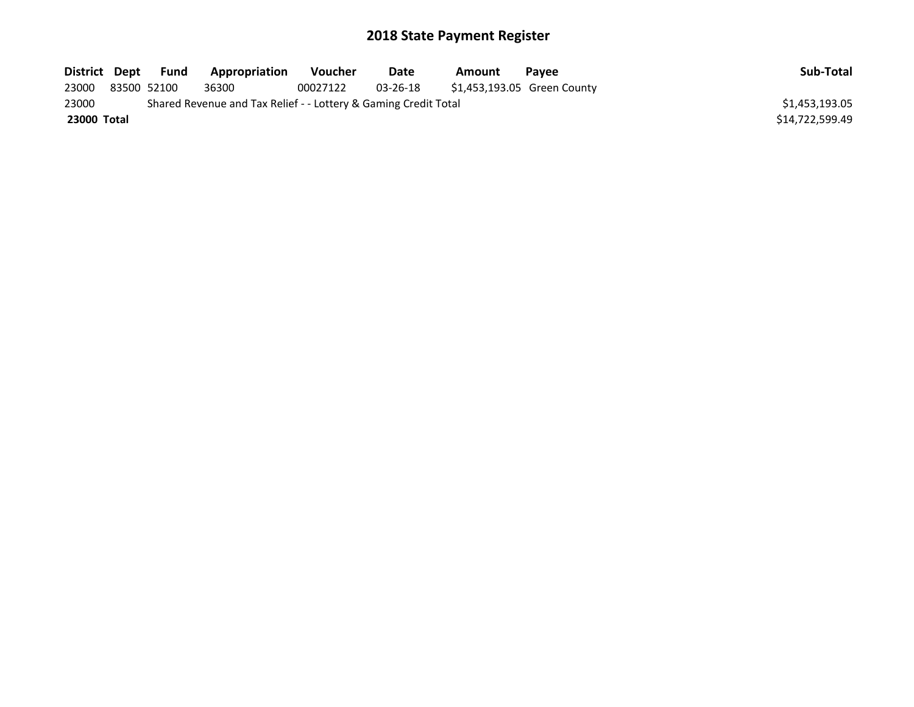| District Dept | Fund        | Appropriation                                                   | Voucher  | Date     | Amount | <b>Pavee</b>                | Sub-Total       |
|---------------|-------------|-----------------------------------------------------------------|----------|----------|--------|-----------------------------|-----------------|
| 23000         | 83500 52100 | 36300                                                           | 00027122 | 03-26-18 |        | \$1,453,193.05 Green County |                 |
| 23000         |             | Shared Revenue and Tax Relief - - Lottery & Gaming Credit Total |          |          |        |                             | \$1,453,193.05  |
| 23000 Total   |             |                                                                 |          |          |        |                             | \$14.722.599.49 |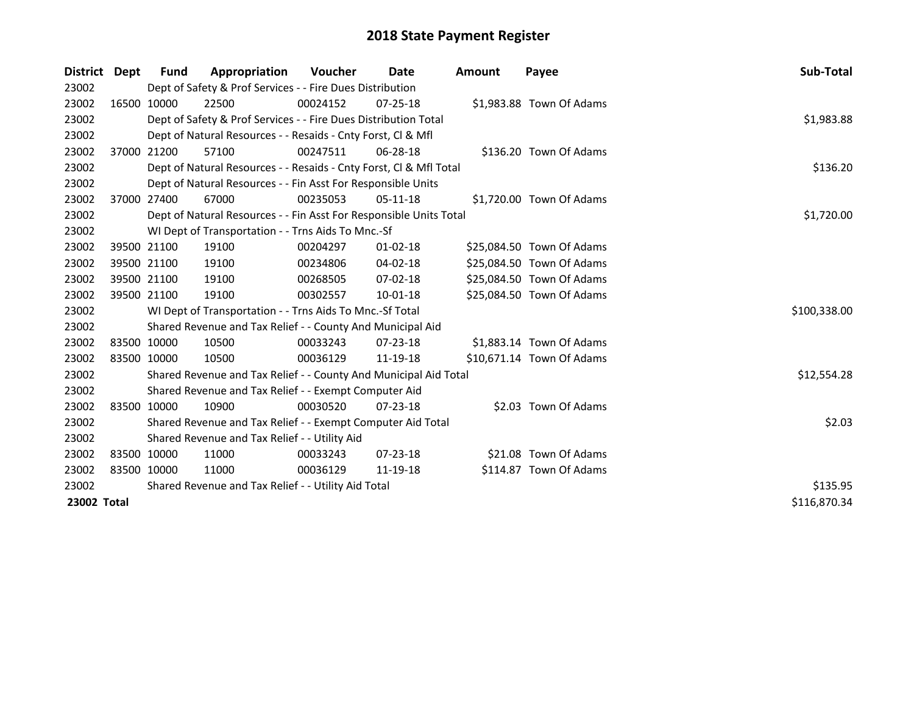| District Dept | <b>Fund</b> | Appropriation                                                      | <b>Voucher</b> | Date           | <b>Amount</b> | Payee                     | Sub-Total    |
|---------------|-------------|--------------------------------------------------------------------|----------------|----------------|---------------|---------------------------|--------------|
| 23002         |             | Dept of Safety & Prof Services - - Fire Dues Distribution          |                |                |               |                           |              |
| 23002         | 16500 10000 | 22500                                                              | 00024152       | $07 - 25 - 18$ |               | \$1,983.88 Town Of Adams  |              |
| 23002         |             | Dept of Safety & Prof Services - - Fire Dues Distribution Total    |                |                |               |                           | \$1,983.88   |
| 23002         |             | Dept of Natural Resources - - Resaids - Cnty Forst, CI & Mfl       |                |                |               |                           |              |
| 23002         | 37000 21200 | 57100                                                              | 00247511       | 06-28-18       |               | \$136.20 Town Of Adams    |              |
| 23002         |             | Dept of Natural Resources - - Resaids - Cnty Forst, Cl & Mfl Total |                |                |               |                           | \$136.20     |
| 23002         |             | Dept of Natural Resources - - Fin Asst For Responsible Units       |                |                |               |                           |              |
| 23002         | 37000 27400 | 67000                                                              | 00235053       | $05-11-18$     |               | \$1,720.00 Town Of Adams  |              |
| 23002         |             | Dept of Natural Resources - - Fin Asst For Responsible Units Total |                |                |               |                           | \$1,720.00   |
| 23002         |             | WI Dept of Transportation - - Trns Aids To Mnc.-Sf                 |                |                |               |                           |              |
| 23002         | 39500 21100 | 19100                                                              | 00204297       | $01-02-18$     |               | \$25,084.50 Town Of Adams |              |
| 23002         | 39500 21100 | 19100                                                              | 00234806       | 04-02-18       |               | \$25,084.50 Town Of Adams |              |
| 23002         | 39500 21100 | 19100                                                              | 00268505       | 07-02-18       |               | \$25,084.50 Town Of Adams |              |
| 23002         | 39500 21100 | 19100                                                              | 00302557       | 10-01-18       |               | \$25,084.50 Town Of Adams |              |
| 23002         |             | WI Dept of Transportation - - Trns Aids To Mnc.-Sf Total           |                |                |               |                           | \$100,338.00 |
| 23002         |             | Shared Revenue and Tax Relief - - County And Municipal Aid         |                |                |               |                           |              |
| 23002         | 83500 10000 | 10500                                                              | 00033243       | $07 - 23 - 18$ |               | \$1,883.14 Town Of Adams  |              |
| 23002         | 83500 10000 | 10500                                                              | 00036129       | 11-19-18       |               | \$10,671.14 Town Of Adams |              |
| 23002         |             | Shared Revenue and Tax Relief - - County And Municipal Aid Total   |                |                |               |                           | \$12,554.28  |
| 23002         |             | Shared Revenue and Tax Relief - - Exempt Computer Aid              |                |                |               |                           |              |
| 23002         | 83500 10000 | 10900                                                              | 00030520       | $07 - 23 - 18$ |               | \$2.03 Town Of Adams      |              |
| 23002         |             | Shared Revenue and Tax Relief - - Exempt Computer Aid Total        |                |                |               |                           | \$2.03       |
| 23002         |             | Shared Revenue and Tax Relief - - Utility Aid                      |                |                |               |                           |              |
| 23002         | 83500 10000 | 11000                                                              | 00033243       | $07 - 23 - 18$ |               | \$21.08 Town Of Adams     |              |
| 23002         | 83500 10000 | 11000                                                              | 00036129       | 11-19-18       |               | \$114.87 Town Of Adams    |              |
| 23002         |             | Shared Revenue and Tax Relief - - Utility Aid Total                | \$135.95       |                |               |                           |              |
| 23002 Total   |             |                                                                    |                |                |               |                           | \$116,870.34 |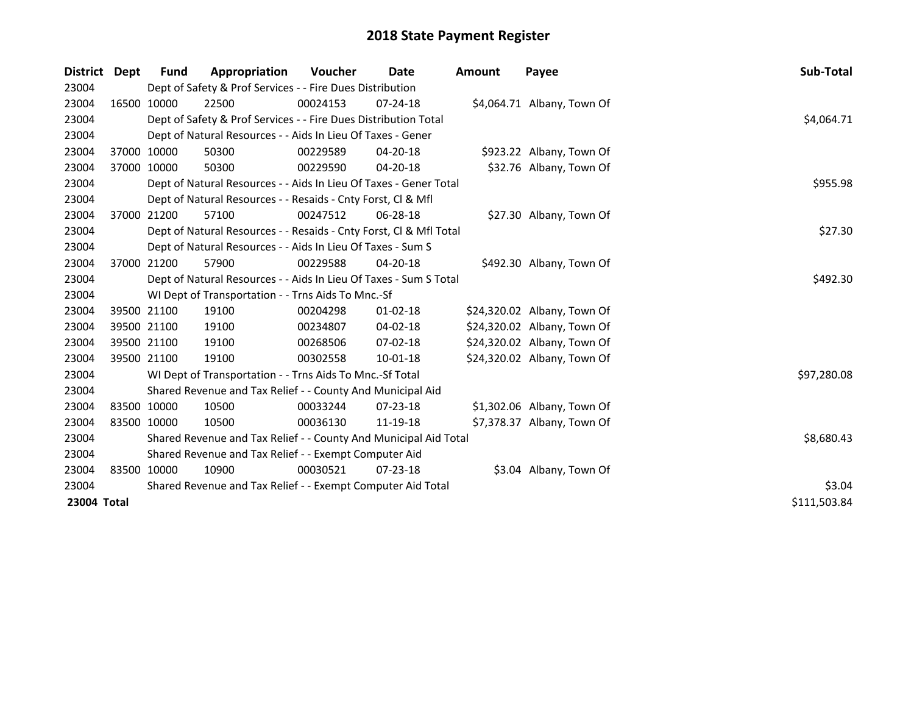| District Dept |             | <b>Fund</b> | Appropriation                                                      | <b>Voucher</b> | Date           | <b>Amount</b> | Payee                       | Sub-Total    |
|---------------|-------------|-------------|--------------------------------------------------------------------|----------------|----------------|---------------|-----------------------------|--------------|
| 23004         |             |             | Dept of Safety & Prof Services - - Fire Dues Distribution          |                |                |               |                             |              |
| 23004         |             | 16500 10000 | 22500                                                              | 00024153       | $07 - 24 - 18$ |               | \$4,064.71 Albany, Town Of  |              |
| 23004         |             |             | Dept of Safety & Prof Services - - Fire Dues Distribution Total    |                |                |               |                             | \$4,064.71   |
| 23004         |             |             | Dept of Natural Resources - - Aids In Lieu Of Taxes - Gener        |                |                |               |                             |              |
| 23004         |             | 37000 10000 | 50300                                                              | 00229589       | 04-20-18       |               | \$923.22 Albany, Town Of    |              |
| 23004         |             | 37000 10000 | 50300                                                              | 00229590       | 04-20-18       |               | \$32.76 Albany, Town Of     |              |
| 23004         |             |             | Dept of Natural Resources - - Aids In Lieu Of Taxes - Gener Total  |                |                |               |                             | \$955.98     |
| 23004         |             |             | Dept of Natural Resources - - Resaids - Cnty Forst, Cl & Mfl       |                |                |               |                             |              |
| 23004         |             | 37000 21200 | 57100                                                              | 00247512       | $06 - 28 - 18$ |               | \$27.30 Albany, Town Of     |              |
| 23004         |             |             | Dept of Natural Resources - - Resaids - Cnty Forst, Cl & Mfl Total |                |                |               |                             | \$27.30      |
| 23004         |             |             | Dept of Natural Resources - - Aids In Lieu Of Taxes - Sum S        |                |                |               |                             |              |
| 23004         |             | 37000 21200 | 57900                                                              | 00229588       | 04-20-18       |               | \$492.30 Albany, Town Of    |              |
| 23004         |             |             | Dept of Natural Resources - - Aids In Lieu Of Taxes - Sum S Total  | \$492.30       |                |               |                             |              |
| 23004         |             |             | WI Dept of Transportation - - Trns Aids To Mnc.-Sf                 |                |                |               |                             |              |
| 23004         |             | 39500 21100 | 19100                                                              | 00204298       | $01 - 02 - 18$ |               | \$24,320.02 Albany, Town Of |              |
| 23004         |             | 39500 21100 | 19100                                                              | 00234807       | 04-02-18       |               | \$24,320.02 Albany, Town Of |              |
| 23004         |             | 39500 21100 | 19100                                                              | 00268506       | $07 - 02 - 18$ |               | \$24,320.02 Albany, Town Of |              |
| 23004         |             | 39500 21100 | 19100                                                              | 00302558       | $10 - 01 - 18$ |               | \$24,320.02 Albany, Town Of |              |
| 23004         |             |             | WI Dept of Transportation - - Trns Aids To Mnc.-Sf Total           |                |                |               |                             | \$97,280.08  |
| 23004         |             |             | Shared Revenue and Tax Relief - - County And Municipal Aid         |                |                |               |                             |              |
| 23004         |             | 83500 10000 | 10500                                                              | 00033244       | $07 - 23 - 18$ |               | \$1,302.06 Albany, Town Of  |              |
| 23004         | 83500 10000 |             | 10500                                                              | 00036130       | 11-19-18       |               | \$7,378.37 Albany, Town Of  |              |
| 23004         |             |             | Shared Revenue and Tax Relief - - County And Municipal Aid Total   |                |                |               |                             | \$8,680.43   |
| 23004         |             |             | Shared Revenue and Tax Relief - - Exempt Computer Aid              |                |                |               |                             |              |
| 23004         |             | 83500 10000 | 10900                                                              | 00030521       | $07 - 23 - 18$ |               | \$3.04 Albany, Town Of      |              |
| 23004         |             |             | Shared Revenue and Tax Relief - - Exempt Computer Aid Total        |                |                |               |                             | \$3.04       |
| 23004 Total   |             |             |                                                                    |                |                |               |                             | \$111,503.84 |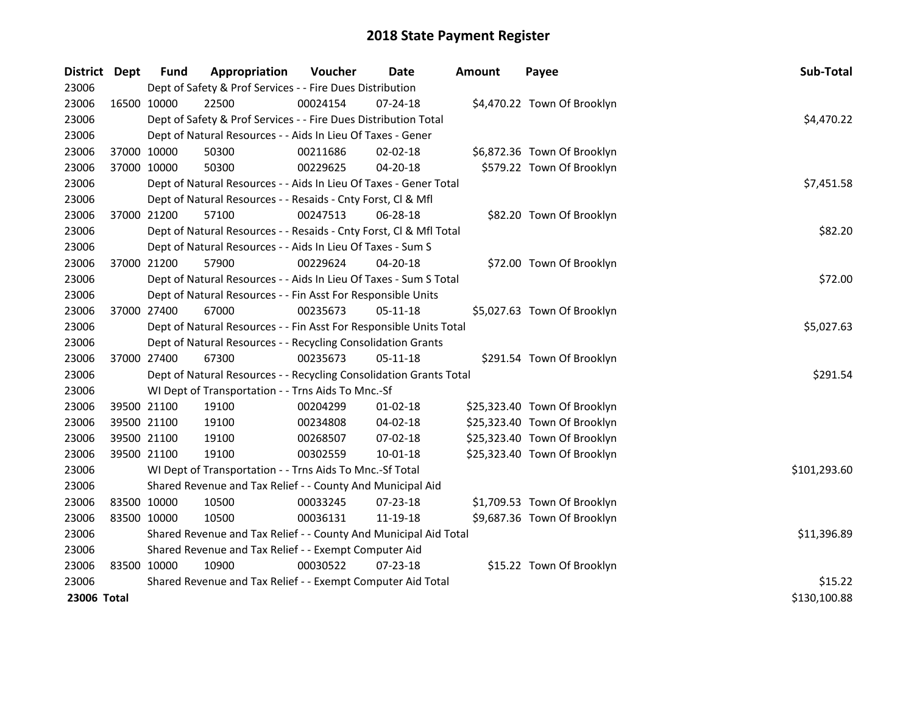| District Dept |             | <b>Fund</b>                                                                     | Appropriation                                                                 | Voucher  | <b>Date</b>    | <b>Amount</b> | Payee                        | Sub-Total    |  |  |  |
|---------------|-------------|---------------------------------------------------------------------------------|-------------------------------------------------------------------------------|----------|----------------|---------------|------------------------------|--------------|--|--|--|
| 23006         |             |                                                                                 | Dept of Safety & Prof Services - - Fire Dues Distribution                     |          |                |               |                              |              |  |  |  |
| 23006         | 16500 10000 |                                                                                 | 22500                                                                         | 00024154 | 07-24-18       |               | \$4,470.22 Town Of Brooklyn  |              |  |  |  |
| 23006         |             |                                                                                 | Dept of Safety & Prof Services - - Fire Dues Distribution Total               |          |                |               |                              | \$4,470.22   |  |  |  |
| 23006         |             |                                                                                 | Dept of Natural Resources - - Aids In Lieu Of Taxes - Gener                   |          |                |               |                              |              |  |  |  |
| 23006         |             | 37000 10000                                                                     | 50300                                                                         | 00211686 | 02-02-18       |               | \$6,872.36 Town Of Brooklyn  |              |  |  |  |
| 23006         |             | 37000 10000                                                                     | 50300                                                                         | 00229625 | 04-20-18       |               | \$579.22 Town Of Brooklyn    |              |  |  |  |
| 23006         |             |                                                                                 | Dept of Natural Resources - - Aids In Lieu Of Taxes - Gener Total             |          |                |               |                              | \$7,451.58   |  |  |  |
| 23006         |             |                                                                                 | Dept of Natural Resources - - Resaids - Cnty Forst, Cl & Mfl                  |          |                |               |                              |              |  |  |  |
| 23006         |             | 37000 21200                                                                     | 57100                                                                         | 00247513 | 06-28-18       |               | \$82.20 Town Of Brooklyn     |              |  |  |  |
| 23006         |             |                                                                                 | Dept of Natural Resources - - Resaids - Cnty Forst, Cl & Mfl Total<br>\$82.20 |          |                |               |                              |              |  |  |  |
| 23006         |             |                                                                                 | Dept of Natural Resources - - Aids In Lieu Of Taxes - Sum S                   |          |                |               |                              |              |  |  |  |
| 23006         |             | 37000 21200                                                                     | 57900                                                                         | 00229624 | 04-20-18       |               | \$72.00 Town Of Brooklyn     |              |  |  |  |
| 23006         |             |                                                                                 | Dept of Natural Resources - - Aids In Lieu Of Taxes - Sum S Total             |          |                |               |                              | \$72.00      |  |  |  |
| 23006         |             |                                                                                 | Dept of Natural Resources - - Fin Asst For Responsible Units                  |          |                |               |                              |              |  |  |  |
| 23006         |             | 37000 27400                                                                     | 67000                                                                         | 00235673 | 05-11-18       |               | \$5,027.63 Town Of Brooklyn  |              |  |  |  |
| 23006         |             | Dept of Natural Resources - - Fin Asst For Responsible Units Total              |                                                                               |          |                |               |                              |              |  |  |  |
| 23006         |             |                                                                                 | Dept of Natural Resources - - Recycling Consolidation Grants                  |          |                |               |                              |              |  |  |  |
| 23006         |             | 37000 27400                                                                     | 67300                                                                         | 00235673 | 05-11-18       |               | \$291.54 Town Of Brooklyn    |              |  |  |  |
| 23006         |             |                                                                                 | Dept of Natural Resources - - Recycling Consolidation Grants Total            |          |                |               |                              | \$291.54     |  |  |  |
| 23006         |             |                                                                                 | WI Dept of Transportation - - Trns Aids To Mnc.-Sf                            |          |                |               |                              |              |  |  |  |
| 23006         |             | 39500 21100                                                                     | 19100                                                                         | 00204299 | $01 - 02 - 18$ |               | \$25,323.40 Town Of Brooklyn |              |  |  |  |
| 23006         |             | 39500 21100                                                                     | 19100                                                                         | 00234808 | 04-02-18       |               | \$25,323.40 Town Of Brooklyn |              |  |  |  |
| 23006         |             | 39500 21100                                                                     | 19100                                                                         | 00268507 | 07-02-18       |               | \$25,323.40 Town Of Brooklyn |              |  |  |  |
| 23006         |             | 39500 21100                                                                     | 19100                                                                         | 00302559 | 10-01-18       |               | \$25,323.40 Town Of Brooklyn |              |  |  |  |
| 23006         |             |                                                                                 | WI Dept of Transportation - - Trns Aids To Mnc.-Sf Total                      |          |                |               |                              | \$101,293.60 |  |  |  |
| 23006         |             |                                                                                 | Shared Revenue and Tax Relief - - County And Municipal Aid                    |          |                |               |                              |              |  |  |  |
| 23006         | 83500 10000 |                                                                                 | 10500                                                                         | 00033245 | 07-23-18       |               | \$1,709.53 Town Of Brooklyn  |              |  |  |  |
| 23006         | 83500 10000 |                                                                                 | 10500                                                                         | 00036131 | 11-19-18       |               | \$9,687.36 Town Of Brooklyn  |              |  |  |  |
| 23006         |             | \$11,396.89<br>Shared Revenue and Tax Relief - - County And Municipal Aid Total |                                                                               |          |                |               |                              |              |  |  |  |
| 23006         |             | Shared Revenue and Tax Relief - - Exempt Computer Aid                           |                                                                               |          |                |               |                              |              |  |  |  |
| 23006         | 83500 10000 |                                                                                 | 10900                                                                         | 00030522 | 07-23-18       |               | \$15.22 Town Of Brooklyn     |              |  |  |  |
| 23006         |             |                                                                                 | Shared Revenue and Tax Relief - - Exempt Computer Aid Total                   |          |                |               |                              | \$15.22      |  |  |  |
| 23006 Total   |             |                                                                                 |                                                                               |          |                |               |                              | \$130,100.88 |  |  |  |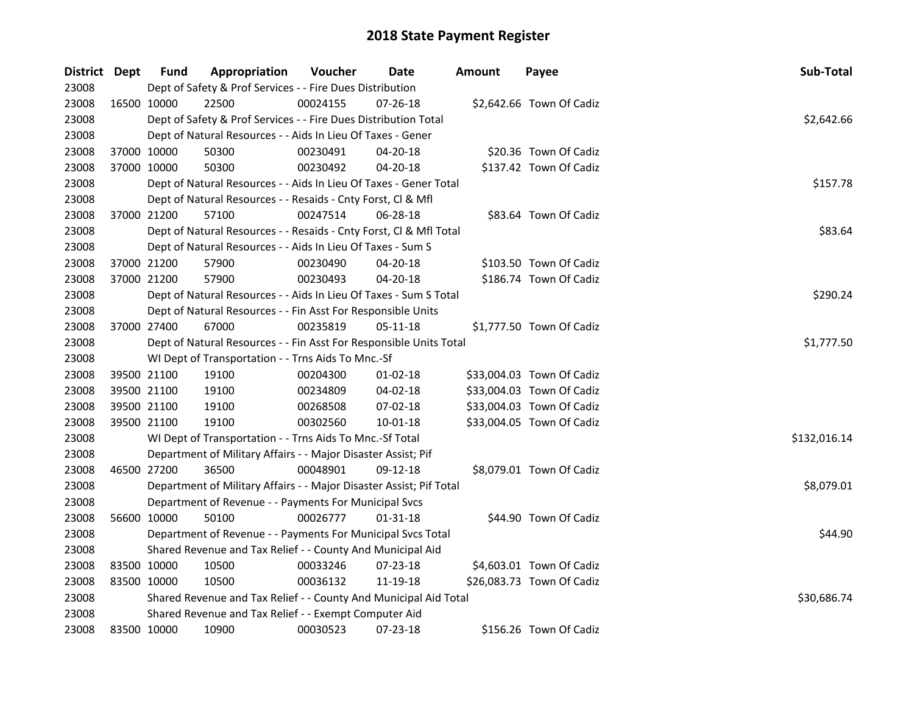| District Dept |             | <b>Fund</b> | Appropriation                                                       | Voucher  | Date           | <b>Amount</b> | Payee                     | Sub-Total    |  |  |  |
|---------------|-------------|-------------|---------------------------------------------------------------------|----------|----------------|---------------|---------------------------|--------------|--|--|--|
| 23008         |             |             | Dept of Safety & Prof Services - - Fire Dues Distribution           |          |                |               |                           |              |  |  |  |
| 23008         |             | 16500 10000 | 22500                                                               | 00024155 | 07-26-18       |               | \$2,642.66 Town Of Cadiz  |              |  |  |  |
| 23008         |             |             | Dept of Safety & Prof Services - - Fire Dues Distribution Total     |          |                |               |                           | \$2,642.66   |  |  |  |
| 23008         |             |             | Dept of Natural Resources - - Aids In Lieu Of Taxes - Gener         |          |                |               |                           |              |  |  |  |
| 23008         |             | 37000 10000 | 50300                                                               | 00230491 | 04-20-18       |               | \$20.36 Town Of Cadiz     |              |  |  |  |
| 23008         |             | 37000 10000 | 50300                                                               | 00230492 | $04 - 20 - 18$ |               | \$137.42 Town Of Cadiz    |              |  |  |  |
| 23008         |             |             | Dept of Natural Resources - - Aids In Lieu Of Taxes - Gener Total   |          |                |               |                           | \$157.78     |  |  |  |
| 23008         |             |             | Dept of Natural Resources - - Resaids - Cnty Forst, Cl & Mfl        |          |                |               |                           |              |  |  |  |
| 23008         |             | 37000 21200 | 57100                                                               | 00247514 | 06-28-18       |               | \$83.64 Town Of Cadiz     |              |  |  |  |
| 23008         |             |             | Dept of Natural Resources - - Resaids - Cnty Forst, Cl & Mfl Total  |          |                |               |                           | \$83.64      |  |  |  |
| 23008         |             |             | Dept of Natural Resources - - Aids In Lieu Of Taxes - Sum S         |          |                |               |                           |              |  |  |  |
| 23008         |             | 37000 21200 | 57900                                                               | 00230490 | 04-20-18       |               | \$103.50 Town Of Cadiz    |              |  |  |  |
| 23008         | 37000 21200 |             | 57900                                                               | 00230493 | 04-20-18       |               | \$186.74 Town Of Cadiz    |              |  |  |  |
| 23008         |             |             | Dept of Natural Resources - - Aids In Lieu Of Taxes - Sum S Total   |          |                |               |                           | \$290.24     |  |  |  |
| 23008         |             |             | Dept of Natural Resources - - Fin Asst For Responsible Units        |          |                |               |                           |              |  |  |  |
| 23008         |             | 37000 27400 | 67000                                                               | 00235819 | $05 - 11 - 18$ |               | \$1,777.50 Town Of Cadiz  |              |  |  |  |
| 23008         |             |             | Dept of Natural Resources - - Fin Asst For Responsible Units Total  |          |                |               |                           | \$1,777.50   |  |  |  |
| 23008         |             |             | WI Dept of Transportation - - Trns Aids To Mnc.-Sf                  |          |                |               |                           |              |  |  |  |
| 23008         |             | 39500 21100 | 19100                                                               | 00204300 | $01 - 02 - 18$ |               | \$33,004.03 Town Of Cadiz |              |  |  |  |
| 23008         |             | 39500 21100 | 19100                                                               | 00234809 | 04-02-18       |               | \$33,004.03 Town Of Cadiz |              |  |  |  |
| 23008         |             | 39500 21100 | 19100                                                               | 00268508 | 07-02-18       |               | \$33,004.03 Town Of Cadiz |              |  |  |  |
| 23008         |             | 39500 21100 | 19100                                                               | 00302560 | $10 - 01 - 18$ |               | \$33,004.05 Town Of Cadiz |              |  |  |  |
| 23008         |             |             | WI Dept of Transportation - - Trns Aids To Mnc.-Sf Total            |          |                |               |                           | \$132,016.14 |  |  |  |
| 23008         |             |             | Department of Military Affairs - - Major Disaster Assist; Pif       |          |                |               |                           |              |  |  |  |
| 23008         | 46500 27200 |             | 36500                                                               | 00048901 | 09-12-18       |               | \$8,079.01 Town Of Cadiz  |              |  |  |  |
| 23008         |             |             | Department of Military Affairs - - Major Disaster Assist; Pif Total |          |                |               |                           | \$8,079.01   |  |  |  |
| 23008         |             |             | Department of Revenue - - Payments For Municipal Svcs               |          |                |               |                           |              |  |  |  |
| 23008         | 56600 10000 |             | 50100                                                               | 00026777 | 01-31-18       |               | \$44.90 Town Of Cadiz     |              |  |  |  |
| 23008         |             |             | Department of Revenue - - Payments For Municipal Svcs Total         |          |                |               |                           | \$44.90      |  |  |  |
| 23008         |             |             | Shared Revenue and Tax Relief - - County And Municipal Aid          |          |                |               |                           |              |  |  |  |
| 23008         |             | 83500 10000 | 10500                                                               | 00033246 | 07-23-18       |               | \$4,603.01 Town Of Cadiz  |              |  |  |  |
| 23008         |             | 83500 10000 | 10500                                                               | 00036132 | 11-19-18       |               | \$26,083.73 Town Of Cadiz |              |  |  |  |
| 23008         |             |             | Shared Revenue and Tax Relief - - County And Municipal Aid Total    |          |                |               |                           | \$30,686.74  |  |  |  |
| 23008         |             |             | Shared Revenue and Tax Relief - - Exempt Computer Aid               |          |                |               |                           |              |  |  |  |
| 23008         |             | 83500 10000 | 10900                                                               | 00030523 | 07-23-18       |               | \$156.26 Town Of Cadiz    |              |  |  |  |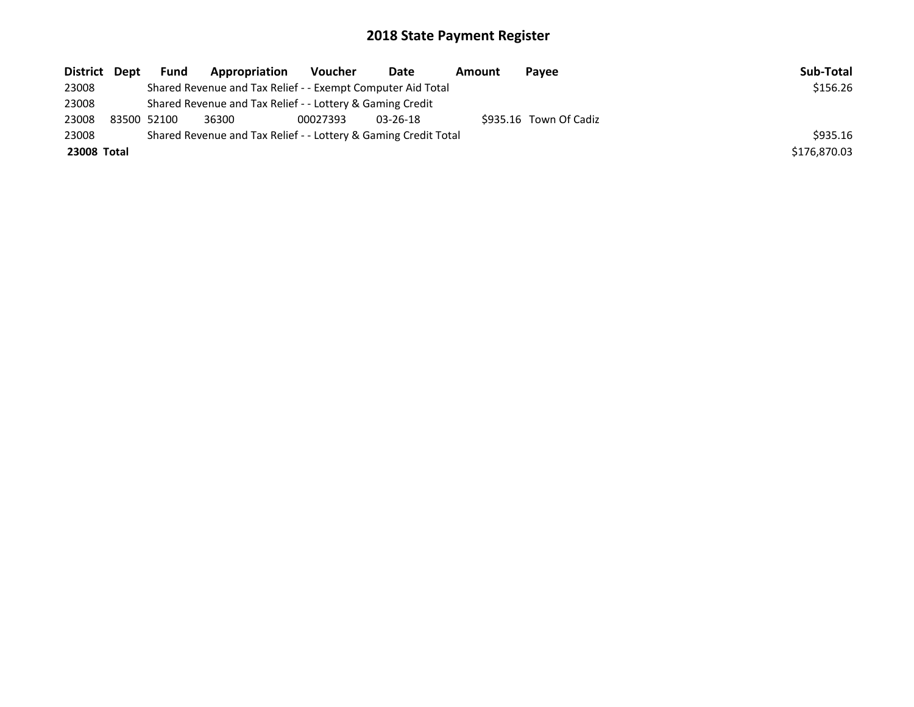| District Dept | <b>Fund</b> | Appropriation                                                   | Voucher  | Date           | Amount | Pavee                  | Sub-Total    |
|---------------|-------------|-----------------------------------------------------------------|----------|----------------|--------|------------------------|--------------|
| 23008         |             | Shared Revenue and Tax Relief - - Exempt Computer Aid Total     |          |                |        |                        | \$156.26     |
| 23008         |             | Shared Revenue and Tax Relief - - Lottery & Gaming Credit       |          |                |        |                        |              |
| 23008         | 83500 52100 | 36300                                                           | 00027393 | $03 - 26 - 18$ |        | \$935.16 Town Of Cadiz |              |
| 23008         |             | Shared Revenue and Tax Relief - - Lottery & Gaming Credit Total |          |                |        |                        | \$935.16     |
| 23008 Total   |             |                                                                 |          |                |        |                        | \$176,870.03 |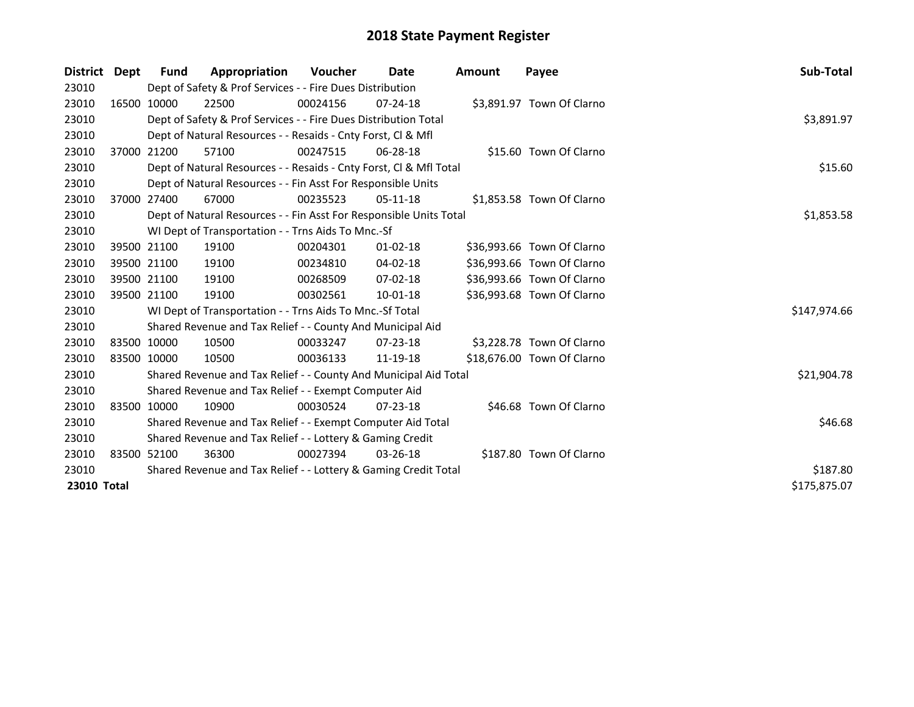| District Dept |             | Fund                                                            | Appropriation                                                      | <b>Voucher</b> | Date           | <b>Amount</b> | Payee                      | Sub-Total    |
|---------------|-------------|-----------------------------------------------------------------|--------------------------------------------------------------------|----------------|----------------|---------------|----------------------------|--------------|
| 23010         |             |                                                                 | Dept of Safety & Prof Services - - Fire Dues Distribution          |                |                |               |                            |              |
| 23010         |             | 16500 10000                                                     | 22500                                                              | 00024156       | $07 - 24 - 18$ |               | \$3,891.97 Town Of Clarno  |              |
| 23010         |             |                                                                 | Dept of Safety & Prof Services - - Fire Dues Distribution Total    | \$3,891.97     |                |               |                            |              |
| 23010         |             |                                                                 | Dept of Natural Resources - - Resaids - Cnty Forst, CI & Mfl       |                |                |               |                            |              |
| 23010         |             | 37000 21200                                                     | 57100                                                              | 00247515       | $06 - 28 - 18$ |               | \$15.60 Town Of Clarno     |              |
| 23010         |             |                                                                 | Dept of Natural Resources - - Resaids - Cnty Forst, Cl & Mfl Total |                |                |               |                            | \$15.60      |
| 23010         |             |                                                                 | Dept of Natural Resources - - Fin Asst For Responsible Units       |                |                |               |                            |              |
| 23010         |             | 37000 27400                                                     | 67000                                                              | 00235523       | $05-11-18$     |               | \$1,853.58 Town Of Clarno  |              |
| 23010         |             |                                                                 | Dept of Natural Resources - - Fin Asst For Responsible Units Total |                |                |               |                            | \$1,853.58   |
| 23010         |             |                                                                 | WI Dept of Transportation - - Trns Aids To Mnc.-Sf                 |                |                |               |                            |              |
| 23010         |             | 39500 21100                                                     | 19100                                                              | 00204301       | $01 - 02 - 18$ |               | \$36,993.66 Town Of Clarno |              |
| 23010         |             | 39500 21100                                                     | 19100                                                              | 00234810       | $04 - 02 - 18$ |               | \$36,993.66 Town Of Clarno |              |
| 23010         |             | 39500 21100                                                     | 19100                                                              | 00268509       | $07 - 02 - 18$ |               | \$36,993.66 Town Of Clarno |              |
| 23010         |             | 39500 21100                                                     | 19100                                                              | 00302561       | 10-01-18       |               | \$36,993.68 Town Of Clarno |              |
| 23010         |             |                                                                 | WI Dept of Transportation - - Trns Aids To Mnc.-Sf Total           |                |                |               |                            | \$147,974.66 |
| 23010         |             |                                                                 | Shared Revenue and Tax Relief - - County And Municipal Aid         |                |                |               |                            |              |
| 23010         |             | 83500 10000                                                     | 10500                                                              | 00033247       | 07-23-18       |               | \$3,228.78 Town Of Clarno  |              |
| 23010         | 83500 10000 |                                                                 | 10500                                                              | 00036133       | 11-19-18       |               | \$18,676.00 Town Of Clarno |              |
| 23010         |             |                                                                 | Shared Revenue and Tax Relief - - County And Municipal Aid Total   |                |                |               |                            | \$21,904.78  |
| 23010         |             |                                                                 | Shared Revenue and Tax Relief - - Exempt Computer Aid              |                |                |               |                            |              |
| 23010         |             | 83500 10000                                                     | 10900                                                              | 00030524       | $07 - 23 - 18$ |               | \$46.68 Town Of Clarno     |              |
| 23010         |             |                                                                 | Shared Revenue and Tax Relief - - Exempt Computer Aid Total        | \$46.68        |                |               |                            |              |
| 23010         |             |                                                                 | Shared Revenue and Tax Relief - - Lottery & Gaming Credit          |                |                |               |                            |              |
| 23010         |             | 83500 52100                                                     | 36300                                                              | 00027394       | $03 - 26 - 18$ |               | \$187.80 Town Of Clarno    |              |
| 23010         |             | Shared Revenue and Tax Relief - - Lottery & Gaming Credit Total | \$187.80                                                           |                |                |               |                            |              |
| 23010 Total   |             |                                                                 |                                                                    |                |                |               |                            | \$175,875.07 |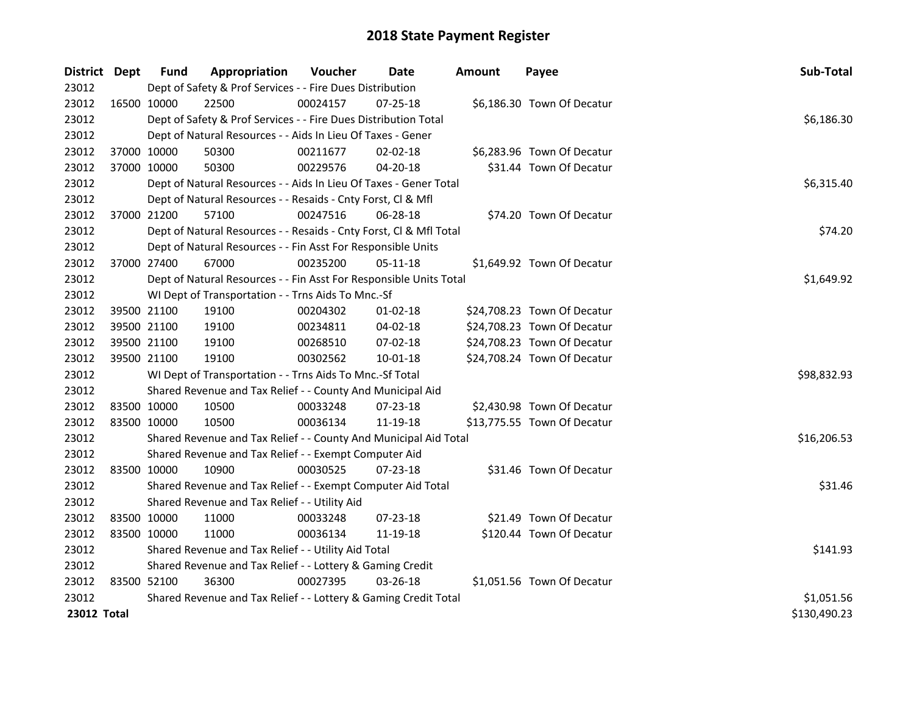| District Dept |             | <b>Fund</b> | Appropriation                                                      | Voucher    | Date           | <b>Amount</b> | Payee                       | Sub-Total    |
|---------------|-------------|-------------|--------------------------------------------------------------------|------------|----------------|---------------|-----------------------------|--------------|
| 23012         |             |             | Dept of Safety & Prof Services - - Fire Dues Distribution          |            |                |               |                             |              |
| 23012         | 16500 10000 |             | 22500                                                              | 00024157   | 07-25-18       |               | \$6,186.30 Town Of Decatur  |              |
| 23012         |             |             | Dept of Safety & Prof Services - - Fire Dues Distribution Total    |            |                |               |                             | \$6,186.30   |
| 23012         |             |             | Dept of Natural Resources - - Aids In Lieu Of Taxes - Gener        |            |                |               |                             |              |
| 23012         |             | 37000 10000 | 50300                                                              | 00211677   | $02 - 02 - 18$ |               | \$6,283.96 Town Of Decatur  |              |
| 23012         | 37000 10000 |             | 50300                                                              | 00229576   | 04-20-18       |               | \$31.44 Town Of Decatur     |              |
| 23012         |             |             | Dept of Natural Resources - - Aids In Lieu Of Taxes - Gener Total  |            |                |               |                             | \$6,315.40   |
| 23012         |             |             | Dept of Natural Resources - - Resaids - Cnty Forst, Cl & Mfl       |            |                |               |                             |              |
| 23012         | 37000 21200 |             | 57100                                                              | 00247516   | 06-28-18       |               | \$74.20 Town Of Decatur     |              |
| 23012         |             |             | Dept of Natural Resources - - Resaids - Cnty Forst, Cl & Mfl Total |            |                |               |                             | \$74.20      |
| 23012         |             |             | Dept of Natural Resources - - Fin Asst For Responsible Units       |            |                |               |                             |              |
| 23012         | 37000 27400 |             | 67000                                                              | 00235200   | $05 - 11 - 18$ |               | \$1,649.92 Town Of Decatur  |              |
| 23012         |             |             | Dept of Natural Resources - - Fin Asst For Responsible Units Total |            |                |               |                             | \$1,649.92   |
| 23012         |             |             | WI Dept of Transportation - - Trns Aids To Mnc.-Sf                 |            |                |               |                             |              |
| 23012         |             | 39500 21100 | 19100                                                              | 00204302   | $01 - 02 - 18$ |               | \$24,708.23 Town Of Decatur |              |
| 23012         |             | 39500 21100 | 19100                                                              | 00234811   | 04-02-18       |               | \$24,708.23 Town Of Decatur |              |
| 23012         |             | 39500 21100 | 19100                                                              | 00268510   | 07-02-18       |               | \$24,708.23 Town Of Decatur |              |
| 23012         | 39500 21100 |             | 19100                                                              | 00302562   | $10 - 01 - 18$ |               | \$24,708.24 Town Of Decatur |              |
| 23012         |             |             | WI Dept of Transportation - - Trns Aids To Mnc.-Sf Total           |            |                |               |                             | \$98,832.93  |
| 23012         |             |             | Shared Revenue and Tax Relief - - County And Municipal Aid         |            |                |               |                             |              |
| 23012         |             | 83500 10000 | 10500                                                              | 00033248   | 07-23-18       |               | \$2,430.98 Town Of Decatur  |              |
| 23012         | 83500 10000 |             | 10500                                                              | 00036134   | 11-19-18       |               | \$13,775.55 Town Of Decatur |              |
| 23012         |             |             | Shared Revenue and Tax Relief - - County And Municipal Aid Total   |            |                |               |                             | \$16,206.53  |
| 23012         |             |             | Shared Revenue and Tax Relief - - Exempt Computer Aid              |            |                |               |                             |              |
| 23012         | 83500 10000 |             | 10900                                                              | 00030525   | $07 - 23 - 18$ |               | \$31.46 Town Of Decatur     |              |
| 23012         |             |             | Shared Revenue and Tax Relief - - Exempt Computer Aid Total        |            |                |               |                             | \$31.46      |
| 23012         |             |             | Shared Revenue and Tax Relief - - Utility Aid                      |            |                |               |                             |              |
| 23012         |             | 83500 10000 | 11000                                                              | 00033248   | 07-23-18       |               | \$21.49 Town Of Decatur     |              |
| 23012         | 83500 10000 |             | 11000                                                              | 00036134   | 11-19-18       |               | \$120.44 Town Of Decatur    |              |
| 23012         |             |             | Shared Revenue and Tax Relief - - Utility Aid Total                |            |                |               |                             | \$141.93     |
| 23012         |             |             | Shared Revenue and Tax Relief - - Lottery & Gaming Credit          |            |                |               |                             |              |
| 23012         | 83500 52100 |             | 36300                                                              | 00027395   | 03-26-18       |               | \$1,051.56 Town Of Decatur  |              |
| 23012         |             |             | Shared Revenue and Tax Relief - - Lottery & Gaming Credit Total    | \$1,051.56 |                |               |                             |              |
| 23012 Total   |             |             |                                                                    |            |                |               |                             | \$130,490.23 |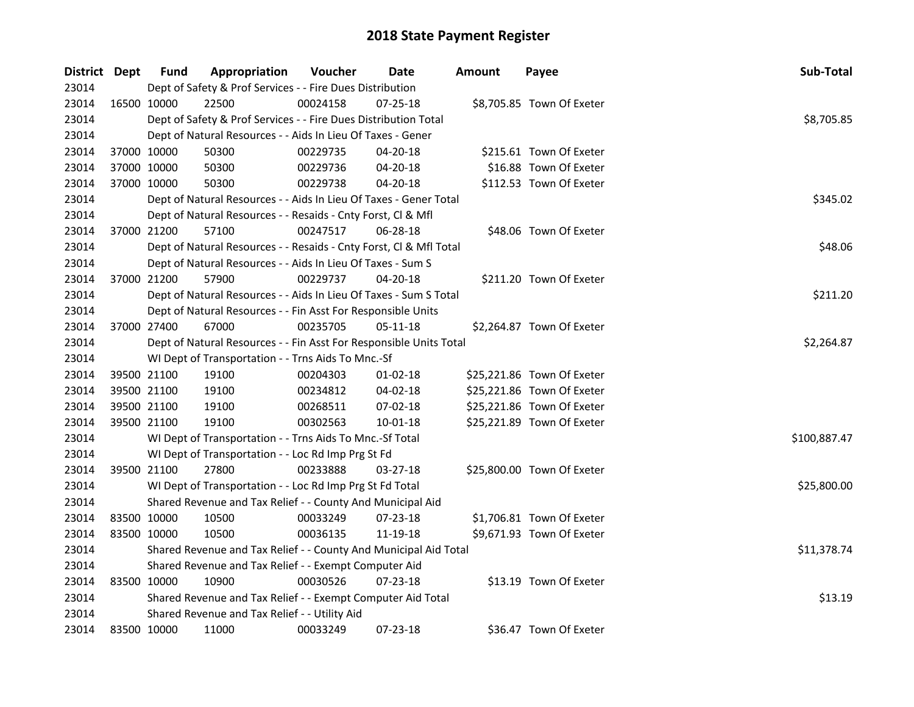| District Dept |             | <b>Fund</b> | Appropriation                                                      | Voucher  | Date           | <b>Amount</b> | Payee                      | Sub-Total    |  |  |  |
|---------------|-------------|-------------|--------------------------------------------------------------------|----------|----------------|---------------|----------------------------|--------------|--|--|--|
| 23014         |             |             | Dept of Safety & Prof Services - - Fire Dues Distribution          |          |                |               |                            |              |  |  |  |
| 23014         | 16500 10000 |             | 22500                                                              | 00024158 | 07-25-18       |               | \$8,705.85 Town Of Exeter  |              |  |  |  |
| 23014         |             |             | Dept of Safety & Prof Services - - Fire Dues Distribution Total    |          |                |               |                            | \$8,705.85   |  |  |  |
| 23014         |             |             | Dept of Natural Resources - - Aids In Lieu Of Taxes - Gener        |          |                |               |                            |              |  |  |  |
| 23014         |             | 37000 10000 | 50300                                                              | 00229735 | 04-20-18       |               | \$215.61 Town Of Exeter    |              |  |  |  |
| 23014         |             | 37000 10000 | 50300                                                              | 00229736 | 04-20-18       |               | \$16.88 Town Of Exeter     |              |  |  |  |
| 23014         | 37000 10000 |             | 50300                                                              | 00229738 | $04 - 20 - 18$ |               | \$112.53 Town Of Exeter    |              |  |  |  |
| 23014         |             |             | Dept of Natural Resources - - Aids In Lieu Of Taxes - Gener Total  |          |                |               |                            | \$345.02     |  |  |  |
| 23014         |             |             | Dept of Natural Resources - - Resaids - Cnty Forst, Cl & Mfl       |          |                |               |                            |              |  |  |  |
| 23014         |             | 37000 21200 | 57100                                                              | 00247517 | 06-28-18       |               | \$48.06 Town Of Exeter     |              |  |  |  |
| 23014         |             |             | Dept of Natural Resources - - Resaids - Cnty Forst, Cl & Mfl Total |          |                |               |                            | \$48.06      |  |  |  |
| 23014         |             |             | Dept of Natural Resources - - Aids In Lieu Of Taxes - Sum S        |          |                |               |                            |              |  |  |  |
| 23014         |             | 37000 21200 | 57900                                                              | 00229737 | 04-20-18       |               | \$211.20 Town Of Exeter    |              |  |  |  |
| 23014         |             |             | Dept of Natural Resources - - Aids In Lieu Of Taxes - Sum S Total  |          |                |               |                            | \$211.20     |  |  |  |
| 23014         |             |             | Dept of Natural Resources - - Fin Asst For Responsible Units       |          |                |               |                            |              |  |  |  |
| 23014         |             | 37000 27400 | 67000                                                              | 00235705 | 05-11-18       |               | \$2,264.87 Town Of Exeter  |              |  |  |  |
| 23014         |             |             | Dept of Natural Resources - - Fin Asst For Responsible Units Total |          |                |               |                            | \$2,264.87   |  |  |  |
| 23014         |             |             | WI Dept of Transportation - - Trns Aids To Mnc.-Sf                 |          |                |               |                            |              |  |  |  |
| 23014         |             | 39500 21100 | 19100                                                              | 00204303 | $01 - 02 - 18$ |               | \$25,221.86 Town Of Exeter |              |  |  |  |
| 23014         |             | 39500 21100 | 19100                                                              | 00234812 | 04-02-18       |               | \$25,221.86 Town Of Exeter |              |  |  |  |
| 23014         | 39500 21100 |             | 19100                                                              | 00268511 | 07-02-18       |               | \$25,221.86 Town Of Exeter |              |  |  |  |
| 23014         |             | 39500 21100 | 19100                                                              | 00302563 | $10 - 01 - 18$ |               | \$25,221.89 Town Of Exeter |              |  |  |  |
| 23014         |             |             | WI Dept of Transportation - - Trns Aids To Mnc.-Sf Total           |          |                |               |                            | \$100,887.47 |  |  |  |
| 23014         |             |             | WI Dept of Transportation - - Loc Rd Imp Prg St Fd                 |          |                |               |                            |              |  |  |  |
| 23014         | 39500 21100 |             | 27800                                                              | 00233888 | 03-27-18       |               | \$25,800.00 Town Of Exeter |              |  |  |  |
| 23014         |             |             | WI Dept of Transportation - - Loc Rd Imp Prg St Fd Total           |          |                |               |                            | \$25,800.00  |  |  |  |
| 23014         |             |             | Shared Revenue and Tax Relief - - County And Municipal Aid         |          |                |               |                            |              |  |  |  |
| 23014         | 83500 10000 |             | 10500                                                              | 00033249 | 07-23-18       |               | \$1,706.81 Town Of Exeter  |              |  |  |  |
| 23014         | 83500 10000 |             | 10500                                                              | 00036135 | 11-19-18       |               | \$9,671.93 Town Of Exeter  |              |  |  |  |
| 23014         |             |             | Shared Revenue and Tax Relief - - County And Municipal Aid Total   |          |                |               |                            | \$11,378.74  |  |  |  |
| 23014         |             |             | Shared Revenue and Tax Relief - - Exempt Computer Aid              |          |                |               |                            |              |  |  |  |
| 23014         |             | 83500 10000 | 10900                                                              | 00030526 | $07 - 23 - 18$ |               | \$13.19 Town Of Exeter     |              |  |  |  |
| 23014         |             |             | Shared Revenue and Tax Relief - - Exempt Computer Aid Total        |          |                |               |                            | \$13.19      |  |  |  |
| 23014         |             |             | Shared Revenue and Tax Relief - - Utility Aid                      |          |                |               |                            |              |  |  |  |
| 23014         | 83500 10000 |             | 11000                                                              | 00033249 | 07-23-18       |               | \$36.47 Town Of Exeter     |              |  |  |  |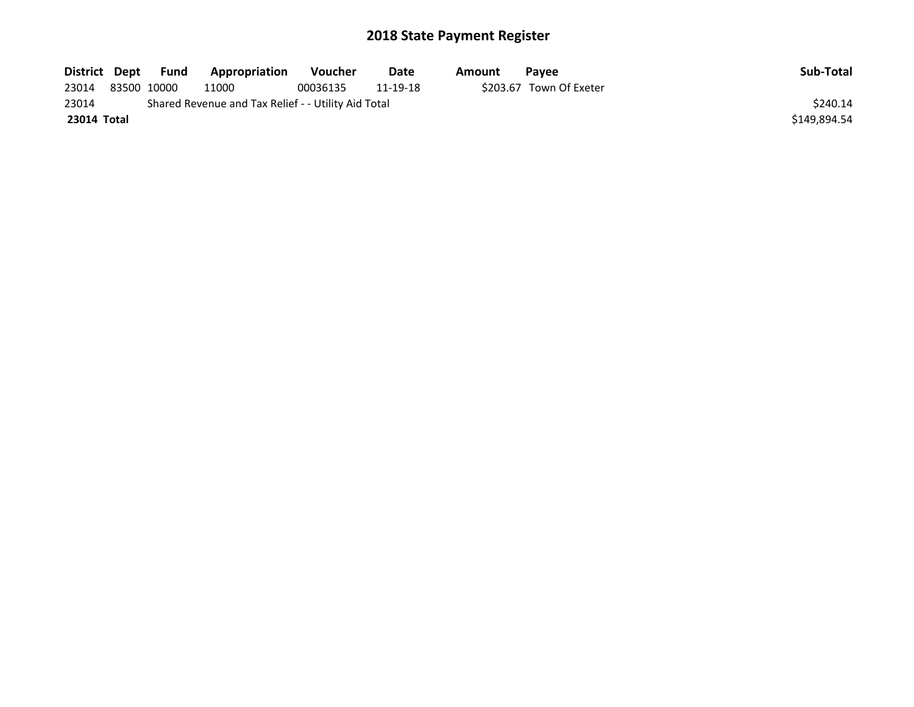| District Dept | Fund        | Appropriation                                       | <b>Voucher</b> | Date     | Amount | Pavee                   | Sub-Total    |
|---------------|-------------|-----------------------------------------------------|----------------|----------|--------|-------------------------|--------------|
| 23014         | 83500 10000 | 11000                                               | 00036135       | 11-19-18 |        | \$203.67 Town Of Exeter |              |
| 23014         |             | Shared Revenue and Tax Relief - - Utility Aid Total |                |          |        |                         | \$240.14     |
| 23014 Total   |             |                                                     |                |          |        |                         | \$149.894.54 |
|               |             |                                                     |                |          |        |                         |              |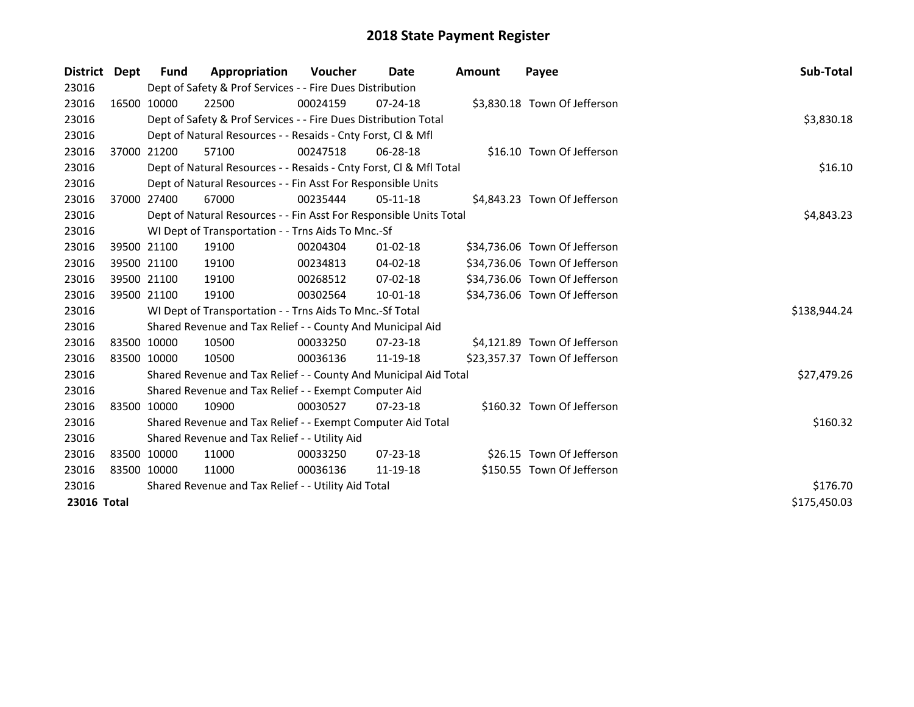| District    | Dept | <b>Fund</b> | Appropriation                                                      | Voucher  | Date           | <b>Amount</b> | Payee                         | Sub-Total    |
|-------------|------|-------------|--------------------------------------------------------------------|----------|----------------|---------------|-------------------------------|--------------|
| 23016       |      |             | Dept of Safety & Prof Services - - Fire Dues Distribution          |          |                |               |                               |              |
| 23016       |      | 16500 10000 | 22500                                                              | 00024159 | $07 - 24 - 18$ |               | \$3,830.18 Town Of Jefferson  |              |
| 23016       |      |             | Dept of Safety & Prof Services - - Fire Dues Distribution Total    |          |                |               |                               | \$3,830.18   |
| 23016       |      |             | Dept of Natural Resources - - Resaids - Cnty Forst, CI & Mfl       |          |                |               |                               |              |
| 23016       |      | 37000 21200 | 57100                                                              | 00247518 | 06-28-18       |               | \$16.10 Town Of Jefferson     |              |
| 23016       |      |             | Dept of Natural Resources - - Resaids - Cnty Forst, Cl & Mfl Total | \$16.10  |                |               |                               |              |
| 23016       |      |             | Dept of Natural Resources - - Fin Asst For Responsible Units       |          |                |               |                               |              |
| 23016       |      | 37000 27400 | 67000                                                              | 00235444 | $05-11-18$     |               | \$4,843.23 Town Of Jefferson  |              |
| 23016       |      |             | Dept of Natural Resources - - Fin Asst For Responsible Units Total |          |                |               |                               | \$4,843.23   |
| 23016       |      |             | WI Dept of Transportation - - Trns Aids To Mnc.-Sf                 |          |                |               |                               |              |
| 23016       |      | 39500 21100 | 19100                                                              | 00204304 | $01 - 02 - 18$ |               | \$34,736.06 Town Of Jefferson |              |
| 23016       |      | 39500 21100 | 19100                                                              | 00234813 | $04 - 02 - 18$ |               | \$34,736.06 Town Of Jefferson |              |
| 23016       |      | 39500 21100 | 19100                                                              | 00268512 | 07-02-18       |               | \$34,736.06 Town Of Jefferson |              |
| 23016       |      | 39500 21100 | 19100                                                              | 00302564 | 10-01-18       |               | \$34,736.06 Town Of Jefferson |              |
| 23016       |      |             | WI Dept of Transportation - - Trns Aids To Mnc.-Sf Total           |          |                |               |                               | \$138,944.24 |
| 23016       |      |             | Shared Revenue and Tax Relief - - County And Municipal Aid         |          |                |               |                               |              |
| 23016       |      | 83500 10000 | 10500                                                              | 00033250 | $07 - 23 - 18$ |               | \$4,121.89 Town Of Jefferson  |              |
| 23016       |      | 83500 10000 | 10500                                                              | 00036136 | 11-19-18       |               | \$23,357.37 Town Of Jefferson |              |
| 23016       |      |             | Shared Revenue and Tax Relief - - County And Municipal Aid Total   |          |                |               |                               | \$27,479.26  |
| 23016       |      |             | Shared Revenue and Tax Relief - - Exempt Computer Aid              |          |                |               |                               |              |
| 23016       |      | 83500 10000 | 10900                                                              | 00030527 | $07 - 23 - 18$ |               | \$160.32 Town Of Jefferson    |              |
| 23016       |      |             | Shared Revenue and Tax Relief - - Exempt Computer Aid Total        |          |                |               |                               | \$160.32     |
| 23016       |      |             | Shared Revenue and Tax Relief - - Utility Aid                      |          |                |               |                               |              |
| 23016       |      | 83500 10000 | 11000                                                              | 00033250 | $07 - 23 - 18$ |               | \$26.15 Town Of Jefferson     |              |
| 23016       |      | 83500 10000 | 11000                                                              | 00036136 | 11-19-18       |               | \$150.55 Town Of Jefferson    |              |
| 23016       |      |             | Shared Revenue and Tax Relief - - Utility Aid Total                | \$176.70 |                |               |                               |              |
| 23016 Total |      |             |                                                                    |          |                |               |                               | \$175,450.03 |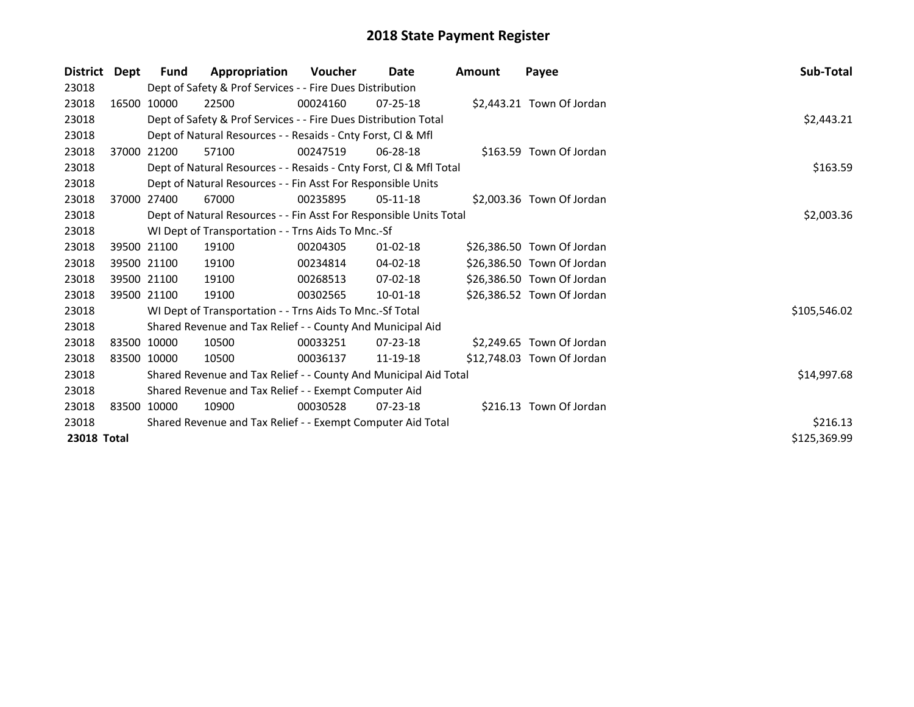| <b>District</b> | Dept | Fund                                                  | Appropriation                                                      | <b>Voucher</b> | Date           | Amount | Payee                      | Sub-Total    |  |  |
|-----------------|------|-------------------------------------------------------|--------------------------------------------------------------------|----------------|----------------|--------|----------------------------|--------------|--|--|
| 23018           |      |                                                       | Dept of Safety & Prof Services - - Fire Dues Distribution          |                |                |        |                            |              |  |  |
| 23018           |      | 16500 10000                                           | 22500                                                              | 00024160       | $07 - 25 - 18$ |        | \$2,443.21 Town Of Jordan  |              |  |  |
| 23018           |      |                                                       | Dept of Safety & Prof Services - - Fire Dues Distribution Total    |                |                |        |                            | \$2,443.21   |  |  |
| 23018           |      |                                                       | Dept of Natural Resources - - Resaids - Cnty Forst, CI & Mfl       |                |                |        |                            |              |  |  |
| 23018           |      | 37000 21200                                           | 57100                                                              | 00247519       | 06-28-18       |        | \$163.59 Town Of Jordan    |              |  |  |
| 23018           |      |                                                       | Dept of Natural Resources - - Resaids - Cnty Forst, Cl & Mfl Total |                |                |        |                            | \$163.59     |  |  |
| 23018           |      |                                                       | Dept of Natural Resources - - Fin Asst For Responsible Units       |                |                |        |                            |              |  |  |
| 23018           |      | 37000 27400                                           | 67000                                                              | 00235895       | 05-11-18       |        | \$2,003.36 Town Of Jordan  |              |  |  |
| 23018           |      |                                                       | Dept of Natural Resources - - Fin Asst For Responsible Units Total | \$2,003.36     |                |        |                            |              |  |  |
| 23018           |      |                                                       | WI Dept of Transportation - - Trns Aids To Mnc.-Sf                 |                |                |        |                            |              |  |  |
| 23018           |      | 39500 21100                                           | 19100                                                              | 00204305       | $01 - 02 - 18$ |        | \$26,386.50 Town Of Jordan |              |  |  |
| 23018           |      | 39500 21100                                           | 19100                                                              | 00234814       | 04-02-18       |        | \$26,386.50 Town Of Jordan |              |  |  |
| 23018           |      | 39500 21100                                           | 19100                                                              | 00268513       | 07-02-18       |        | \$26,386.50 Town Of Jordan |              |  |  |
| 23018           |      | 39500 21100                                           | 19100                                                              | 00302565       | $10-01-18$     |        | \$26,386.52 Town Of Jordan |              |  |  |
| 23018           |      |                                                       | WI Dept of Transportation - - Trns Aids To Mnc.-Sf Total           |                |                |        |                            | \$105,546.02 |  |  |
| 23018           |      |                                                       | Shared Revenue and Tax Relief - - County And Municipal Aid         |                |                |        |                            |              |  |  |
| 23018           |      | 83500 10000                                           | 10500                                                              | 00033251       | $07 - 23 - 18$ |        | \$2,249.65 Town Of Jordan  |              |  |  |
| 23018           |      | 83500 10000                                           | 10500                                                              | 00036137       | 11-19-18       |        | \$12,748.03 Town Of Jordan |              |  |  |
| 23018           |      |                                                       | Shared Revenue and Tax Relief - - County And Municipal Aid Total   |                |                |        |                            | \$14,997.68  |  |  |
| 23018           |      | Shared Revenue and Tax Relief - - Exempt Computer Aid |                                                                    |                |                |        |                            |              |  |  |
| 23018           |      | 83500 10000                                           | 10900                                                              | 00030528       | $07 - 23 - 18$ |        | \$216.13 Town Of Jordan    |              |  |  |
| 23018           |      |                                                       | Shared Revenue and Tax Relief - - Exempt Computer Aid Total        |                |                |        |                            | \$216.13     |  |  |
| 23018 Total     |      |                                                       |                                                                    |                |                |        |                            | \$125,369.99 |  |  |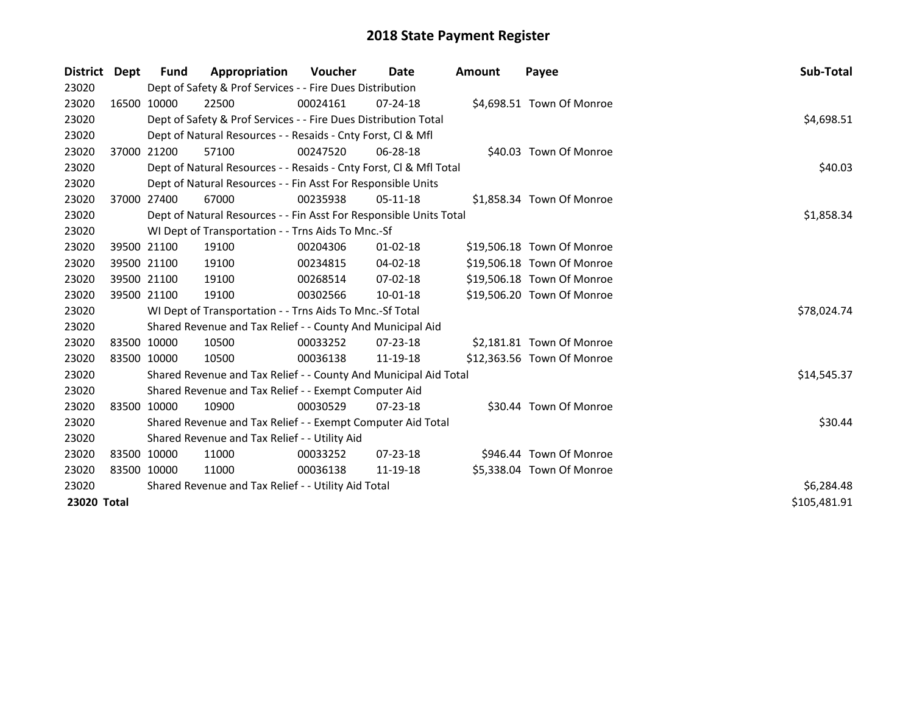| District Dept | <b>Fund</b> | Appropriation                                                      | <b>Voucher</b> | Date           | <b>Amount</b> | Payee                      | <b>Sub-Total</b> |
|---------------|-------------|--------------------------------------------------------------------|----------------|----------------|---------------|----------------------------|------------------|
| 23020         |             | Dept of Safety & Prof Services - - Fire Dues Distribution          |                |                |               |                            |                  |
| 23020         | 16500 10000 | 22500                                                              | 00024161       | $07 - 24 - 18$ |               | \$4,698.51 Town Of Monroe  |                  |
| 23020         |             | Dept of Safety & Prof Services - - Fire Dues Distribution Total    |                |                |               |                            | \$4,698.51       |
| 23020         |             | Dept of Natural Resources - - Resaids - Cnty Forst, CI & Mfl       |                |                |               |                            |                  |
| 23020         | 37000 21200 | 57100                                                              | 00247520       | 06-28-18       |               | \$40.03 Town Of Monroe     |                  |
| 23020         |             | Dept of Natural Resources - - Resaids - Cnty Forst, Cl & Mfl Total |                |                |               |                            | \$40.03          |
| 23020         |             | Dept of Natural Resources - - Fin Asst For Responsible Units       |                |                |               |                            |                  |
| 23020         | 37000 27400 | 67000                                                              | 00235938       | $05-11-18$     |               | \$1,858.34 Town Of Monroe  |                  |
| 23020         |             | Dept of Natural Resources - - Fin Asst For Responsible Units Total |                |                |               |                            | \$1,858.34       |
| 23020         |             | WI Dept of Transportation - - Trns Aids To Mnc.-Sf                 |                |                |               |                            |                  |
| 23020         | 39500 21100 | 19100                                                              | 00204306       | $01 - 02 - 18$ |               | \$19,506.18 Town Of Monroe |                  |
| 23020         | 39500 21100 | 19100                                                              | 00234815       | 04-02-18       |               | \$19,506.18 Town Of Monroe |                  |
| 23020         | 39500 21100 | 19100                                                              | 00268514       | 07-02-18       |               | \$19,506.18 Town Of Monroe |                  |
| 23020         | 39500 21100 | 19100                                                              | 00302566       | 10-01-18       |               | \$19,506.20 Town Of Monroe |                  |
| 23020         |             | WI Dept of Transportation - - Trns Aids To Mnc.-Sf Total           |                |                |               |                            | \$78,024.74      |
| 23020         |             | Shared Revenue and Tax Relief - - County And Municipal Aid         |                |                |               |                            |                  |
| 23020         | 83500 10000 | 10500                                                              | 00033252       | $07 - 23 - 18$ |               | \$2,181.81 Town Of Monroe  |                  |
| 23020         | 83500 10000 | 10500                                                              | 00036138       | 11-19-18       |               | \$12,363.56 Town Of Monroe |                  |
| 23020         |             | Shared Revenue and Tax Relief - - County And Municipal Aid Total   |                |                |               |                            | \$14,545.37      |
| 23020         |             | Shared Revenue and Tax Relief - - Exempt Computer Aid              |                |                |               |                            |                  |
| 23020         | 83500 10000 | 10900                                                              | 00030529       | $07 - 23 - 18$ |               | \$30.44 Town Of Monroe     |                  |
| 23020         |             | Shared Revenue and Tax Relief - - Exempt Computer Aid Total        |                |                |               |                            | \$30.44          |
| 23020         |             | Shared Revenue and Tax Relief - - Utility Aid                      |                |                |               |                            |                  |
| 23020         | 83500 10000 | 11000                                                              | 00033252       | $07 - 23 - 18$ |               | \$946.44 Town Of Monroe    |                  |
| 23020         | 83500 10000 | 11000                                                              | 00036138       | 11-19-18       |               | \$5,338.04 Town Of Monroe  |                  |
| 23020         |             | Shared Revenue and Tax Relief - - Utility Aid Total                | \$6,284.48     |                |               |                            |                  |
| 23020 Total   |             |                                                                    |                |                |               |                            | \$105,481.91     |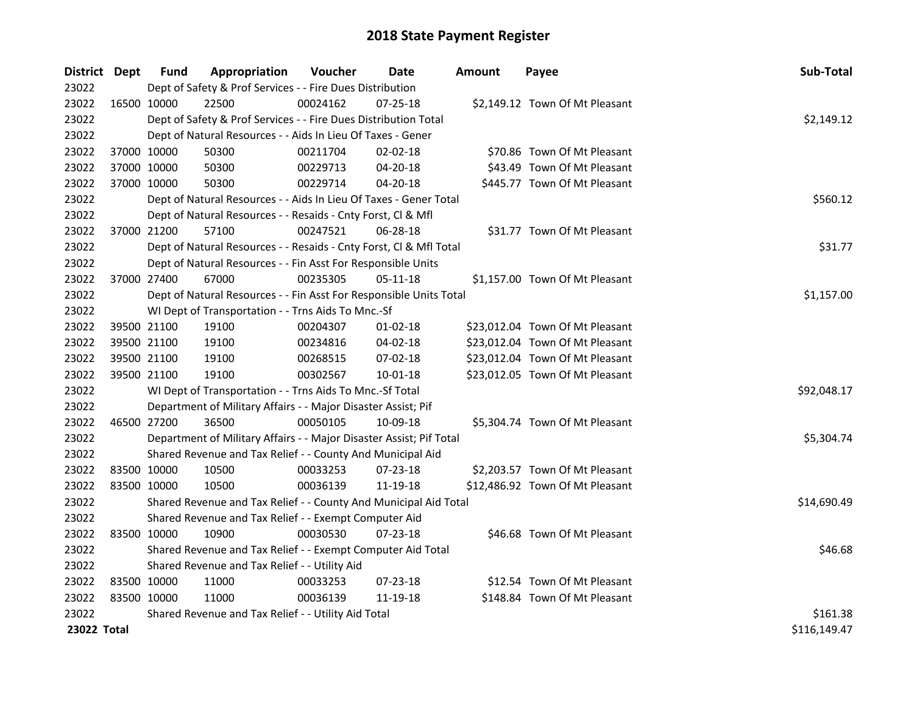| District Dept |             | <b>Fund</b>                                         | Appropriation                                                       | Voucher  | Date           | Amount | Payee                           | Sub-Total    |
|---------------|-------------|-----------------------------------------------------|---------------------------------------------------------------------|----------|----------------|--------|---------------------------------|--------------|
| 23022         |             |                                                     | Dept of Safety & Prof Services - - Fire Dues Distribution           |          |                |        |                                 |              |
| 23022         |             | 16500 10000                                         | 22500                                                               | 00024162 | 07-25-18       |        | \$2,149.12 Town Of Mt Pleasant  |              |
| 23022         |             |                                                     | Dept of Safety & Prof Services - - Fire Dues Distribution Total     |          |                |        |                                 | \$2,149.12   |
| 23022         |             |                                                     | Dept of Natural Resources - - Aids In Lieu Of Taxes - Gener         |          |                |        |                                 |              |
| 23022         |             | 37000 10000                                         | 50300                                                               | 00211704 | 02-02-18       |        | \$70.86 Town Of Mt Pleasant     |              |
| 23022         |             | 37000 10000                                         | 50300                                                               | 00229713 | $04 - 20 - 18$ |        | \$43.49 Town Of Mt Pleasant     |              |
| 23022         |             | 37000 10000                                         | 50300                                                               | 00229714 | 04-20-18       |        | \$445.77 Town Of Mt Pleasant    |              |
| 23022         |             |                                                     | Dept of Natural Resources - - Aids In Lieu Of Taxes - Gener Total   |          |                |        |                                 | \$560.12     |
| 23022         |             |                                                     | Dept of Natural Resources - - Resaids - Cnty Forst, Cl & Mfl        |          |                |        |                                 |              |
| 23022         |             | 37000 21200                                         | 57100                                                               | 00247521 | 06-28-18       |        | \$31.77 Town Of Mt Pleasant     |              |
| 23022         |             |                                                     | Dept of Natural Resources - - Resaids - Cnty Forst, Cl & Mfl Total  |          |                |        |                                 | \$31.77      |
| 23022         |             |                                                     | Dept of Natural Resources - - Fin Asst For Responsible Units        |          |                |        |                                 |              |
| 23022         | 37000 27400 |                                                     | 67000                                                               | 00235305 | 05-11-18       |        | \$1,157.00 Town Of Mt Pleasant  |              |
| 23022         |             |                                                     | Dept of Natural Resources - - Fin Asst For Responsible Units Total  |          |                |        |                                 | \$1,157.00   |
| 23022         |             |                                                     | WI Dept of Transportation - - Trns Aids To Mnc.-Sf                  |          |                |        |                                 |              |
| 23022         |             | 39500 21100                                         | 19100                                                               | 00204307 | $01 - 02 - 18$ |        | \$23,012.04 Town Of Mt Pleasant |              |
| 23022         |             | 39500 21100                                         | 19100                                                               | 00234816 | 04-02-18       |        | \$23,012.04 Town Of Mt Pleasant |              |
| 23022         |             | 39500 21100                                         | 19100                                                               | 00268515 | 07-02-18       |        | \$23,012.04 Town Of Mt Pleasant |              |
| 23022         |             | 39500 21100                                         | 19100                                                               | 00302567 | $10 - 01 - 18$ |        | \$23,012.05 Town Of Mt Pleasant |              |
| 23022         |             |                                                     | WI Dept of Transportation - - Trns Aids To Mnc.-Sf Total            |          |                |        |                                 | \$92,048.17  |
| 23022         |             |                                                     | Department of Military Affairs - - Major Disaster Assist; Pif       |          |                |        |                                 |              |
| 23022         |             | 46500 27200                                         | 36500                                                               | 00050105 | 10-09-18       |        | \$5,304.74 Town Of Mt Pleasant  |              |
| 23022         |             |                                                     | Department of Military Affairs - - Major Disaster Assist; Pif Total |          |                |        |                                 | \$5,304.74   |
| 23022         |             |                                                     | Shared Revenue and Tax Relief - - County And Municipal Aid          |          |                |        |                                 |              |
| 23022         |             | 83500 10000                                         | 10500                                                               | 00033253 | 07-23-18       |        | \$2,203.57 Town Of Mt Pleasant  |              |
| 23022         |             | 83500 10000                                         | 10500                                                               | 00036139 | 11-19-18       |        | \$12,486.92 Town Of Mt Pleasant |              |
| 23022         |             |                                                     | Shared Revenue and Tax Relief - - County And Municipal Aid Total    |          |                |        |                                 | \$14,690.49  |
| 23022         |             |                                                     | Shared Revenue and Tax Relief - - Exempt Computer Aid               |          |                |        |                                 |              |
| 23022         |             | 83500 10000                                         | 10900                                                               | 00030530 | $07 - 23 - 18$ |        | \$46.68 Town Of Mt Pleasant     |              |
| 23022         |             |                                                     | Shared Revenue and Tax Relief - - Exempt Computer Aid Total         |          |                |        |                                 | \$46.68      |
| 23022         |             |                                                     | Shared Revenue and Tax Relief - - Utility Aid                       |          |                |        |                                 |              |
| 23022         |             | 83500 10000                                         | 11000                                                               | 00033253 | $07 - 23 - 18$ |        | \$12.54 Town Of Mt Pleasant     |              |
| 23022         | 83500 10000 |                                                     | 11000                                                               | 00036139 | 11-19-18       |        | \$148.84 Town Of Mt Pleasant    |              |
| 23022         |             | Shared Revenue and Tax Relief - - Utility Aid Total | \$161.38                                                            |          |                |        |                                 |              |
| 23022 Total   |             |                                                     |                                                                     |          |                |        |                                 | \$116,149.47 |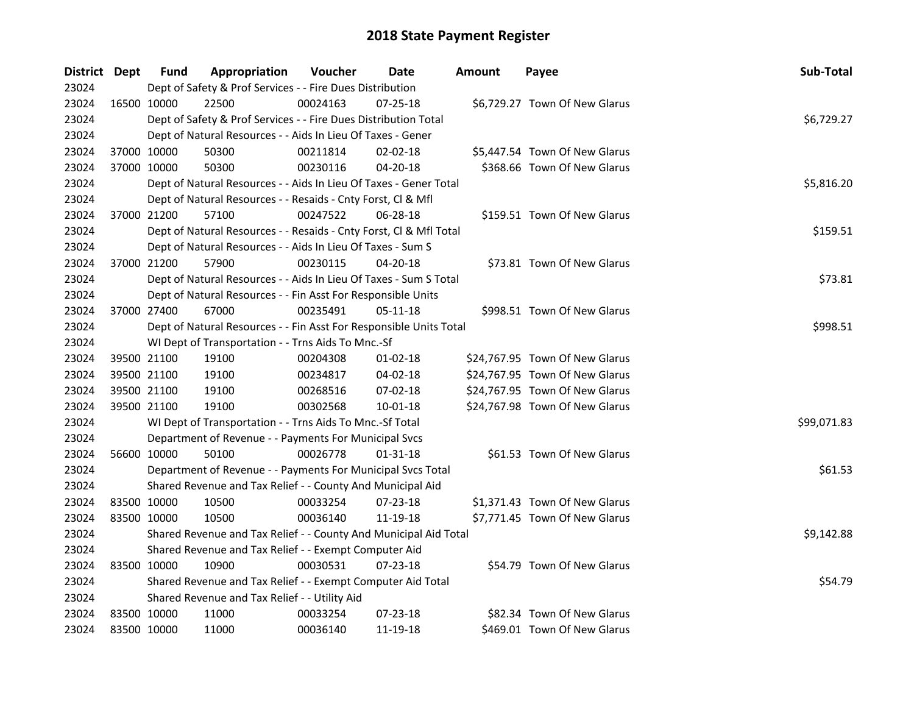| District Dept |             | <b>Fund</b> | Appropriation                                                      | Voucher  | <b>Date</b>    | Amount | Payee                          | Sub-Total   |
|---------------|-------------|-------------|--------------------------------------------------------------------|----------|----------------|--------|--------------------------------|-------------|
| 23024         |             |             | Dept of Safety & Prof Services - - Fire Dues Distribution          |          |                |        |                                |             |
| 23024         | 16500 10000 |             | 22500                                                              | 00024163 | $07 - 25 - 18$ |        | \$6,729.27 Town Of New Glarus  |             |
| 23024         |             |             | Dept of Safety & Prof Services - - Fire Dues Distribution Total    |          |                |        |                                | \$6,729.27  |
| 23024         |             |             | Dept of Natural Resources - - Aids In Lieu Of Taxes - Gener        |          |                |        |                                |             |
| 23024         |             | 37000 10000 | 50300                                                              | 00211814 | $02 - 02 - 18$ |        | \$5,447.54 Town Of New Glarus  |             |
| 23024         | 37000 10000 |             | 50300                                                              | 00230116 | $04 - 20 - 18$ |        | \$368.66 Town Of New Glarus    |             |
| 23024         |             |             | Dept of Natural Resources - - Aids In Lieu Of Taxes - Gener Total  |          |                |        |                                | \$5,816.20  |
| 23024         |             |             | Dept of Natural Resources - - Resaids - Cnty Forst, Cl & Mfl       |          |                |        |                                |             |
| 23024         | 37000 21200 |             | 57100                                                              | 00247522 | $06 - 28 - 18$ |        | \$159.51 Town Of New Glarus    |             |
| 23024         |             |             | Dept of Natural Resources - - Resaids - Cnty Forst, Cl & Mfl Total |          |                |        |                                | \$159.51    |
| 23024         |             |             | Dept of Natural Resources - - Aids In Lieu Of Taxes - Sum S        |          |                |        |                                |             |
| 23024         | 37000 21200 |             | 57900                                                              | 00230115 | 04-20-18       |        | \$73.81 Town Of New Glarus     |             |
| 23024         |             |             | Dept of Natural Resources - - Aids In Lieu Of Taxes - Sum S Total  |          |                |        |                                | \$73.81     |
| 23024         |             |             | Dept of Natural Resources - - Fin Asst For Responsible Units       |          |                |        |                                |             |
| 23024         | 37000 27400 |             | 67000                                                              | 00235491 | 05-11-18       |        | \$998.51 Town Of New Glarus    |             |
| 23024         |             |             | Dept of Natural Resources - - Fin Asst For Responsible Units Total |          | \$998.51       |        |                                |             |
| 23024         |             |             | WI Dept of Transportation - - Trns Aids To Mnc.-Sf                 |          |                |        |                                |             |
| 23024         | 39500 21100 |             | 19100                                                              | 00204308 | $01 - 02 - 18$ |        | \$24,767.95 Town Of New Glarus |             |
| 23024         | 39500 21100 |             | 19100                                                              | 00234817 | $04 - 02 - 18$ |        | \$24,767.95 Town Of New Glarus |             |
| 23024         | 39500 21100 |             | 19100                                                              | 00268516 | 07-02-18       |        | \$24,767.95 Town Of New Glarus |             |
| 23024         | 39500 21100 |             | 19100                                                              | 00302568 | 10-01-18       |        | \$24,767.98 Town Of New Glarus |             |
| 23024         |             |             | WI Dept of Transportation - - Trns Aids To Mnc.-Sf Total           |          |                |        |                                | \$99,071.83 |
| 23024         |             |             | Department of Revenue - - Payments For Municipal Svcs              |          |                |        |                                |             |
| 23024         | 56600 10000 |             | 50100                                                              | 00026778 | 01-31-18       |        | \$61.53 Town Of New Glarus     |             |
| 23024         |             |             | Department of Revenue - - Payments For Municipal Svcs Total        |          |                |        |                                | \$61.53     |
| 23024         |             |             | Shared Revenue and Tax Relief - - County And Municipal Aid         |          |                |        |                                |             |
| 23024         | 83500 10000 |             | 10500                                                              | 00033254 | 07-23-18       |        | \$1,371.43 Town Of New Glarus  |             |
| 23024         |             | 83500 10000 | 10500                                                              | 00036140 | 11-19-18       |        | \$7,771.45 Town Of New Glarus  |             |
| 23024         |             |             | Shared Revenue and Tax Relief - - County And Municipal Aid Total   |          |                |        |                                | \$9,142.88  |
| 23024         |             |             | Shared Revenue and Tax Relief - - Exempt Computer Aid              |          |                |        |                                |             |
| 23024         | 83500 10000 |             | 10900                                                              | 00030531 | 07-23-18       |        | \$54.79 Town Of New Glarus     |             |
| 23024         |             |             | Shared Revenue and Tax Relief - - Exempt Computer Aid Total        |          | \$54.79        |        |                                |             |
| 23024         |             |             | Shared Revenue and Tax Relief - - Utility Aid                      |          |                |        |                                |             |
| 23024         | 83500 10000 |             | 11000                                                              | 00033254 | 07-23-18       |        | \$82.34 Town Of New Glarus     |             |
| 23024         | 83500 10000 |             | 11000                                                              | 00036140 | 11-19-18       |        | \$469.01 Town Of New Glarus    |             |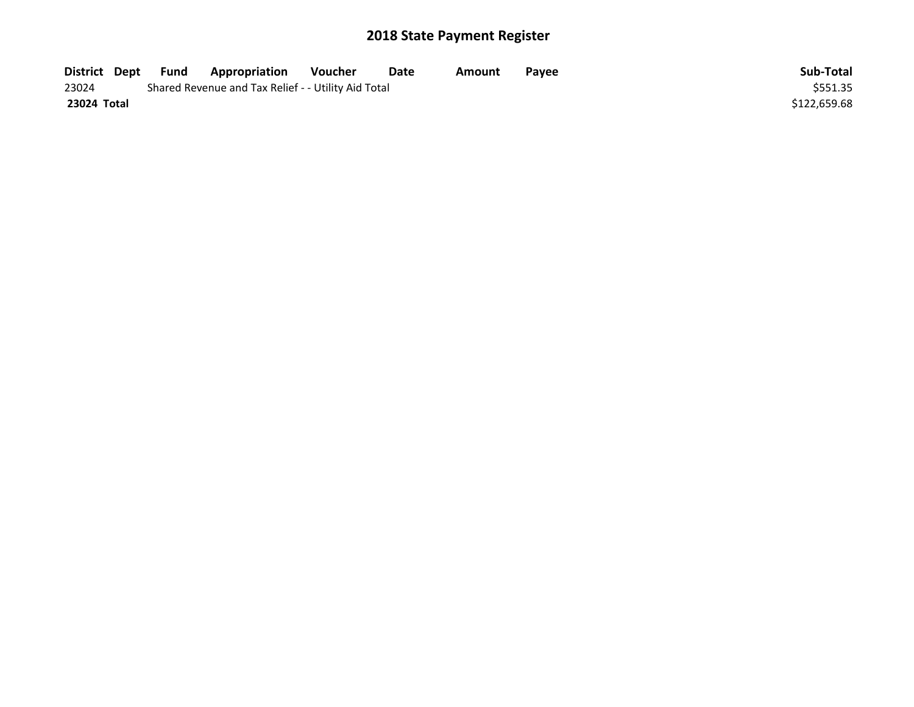| District Dept | Fund | Appropriation                                       | Voucher | Date | Amount | <b>Pavee</b> | Sub-Total    |
|---------------|------|-----------------------------------------------------|---------|------|--------|--------------|--------------|
| 23024         |      | Shared Revenue and Tax Relief - - Utility Aid Total |         |      |        |              | \$551.35     |
| 23024 Total   |      |                                                     |         |      |        |              | \$122,659.68 |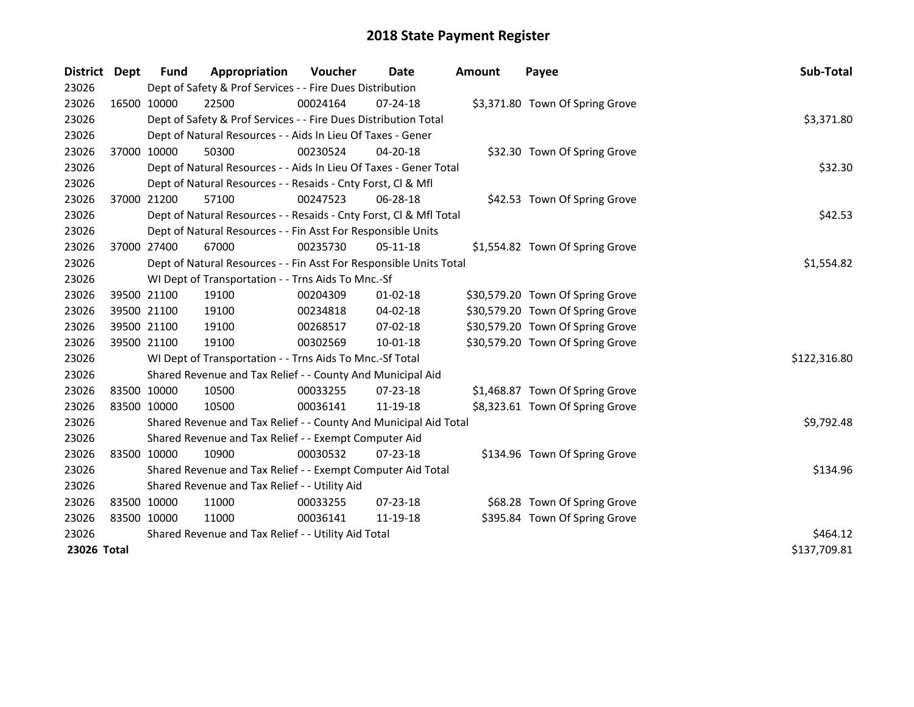| <b>District</b> | Dept        | <b>Fund</b> | Appropriation                                                      | Voucher  | Date           | Amount | Payee                            | Sub-Total    |
|-----------------|-------------|-------------|--------------------------------------------------------------------|----------|----------------|--------|----------------------------------|--------------|
| 23026           |             |             | Dept of Safety & Prof Services - - Fire Dues Distribution          |          |                |        |                                  |              |
| 23026           | 16500 10000 |             | 22500                                                              | 00024164 | 07-24-18       |        | \$3,371.80 Town Of Spring Grove  |              |
| 23026           |             |             | Dept of Safety & Prof Services - - Fire Dues Distribution Total    |          |                |        |                                  | \$3,371.80   |
| 23026           |             |             | Dept of Natural Resources - - Aids In Lieu Of Taxes - Gener        |          |                |        |                                  |              |
| 23026           |             | 37000 10000 | 50300                                                              | 00230524 | 04-20-18       |        | \$32.30 Town Of Spring Grove     |              |
| 23026           |             |             | Dept of Natural Resources - - Aids In Lieu Of Taxes - Gener Total  |          |                |        |                                  | \$32.30      |
| 23026           |             |             | Dept of Natural Resources - - Resaids - Cnty Forst, CI & Mfl       |          |                |        |                                  |              |
| 23026           |             | 37000 21200 | 57100                                                              | 00247523 | 06-28-18       |        | \$42.53 Town Of Spring Grove     |              |
| 23026           |             |             | Dept of Natural Resources - - Resaids - Cnty Forst, Cl & Mfl Total |          | \$42.53        |        |                                  |              |
| 23026           |             |             | Dept of Natural Resources - - Fin Asst For Responsible Units       |          |                |        |                                  |              |
| 23026           |             | 37000 27400 | 67000                                                              | 00235730 | 05-11-18       |        | \$1,554.82 Town Of Spring Grove  |              |
| 23026           |             |             | Dept of Natural Resources - - Fin Asst For Responsible Units Total |          |                |        |                                  | \$1,554.82   |
| 23026           |             |             | WI Dept of Transportation - - Trns Aids To Mnc.-Sf                 |          |                |        |                                  |              |
| 23026           | 39500 21100 |             | 19100                                                              | 00204309 | $01 - 02 - 18$ |        | \$30,579.20 Town Of Spring Grove |              |
| 23026           | 39500 21100 |             | 19100                                                              | 00234818 | 04-02-18       |        | \$30,579.20 Town Of Spring Grove |              |
| 23026           | 39500 21100 |             | 19100                                                              | 00268517 | 07-02-18       |        | \$30,579.20 Town Of Spring Grove |              |
| 23026           | 39500 21100 |             | 19100                                                              | 00302569 | $10 - 01 - 18$ |        | \$30,579.20 Town Of Spring Grove |              |
| 23026           |             |             | WI Dept of Transportation - - Trns Aids To Mnc.-Sf Total           |          |                |        |                                  | \$122,316.80 |
| 23026           |             |             | Shared Revenue and Tax Relief - - County And Municipal Aid         |          |                |        |                                  |              |
| 23026           | 83500 10000 |             | 10500                                                              | 00033255 | 07-23-18       |        | \$1,468.87 Town Of Spring Grove  |              |
| 23026           | 83500 10000 |             | 10500                                                              | 00036141 | 11-19-18       |        | \$8,323.61 Town Of Spring Grove  |              |
| 23026           |             |             | Shared Revenue and Tax Relief - - County And Municipal Aid Total   |          |                |        |                                  | \$9,792.48   |
| 23026           |             |             | Shared Revenue and Tax Relief - - Exempt Computer Aid              |          |                |        |                                  |              |
| 23026           | 83500 10000 |             | 10900                                                              | 00030532 | 07-23-18       |        | \$134.96 Town Of Spring Grove    |              |
| 23026           |             |             | Shared Revenue and Tax Relief - - Exempt Computer Aid Total        |          |                |        |                                  | \$134.96     |
| 23026           |             |             | Shared Revenue and Tax Relief - - Utility Aid                      |          |                |        |                                  |              |
| 23026           | 83500 10000 |             | 11000                                                              | 00033255 | 07-23-18       |        | \$68.28 Town Of Spring Grove     |              |
| 23026           | 83500 10000 |             | 11000                                                              | 00036141 | 11-19-18       |        | \$395.84 Town Of Spring Grove    |              |
| 23026           |             |             | Shared Revenue and Tax Relief - - Utility Aid Total                | \$464.12 |                |        |                                  |              |
| 23026 Total     |             |             |                                                                    |          |                |        |                                  | \$137,709.81 |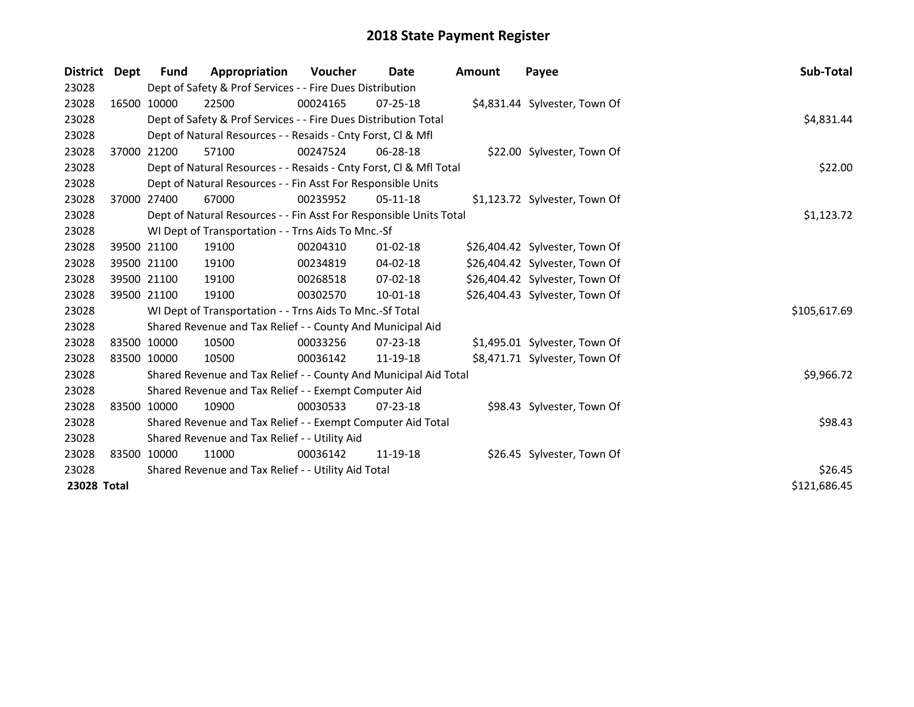| <b>District</b> | Dept        | Fund                                                | Appropriation                                                      | Voucher  | Date           | <b>Amount</b> | Payee                          | Sub-Total    |
|-----------------|-------------|-----------------------------------------------------|--------------------------------------------------------------------|----------|----------------|---------------|--------------------------------|--------------|
| 23028           |             |                                                     | Dept of Safety & Prof Services - - Fire Dues Distribution          |          |                |               |                                |              |
| 23028           |             | 16500 10000                                         | 22500                                                              | 00024165 | $07 - 25 - 18$ |               | \$4,831.44 Sylvester, Town Of  |              |
| 23028           |             |                                                     | Dept of Safety & Prof Services - - Fire Dues Distribution Total    |          |                |               |                                | \$4,831.44   |
| 23028           |             |                                                     | Dept of Natural Resources - - Resaids - Cnty Forst, CI & Mfl       |          |                |               |                                |              |
| 23028           |             | 37000 21200                                         | 57100                                                              | 00247524 | 06-28-18       |               | \$22.00 Sylvester, Town Of     |              |
| 23028           |             |                                                     | Dept of Natural Resources - - Resaids - Cnty Forst, Cl & Mfl Total |          |                |               |                                | \$22.00      |
| 23028           |             |                                                     | Dept of Natural Resources - - Fin Asst For Responsible Units       |          |                |               |                                |              |
| 23028           |             | 37000 27400                                         | 67000                                                              | 00235952 | $05-11-18$     |               | \$1,123.72 Sylvester, Town Of  |              |
| 23028           |             |                                                     | Dept of Natural Resources - - Fin Asst For Responsible Units Total |          |                |               |                                | \$1,123.72   |
| 23028           |             |                                                     | WI Dept of Transportation - - Trns Aids To Mnc.-Sf                 |          |                |               |                                |              |
| 23028           |             | 39500 21100                                         | 19100                                                              | 00204310 | $01 - 02 - 18$ |               | \$26,404.42 Sylvester, Town Of |              |
| 23028           | 39500 21100 |                                                     | 19100                                                              | 00234819 | $04 - 02 - 18$ |               | \$26,404.42 Sylvester, Town Of |              |
| 23028           | 39500 21100 |                                                     | 19100                                                              | 00268518 | $07 - 02 - 18$ |               | \$26,404.42 Sylvester, Town Of |              |
| 23028           | 39500 21100 |                                                     | 19100                                                              | 00302570 | 10-01-18       |               | \$26,404.43 Sylvester, Town Of |              |
| 23028           |             |                                                     | WI Dept of Transportation - - Trns Aids To Mnc.-Sf Total           |          |                |               |                                | \$105,617.69 |
| 23028           |             |                                                     | Shared Revenue and Tax Relief - - County And Municipal Aid         |          |                |               |                                |              |
| 23028           | 83500 10000 |                                                     | 10500                                                              | 00033256 | 07-23-18       |               | \$1,495.01 Sylvester, Town Of  |              |
| 23028           | 83500 10000 |                                                     | 10500                                                              | 00036142 | 11-19-18       |               | \$8,471.71 Sylvester, Town Of  |              |
| 23028           |             |                                                     | Shared Revenue and Tax Relief - - County And Municipal Aid Total   |          |                |               |                                | \$9,966.72   |
| 23028           |             |                                                     | Shared Revenue and Tax Relief - - Exempt Computer Aid              |          |                |               |                                |              |
| 23028           |             | 83500 10000                                         | 10900                                                              | 00030533 | $07 - 23 - 18$ |               | \$98.43 Sylvester, Town Of     |              |
| 23028           |             |                                                     | Shared Revenue and Tax Relief - - Exempt Computer Aid Total        |          |                |               |                                | \$98.43      |
| 23028           |             |                                                     | Shared Revenue and Tax Relief - - Utility Aid                      |          |                |               |                                |              |
| 23028           |             | 83500 10000                                         | 11000                                                              | 00036142 | 11-19-18       |               | \$26.45 Sylvester, Town Of     |              |
| 23028           |             | Shared Revenue and Tax Relief - - Utility Aid Total | \$26.45                                                            |          |                |               |                                |              |
| 23028 Total     |             |                                                     |                                                                    |          |                |               |                                | \$121,686.45 |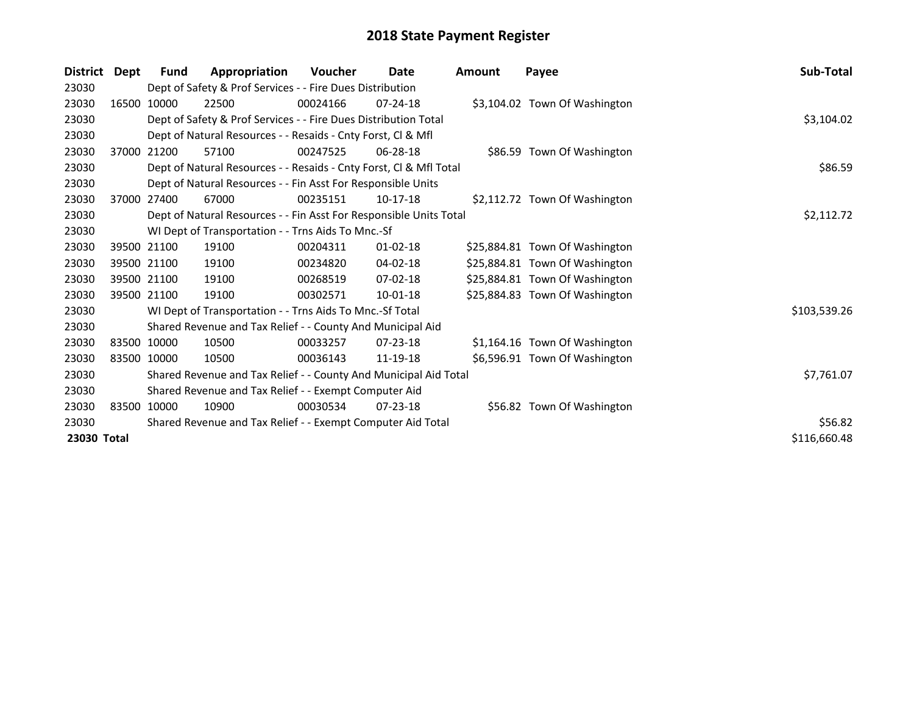| <b>District</b> | Dept  | Fund        | Appropriation                                                      | <b>Voucher</b> | Date           | <b>Amount</b> | Payee                          | Sub-Total    |
|-----------------|-------|-------------|--------------------------------------------------------------------|----------------|----------------|---------------|--------------------------------|--------------|
| 23030           |       |             | Dept of Safety & Prof Services - - Fire Dues Distribution          |                |                |               |                                |              |
| 23030           |       | 16500 10000 | 22500                                                              | 00024166       | $07 - 24 - 18$ |               | \$3,104.02 Town Of Washington  |              |
| 23030           |       |             | Dept of Safety & Prof Services - - Fire Dues Distribution Total    |                |                |               |                                | \$3,104.02   |
| 23030           |       |             | Dept of Natural Resources - - Resaids - Cnty Forst, CI & Mfl       |                |                |               |                                |              |
| 23030           |       | 37000 21200 | 57100                                                              | 00247525       | $06 - 28 - 18$ |               | \$86.59 Town Of Washington     |              |
| 23030           |       |             | Dept of Natural Resources - - Resaids - Cnty Forst, Cl & Mfl Total |                |                |               |                                | \$86.59      |
| 23030           |       |             | Dept of Natural Resources - - Fin Asst For Responsible Units       |                |                |               |                                |              |
| 23030           | 37000 | 27400       | 67000                                                              | 00235151       | $10-17-18$     |               | \$2,112.72 Town Of Washington  |              |
| 23030           |       |             | Dept of Natural Resources - - Fin Asst For Responsible Units Total |                |                |               |                                | \$2,112.72   |
| 23030           |       |             | WI Dept of Transportation - - Trns Aids To Mnc.-Sf                 |                |                |               |                                |              |
| 23030           |       | 39500 21100 | 19100                                                              | 00204311       | $01 - 02 - 18$ |               | \$25,884.81 Town Of Washington |              |
| 23030           |       | 39500 21100 | 19100                                                              | 00234820       | 04-02-18       |               | \$25,884.81 Town Of Washington |              |
| 23030           |       | 39500 21100 | 19100                                                              | 00268519       | 07-02-18       |               | \$25,884.81 Town Of Washington |              |
| 23030           |       | 39500 21100 | 19100                                                              | 00302571       | $10 - 01 - 18$ |               | \$25,884.83 Town Of Washington |              |
| 23030           |       |             | WI Dept of Transportation - - Trns Aids To Mnc.-Sf Total           |                |                |               |                                | \$103,539.26 |
| 23030           |       |             | Shared Revenue and Tax Relief - - County And Municipal Aid         |                |                |               |                                |              |
| 23030           |       | 83500 10000 | 10500                                                              | 00033257       | $07 - 23 - 18$ |               | \$1,164.16 Town Of Washington  |              |
| 23030           |       | 83500 10000 | 10500                                                              | 00036143       | 11-19-18       |               | \$6,596.91 Town Of Washington  |              |
| 23030           |       |             | Shared Revenue and Tax Relief - - County And Municipal Aid Total   |                |                |               |                                | \$7,761.07   |
| 23030           |       |             | Shared Revenue and Tax Relief - - Exempt Computer Aid              |                |                |               |                                |              |
| 23030           |       | 83500 10000 | 10900                                                              | 00030534       | $07 - 23 - 18$ |               | \$56.82 Town Of Washington     |              |
| 23030           |       |             | Shared Revenue and Tax Relief - - Exempt Computer Aid Total        | \$56.82        |                |               |                                |              |
| 23030 Total     |       |             |                                                                    |                |                |               |                                | \$116,660.48 |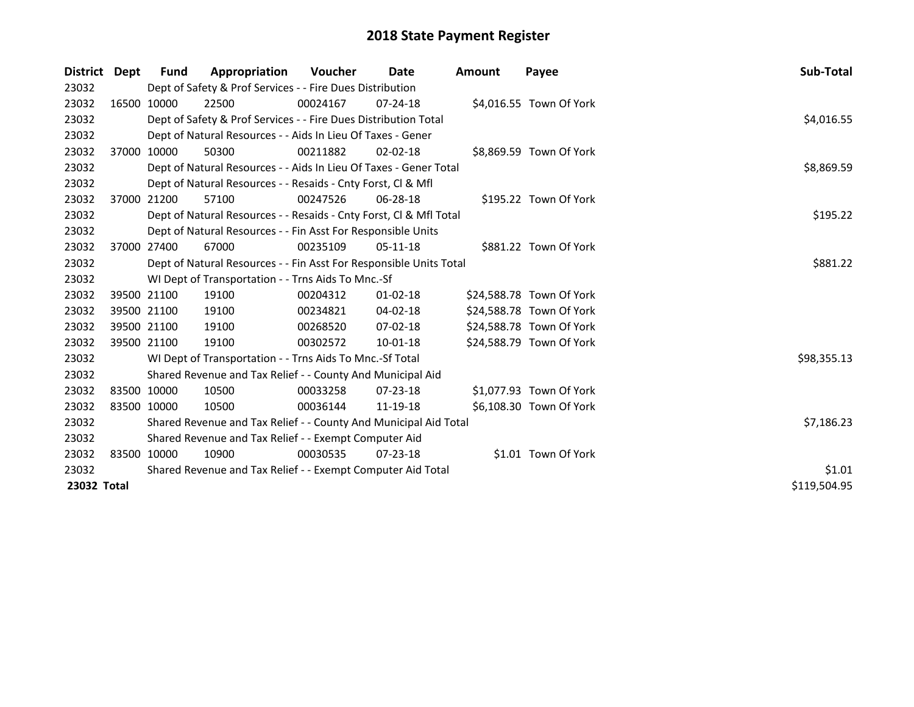| District Dept |             | Fund                                                        | Appropriation                                                      | <b>Voucher</b> | Date           | Amount | Payee                    | Sub-Total    |
|---------------|-------------|-------------------------------------------------------------|--------------------------------------------------------------------|----------------|----------------|--------|--------------------------|--------------|
| 23032         |             |                                                             | Dept of Safety & Prof Services - - Fire Dues Distribution          |                |                |        |                          |              |
| 23032         |             | 16500 10000                                                 | 22500                                                              | 00024167       | $07 - 24 - 18$ |        | \$4,016.55 Town Of York  |              |
| 23032         |             |                                                             | Dept of Safety & Prof Services - - Fire Dues Distribution Total    |                |                |        |                          | \$4,016.55   |
| 23032         |             |                                                             | Dept of Natural Resources - - Aids In Lieu Of Taxes - Gener        |                |                |        |                          |              |
| 23032         |             | 37000 10000                                                 | 50300                                                              | 00211882       | $02 - 02 - 18$ |        | \$8,869.59 Town Of York  |              |
| 23032         |             |                                                             | Dept of Natural Resources - - Aids In Lieu Of Taxes - Gener Total  |                |                |        |                          | \$8,869.59   |
| 23032         |             |                                                             | Dept of Natural Resources - - Resaids - Cnty Forst, CI & Mfl       |                |                |        |                          |              |
| 23032         |             | 37000 21200                                                 | 57100                                                              | 00247526       | $06 - 28 - 18$ |        | \$195.22 Town Of York    |              |
| 23032         |             |                                                             | Dept of Natural Resources - - Resaids - Cnty Forst, Cl & Mfl Total |                |                |        |                          | \$195.22     |
| 23032         |             |                                                             | Dept of Natural Resources - - Fin Asst For Responsible Units       |                |                |        |                          |              |
| 23032         |             | 37000 27400                                                 | 67000                                                              | 00235109       | $05-11-18$     |        | \$881.22 Town Of York    |              |
| 23032         |             |                                                             | Dept of Natural Resources - - Fin Asst For Responsible Units Total |                |                |        |                          | \$881.22     |
| 23032         |             |                                                             | WI Dept of Transportation - - Trns Aids To Mnc.-Sf                 |                |                |        |                          |              |
| 23032         |             | 39500 21100                                                 | 19100                                                              | 00204312       | $01 - 02 - 18$ |        | \$24,588.78 Town Of York |              |
| 23032         |             | 39500 21100                                                 | 19100                                                              | 00234821       | 04-02-18       |        | \$24,588.78 Town Of York |              |
| 23032         |             | 39500 21100                                                 | 19100                                                              | 00268520       | 07-02-18       |        | \$24,588.78 Town Of York |              |
| 23032         |             | 39500 21100                                                 | 19100                                                              | 00302572       | 10-01-18       |        | \$24,588.79 Town Of York |              |
| 23032         |             |                                                             | WI Dept of Transportation - - Trns Aids To Mnc.-Sf Total           |                |                |        |                          | \$98,355.13  |
| 23032         |             |                                                             | Shared Revenue and Tax Relief - - County And Municipal Aid         |                |                |        |                          |              |
| 23032         |             | 83500 10000                                                 | 10500                                                              | 00033258       | $07 - 23 - 18$ |        | \$1,077.93 Town Of York  |              |
| 23032         | 83500 10000 |                                                             | 10500                                                              | 00036144       | 11-19-18       |        | \$6,108.30 Town Of York  |              |
| 23032         |             |                                                             | Shared Revenue and Tax Relief - - County And Municipal Aid Total   |                |                |        |                          | \$7,186.23   |
| 23032         |             |                                                             | Shared Revenue and Tax Relief - - Exempt Computer Aid              |                |                |        |                          |              |
| 23032         |             | 83500 10000                                                 | 10900                                                              | 00030535       | $07 - 23 - 18$ |        | \$1.01 Town Of York      |              |
| 23032         |             | Shared Revenue and Tax Relief - - Exempt Computer Aid Total | \$1.01                                                             |                |                |        |                          |              |
| 23032 Total   |             |                                                             |                                                                    |                |                |        |                          | \$119,504.95 |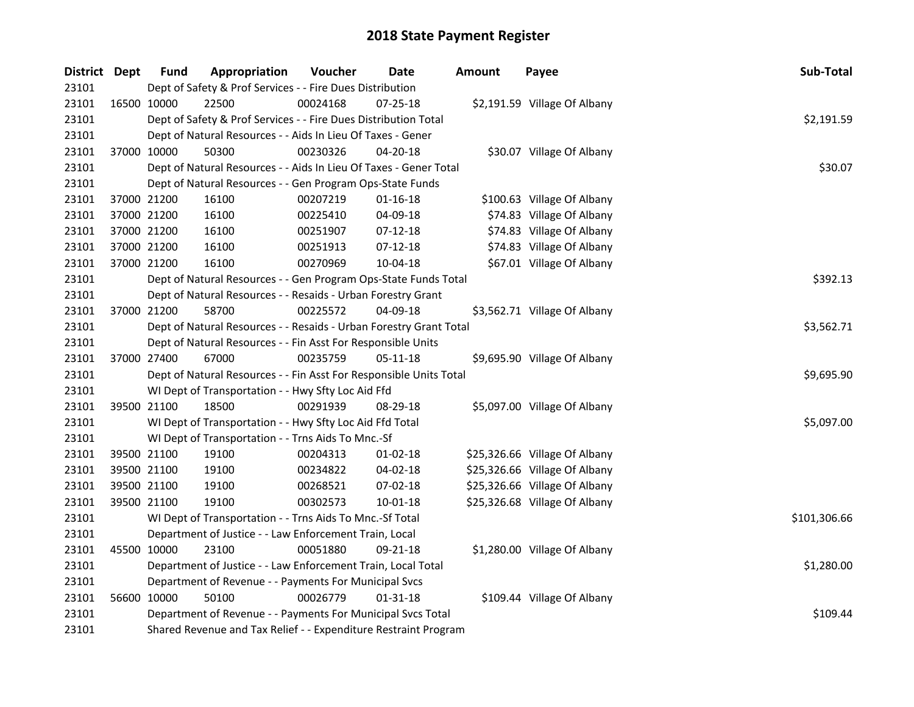| District Dept |             | <b>Fund</b> | Appropriation                                                      | Voucher    | Date           | <b>Amount</b> | Payee                         | Sub-Total    |
|---------------|-------------|-------------|--------------------------------------------------------------------|------------|----------------|---------------|-------------------------------|--------------|
| 23101         |             |             | Dept of Safety & Prof Services - - Fire Dues Distribution          |            |                |               |                               |              |
| 23101         | 16500 10000 |             | 22500                                                              | 00024168   | $07 - 25 - 18$ |               | \$2,191.59 Village Of Albany  |              |
| 23101         |             |             | Dept of Safety & Prof Services - - Fire Dues Distribution Total    |            |                |               |                               | \$2,191.59   |
| 23101         |             |             | Dept of Natural Resources - - Aids In Lieu Of Taxes - Gener        |            |                |               |                               |              |
| 23101         |             | 37000 10000 | 50300                                                              | 00230326   | 04-20-18       |               | \$30.07 Village Of Albany     |              |
| 23101         |             |             | Dept of Natural Resources - - Aids In Lieu Of Taxes - Gener Total  |            |                |               |                               | \$30.07      |
| 23101         |             |             | Dept of Natural Resources - - Gen Program Ops-State Funds          |            |                |               |                               |              |
| 23101         |             | 37000 21200 | 16100                                                              | 00207219   | $01 - 16 - 18$ |               | \$100.63 Village Of Albany    |              |
| 23101         | 37000 21200 |             | 16100                                                              | 00225410   | 04-09-18       |               | \$74.83 Village Of Albany     |              |
| 23101         | 37000 21200 |             | 16100                                                              | 00251907   | $07-12-18$     |               | \$74.83 Village Of Albany     |              |
| 23101         |             | 37000 21200 | 16100                                                              | 00251913   | $07-12-18$     |               | \$74.83 Village Of Albany     |              |
| 23101         |             | 37000 21200 | 16100                                                              | 00270969   | 10-04-18       |               | \$67.01 Village Of Albany     |              |
| 23101         |             |             | Dept of Natural Resources - - Gen Program Ops-State Funds Total    |            |                |               |                               | \$392.13     |
| 23101         |             |             | Dept of Natural Resources - - Resaids - Urban Forestry Grant       |            |                |               |                               |              |
| 23101         |             | 37000 21200 | 58700                                                              | 00225572   | 04-09-18       |               | \$3,562.71 Village Of Albany  |              |
| 23101         |             |             | Dept of Natural Resources - - Resaids - Urban Forestry Grant Total | \$3,562.71 |                |               |                               |              |
| 23101         |             |             | Dept of Natural Resources - - Fin Asst For Responsible Units       |            |                |               |                               |              |
| 23101         |             | 37000 27400 | 67000                                                              | 00235759   | $05 - 11 - 18$ |               | \$9,695.90 Village Of Albany  |              |
| 23101         |             |             | Dept of Natural Resources - - Fin Asst For Responsible Units Total |            |                |               |                               | \$9,695.90   |
| 23101         |             |             | WI Dept of Transportation - - Hwy Sfty Loc Aid Ffd                 |            |                |               |                               |              |
| 23101         |             | 39500 21100 | 18500                                                              | 00291939   | 08-29-18       |               | \$5,097.00 Village Of Albany  |              |
| 23101         |             |             | WI Dept of Transportation - - Hwy Sfty Loc Aid Ffd Total           |            |                |               |                               | \$5,097.00   |
| 23101         |             |             | WI Dept of Transportation - - Trns Aids To Mnc.-Sf                 |            |                |               |                               |              |
| 23101         | 39500 21100 |             | 19100                                                              | 00204313   | $01-02-18$     |               | \$25,326.66 Village Of Albany |              |
| 23101         | 39500 21100 |             | 19100                                                              | 00234822   | 04-02-18       |               | \$25,326.66 Village Of Albany |              |
| 23101         |             | 39500 21100 | 19100                                                              | 00268521   | 07-02-18       |               | \$25,326.66 Village Of Albany |              |
| 23101         |             | 39500 21100 | 19100                                                              | 00302573   | 10-01-18       |               | \$25,326.68 Village Of Albany |              |
| 23101         |             |             | WI Dept of Transportation - - Trns Aids To Mnc.-Sf Total           |            |                |               |                               | \$101,306.66 |
| 23101         |             |             | Department of Justice - - Law Enforcement Train, Local             |            |                |               |                               |              |
| 23101         | 45500 10000 |             | 23100                                                              | 00051880   | 09-21-18       |               | \$1,280.00 Village Of Albany  |              |
| 23101         |             |             | Department of Justice - - Law Enforcement Train, Local Total       |            |                |               |                               | \$1,280.00   |
| 23101         |             |             | Department of Revenue - - Payments For Municipal Svcs              |            |                |               |                               |              |
| 23101         |             | 56600 10000 | 50100                                                              | 00026779   | 01-31-18       |               | \$109.44 Village Of Albany    |              |
| 23101         |             |             | Department of Revenue - - Payments For Municipal Svcs Total        |            |                |               |                               | \$109.44     |
| 23101         |             |             | Shared Revenue and Tax Relief - - Expenditure Restraint Program    |            |                |               |                               |              |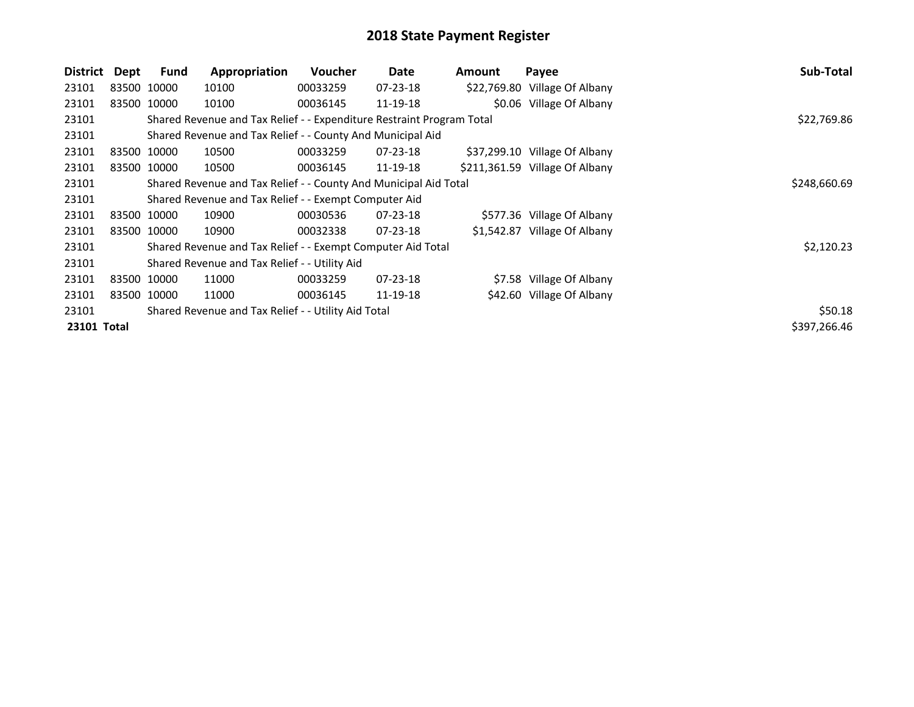| <b>District</b>                                              | Dept        | <b>Fund</b> | Appropriation                                                         | Voucher  | Date           | Amount | Payee                          | Sub-Total    |
|--------------------------------------------------------------|-------------|-------------|-----------------------------------------------------------------------|----------|----------------|--------|--------------------------------|--------------|
| 23101                                                        |             | 83500 10000 | 10100                                                                 | 00033259 | 07-23-18       |        | \$22,769.80 Village Of Albany  |              |
| 23101                                                        |             | 83500 10000 | 10100                                                                 | 00036145 | 11-19-18       |        | \$0.06 Village Of Albany       |              |
| 23101                                                        |             |             | Shared Revenue and Tax Relief - - Expenditure Restraint Program Total |          |                |        |                                | \$22,769.86  |
| 23101                                                        |             |             | Shared Revenue and Tax Relief - - County And Municipal Aid            |          |                |        |                                |              |
| 23101                                                        |             | 83500 10000 | 10500                                                                 | 00033259 | $07 - 23 - 18$ |        | \$37,299.10 Village Of Albany  |              |
| 23101                                                        |             | 83500 10000 | 10500                                                                 | 00036145 | 11-19-18       |        | \$211,361.59 Village Of Albany |              |
| 23101                                                        |             |             | Shared Revenue and Tax Relief - - County And Municipal Aid Total      |          |                |        |                                | \$248,660.69 |
| 23101                                                        |             |             | Shared Revenue and Tax Relief - - Exempt Computer Aid                 |          |                |        |                                |              |
| 23101                                                        |             | 83500 10000 | 10900                                                                 | 00030536 | $07 - 23 - 18$ |        | \$577.36 Village Of Albany     |              |
| 23101                                                        | 83500 10000 |             | 10900                                                                 | 00032338 | $07 - 23 - 18$ |        | \$1,542.87 Village Of Albany   |              |
| 23101                                                        |             |             | Shared Revenue and Tax Relief - - Exempt Computer Aid Total           |          |                |        |                                | \$2,120.23   |
| 23101                                                        |             |             | Shared Revenue and Tax Relief - - Utility Aid                         |          |                |        |                                |              |
| 23101                                                        |             | 83500 10000 | 11000                                                                 | 00033259 | $07 - 23 - 18$ |        | \$7.58 Village Of Albany       |              |
| 23101                                                        |             | 83500 10000 | 11000                                                                 | 00036145 | 11-19-18       |        | \$42.60 Village Of Albany      |              |
| 23101<br>Shared Revenue and Tax Relief - - Utility Aid Total |             |             |                                                                       |          |                |        |                                | \$50.18      |
| 23101 Total                                                  |             |             |                                                                       |          |                |        |                                | \$397,266.46 |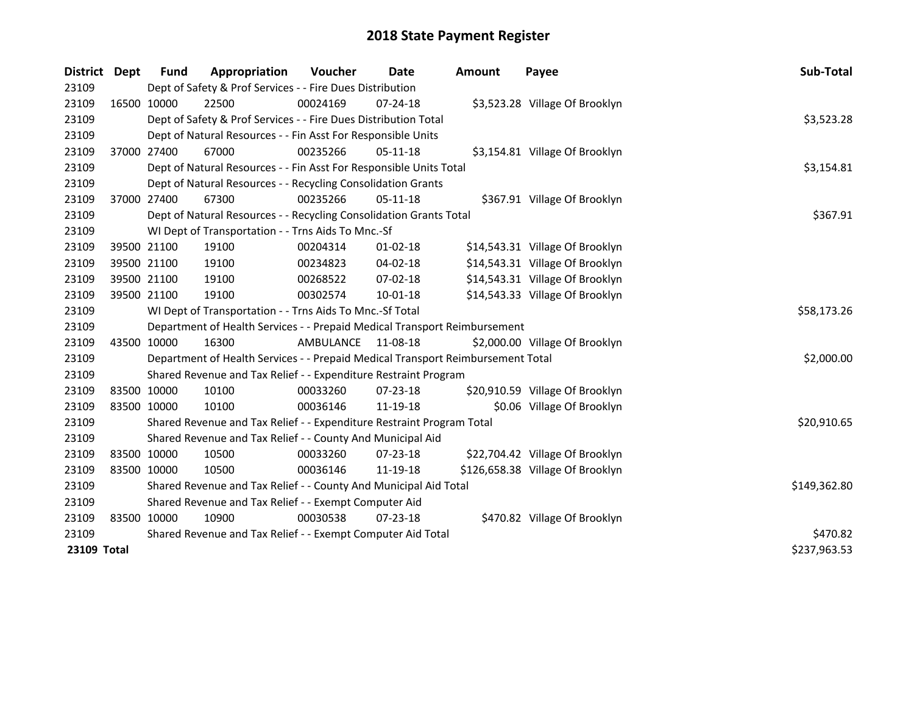| District    | <b>Dept</b> | Fund        | Appropriation                                                                   | Voucher   | Date           | <b>Amount</b> | Payee                            | Sub-Total    |
|-------------|-------------|-------------|---------------------------------------------------------------------------------|-----------|----------------|---------------|----------------------------------|--------------|
| 23109       |             |             | Dept of Safety & Prof Services - - Fire Dues Distribution                       |           |                |               |                                  |              |
| 23109       |             | 16500 10000 | 22500                                                                           | 00024169  | 07-24-18       |               | \$3,523.28 Village Of Brooklyn   |              |
| 23109       |             |             | Dept of Safety & Prof Services - - Fire Dues Distribution Total                 |           |                |               |                                  | \$3,523.28   |
| 23109       |             |             | Dept of Natural Resources - - Fin Asst For Responsible Units                    |           |                |               |                                  |              |
| 23109       |             | 37000 27400 | 67000                                                                           | 00235266  | $05-11-18$     |               | \$3,154.81 Village Of Brooklyn   |              |
| 23109       |             |             | Dept of Natural Resources - - Fin Asst For Responsible Units Total              |           |                |               |                                  | \$3,154.81   |
| 23109       |             |             | Dept of Natural Resources - - Recycling Consolidation Grants                    |           |                |               |                                  |              |
| 23109       |             | 37000 27400 | 67300                                                                           | 00235266  | 05-11-18       |               | \$367.91 Village Of Brooklyn     |              |
| 23109       |             |             | Dept of Natural Resources - - Recycling Consolidation Grants Total              | \$367.91  |                |               |                                  |              |
| 23109       |             |             | WI Dept of Transportation - - Trns Aids To Mnc.-Sf                              |           |                |               |                                  |              |
| 23109       |             | 39500 21100 | 19100                                                                           | 00204314  | $01 - 02 - 18$ |               | \$14,543.31 Village Of Brooklyn  |              |
| 23109       |             | 39500 21100 | 19100                                                                           | 00234823  | $04 - 02 - 18$ |               | \$14,543.31 Village Of Brooklyn  |              |
| 23109       |             | 39500 21100 | 19100                                                                           | 00268522  | 07-02-18       |               | \$14,543.31 Village Of Brooklyn  |              |
| 23109       |             | 39500 21100 | 19100                                                                           | 00302574  | 10-01-18       |               | \$14,543.33 Village Of Brooklyn  |              |
| 23109       |             |             | WI Dept of Transportation - - Trns Aids To Mnc.-Sf Total                        |           |                |               |                                  | \$58,173.26  |
| 23109       |             |             | Department of Health Services - - Prepaid Medical Transport Reimbursement       |           |                |               |                                  |              |
| 23109       |             | 43500 10000 | 16300                                                                           | AMBULANCE | 11-08-18       |               | \$2,000.00 Village Of Brooklyn   |              |
| 23109       |             |             | Department of Health Services - - Prepaid Medical Transport Reimbursement Total |           |                |               |                                  | \$2,000.00   |
| 23109       |             |             | Shared Revenue and Tax Relief - - Expenditure Restraint Program                 |           |                |               |                                  |              |
| 23109       |             | 83500 10000 | 10100                                                                           | 00033260  | $07 - 23 - 18$ |               | \$20,910.59 Village Of Brooklyn  |              |
| 23109       |             | 83500 10000 | 10100                                                                           | 00036146  | 11-19-18       |               | \$0.06 Village Of Brooklyn       |              |
| 23109       |             |             | Shared Revenue and Tax Relief - - Expenditure Restraint Program Total           |           |                |               |                                  | \$20,910.65  |
| 23109       |             |             | Shared Revenue and Tax Relief - - County And Municipal Aid                      |           |                |               |                                  |              |
| 23109       |             | 83500 10000 | 10500                                                                           | 00033260  | 07-23-18       |               | \$22,704.42 Village Of Brooklyn  |              |
| 23109       |             | 83500 10000 | 10500                                                                           | 00036146  | 11-19-18       |               | \$126,658.38 Village Of Brooklyn |              |
| 23109       |             |             | Shared Revenue and Tax Relief - - County And Municipal Aid Total                |           |                |               |                                  | \$149,362.80 |
| 23109       |             |             | Shared Revenue and Tax Relief - - Exempt Computer Aid                           |           |                |               |                                  |              |
| 23109       |             | 83500 10000 | 10900                                                                           | 00030538  | $07 - 23 - 18$ |               | \$470.82 Village Of Brooklyn     |              |
| 23109       |             |             | Shared Revenue and Tax Relief - - Exempt Computer Aid Total                     | \$470.82  |                |               |                                  |              |
| 23109 Total |             |             |                                                                                 |           |                |               |                                  | \$237,963.53 |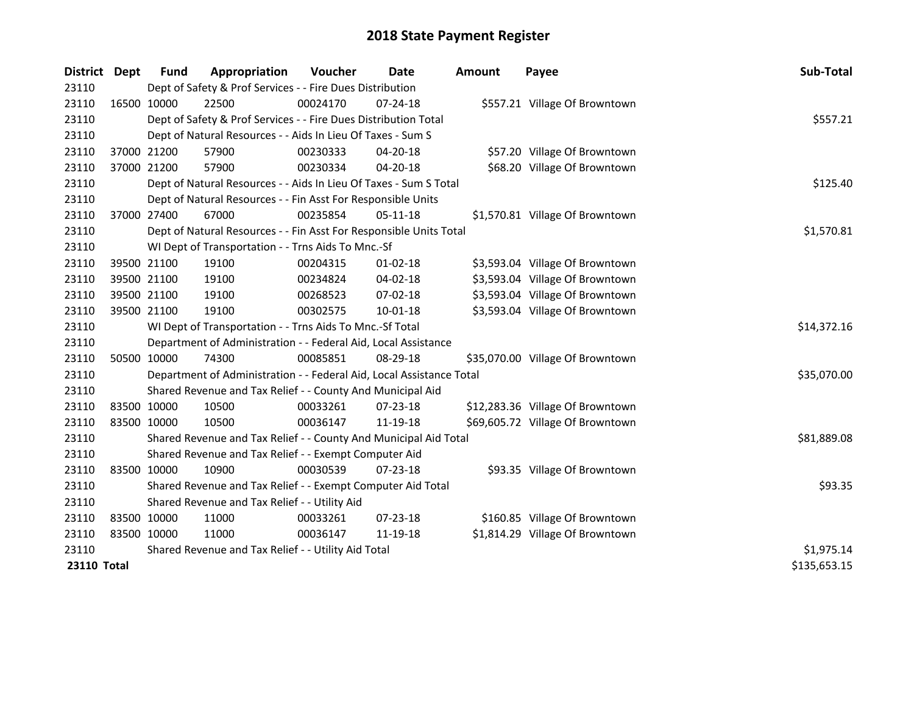| <b>District</b>    | Dept        | <b>Fund</b> | Appropriation                                                        | Voucher    | <b>Date</b>    | <b>Amount</b> | Payee                            | Sub-Total    |
|--------------------|-------------|-------------|----------------------------------------------------------------------|------------|----------------|---------------|----------------------------------|--------------|
| 23110              |             |             | Dept of Safety & Prof Services - - Fire Dues Distribution            |            |                |               |                                  |              |
| 23110              | 16500 10000 |             | 22500                                                                | 00024170   | 07-24-18       |               | \$557.21 Village Of Browntown    |              |
| 23110              |             |             | Dept of Safety & Prof Services - - Fire Dues Distribution Total      |            |                |               |                                  | \$557.21     |
| 23110              |             |             | Dept of Natural Resources - - Aids In Lieu Of Taxes - Sum S          |            |                |               |                                  |              |
| 23110              |             | 37000 21200 | 57900                                                                | 00230333   | 04-20-18       |               | \$57.20 Village Of Browntown     |              |
| 23110              |             | 37000 21200 | 57900                                                                | 00230334   | 04-20-18       |               | \$68.20 Village Of Browntown     |              |
| 23110              |             |             | Dept of Natural Resources - - Aids In Lieu Of Taxes - Sum S Total    |            |                |               |                                  | \$125.40     |
| 23110              |             |             | Dept of Natural Resources - - Fin Asst For Responsible Units         |            |                |               |                                  |              |
| 23110              |             | 37000 27400 | 67000                                                                | 00235854   | 05-11-18       |               | \$1,570.81 Village Of Browntown  |              |
| 23110              |             |             | Dept of Natural Resources - - Fin Asst For Responsible Units Total   |            |                |               |                                  | \$1,570.81   |
| 23110              |             |             | WI Dept of Transportation - - Trns Aids To Mnc.-Sf                   |            |                |               |                                  |              |
| 23110              |             | 39500 21100 | 19100                                                                | 00204315   | $01 - 02 - 18$ |               | \$3,593.04 Village Of Browntown  |              |
| 23110              |             | 39500 21100 | 19100                                                                | 00234824   | $04 - 02 - 18$ |               | \$3,593.04 Village Of Browntown  |              |
| 23110              |             | 39500 21100 | 19100                                                                | 00268523   | 07-02-18       |               | \$3,593.04 Village Of Browntown  |              |
| 23110              |             | 39500 21100 | 19100                                                                | 00302575   | $10 - 01 - 18$ |               | \$3,593.04 Village Of Browntown  |              |
| 23110              |             |             | WI Dept of Transportation - - Trns Aids To Mnc.-Sf Total             |            |                |               |                                  | \$14,372.16  |
| 23110              |             |             | Department of Administration - - Federal Aid, Local Assistance       |            |                |               |                                  |              |
| 23110              |             | 50500 10000 | 74300                                                                | 00085851   | $08-29-18$     |               | \$35,070.00 Village Of Browntown |              |
| 23110              |             |             | Department of Administration - - Federal Aid, Local Assistance Total |            |                |               |                                  | \$35,070.00  |
| 23110              |             |             | Shared Revenue and Tax Relief - - County And Municipal Aid           |            |                |               |                                  |              |
| 23110              |             | 83500 10000 | 10500                                                                | 00033261   | 07-23-18       |               | \$12,283.36 Village Of Browntown |              |
| 23110              | 83500 10000 |             | 10500                                                                | 00036147   | 11-19-18       |               | \$69,605.72 Village Of Browntown |              |
| 23110              |             |             | Shared Revenue and Tax Relief - - County And Municipal Aid Total     |            |                |               |                                  | \$81,889.08  |
| 23110              |             |             | Shared Revenue and Tax Relief - - Exempt Computer Aid                |            |                |               |                                  |              |
| 23110              | 83500 10000 |             | 10900                                                                | 00030539   | 07-23-18       |               | \$93.35 Village Of Browntown     |              |
| 23110              |             |             | Shared Revenue and Tax Relief - - Exempt Computer Aid Total          |            |                |               |                                  | \$93.35      |
| 23110              |             |             | Shared Revenue and Tax Relief - - Utility Aid                        |            |                |               |                                  |              |
| 23110              |             | 83500 10000 | 11000                                                                | 00033261   | 07-23-18       |               | \$160.85 Village Of Browntown    |              |
| 23110              | 83500 10000 |             | 11000                                                                | 00036147   | 11-19-18       |               | \$1,814.29 Village Of Browntown  |              |
| 23110              |             |             | Shared Revenue and Tax Relief - - Utility Aid Total                  | \$1,975.14 |                |               |                                  |              |
| <b>23110 Total</b> |             |             |                                                                      |            |                |               |                                  | \$135,653.15 |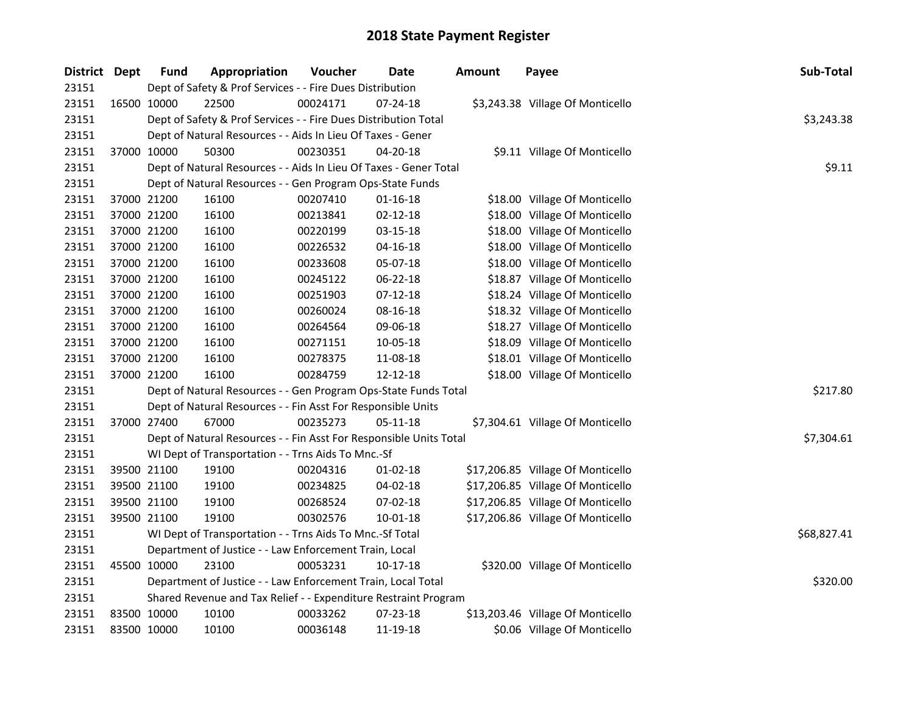| District Dept |             | <b>Fund</b> | <b>Appropriation</b>                                               | Voucher  | Date           | <b>Amount</b> | Payee                             | Sub-Total   |
|---------------|-------------|-------------|--------------------------------------------------------------------|----------|----------------|---------------|-----------------------------------|-------------|
| 23151         |             |             | Dept of Safety & Prof Services - - Fire Dues Distribution          |          |                |               |                                   |             |
| 23151         |             | 16500 10000 | 22500                                                              | 00024171 | 07-24-18       |               | \$3,243.38 Village Of Monticello  |             |
| 23151         |             |             | Dept of Safety & Prof Services - - Fire Dues Distribution Total    |          |                |               |                                   | \$3,243.38  |
| 23151         |             |             | Dept of Natural Resources - - Aids In Lieu Of Taxes - Gener        |          |                |               |                                   |             |
| 23151         |             | 37000 10000 | 50300                                                              | 00230351 | 04-20-18       |               | \$9.11 Village Of Monticello      |             |
| 23151         |             |             | Dept of Natural Resources - - Aids In Lieu Of Taxes - Gener Total  |          |                |               |                                   | \$9.11      |
| 23151         |             |             | Dept of Natural Resources - - Gen Program Ops-State Funds          |          |                |               |                                   |             |
| 23151         |             | 37000 21200 | 16100                                                              | 00207410 | $01 - 16 - 18$ |               | \$18.00 Village Of Monticello     |             |
| 23151         |             | 37000 21200 | 16100                                                              | 00213841 | 02-12-18       |               | \$18.00 Village Of Monticello     |             |
| 23151         | 37000 21200 |             | 16100                                                              | 00220199 | 03-15-18       |               | \$18.00 Village Of Monticello     |             |
| 23151         |             | 37000 21200 | 16100                                                              | 00226532 | 04-16-18       |               | \$18.00 Village Of Monticello     |             |
| 23151         |             | 37000 21200 | 16100                                                              | 00233608 | 05-07-18       |               | \$18.00 Village Of Monticello     |             |
| 23151         |             | 37000 21200 | 16100                                                              | 00245122 | 06-22-18       |               | \$18.87 Village Of Monticello     |             |
| 23151         |             | 37000 21200 | 16100                                                              | 00251903 | $07-12-18$     |               | \$18.24 Village Of Monticello     |             |
| 23151         |             | 37000 21200 | 16100                                                              | 00260024 | 08-16-18       |               | \$18.32 Village Of Monticello     |             |
| 23151         |             | 37000 21200 | 16100                                                              | 00264564 | 09-06-18       |               | \$18.27 Village Of Monticello     |             |
| 23151         |             | 37000 21200 | 16100                                                              | 00271151 | 10-05-18       |               | \$18.09 Village Of Monticello     |             |
| 23151         |             | 37000 21200 | 16100                                                              | 00278375 | 11-08-18       |               | \$18.01 Village Of Monticello     |             |
| 23151         |             | 37000 21200 | 16100                                                              | 00284759 | 12-12-18       |               | \$18.00 Village Of Monticello     |             |
| 23151         |             |             | Dept of Natural Resources - - Gen Program Ops-State Funds Total    |          |                |               |                                   | \$217.80    |
| 23151         |             |             | Dept of Natural Resources - - Fin Asst For Responsible Units       |          |                |               |                                   |             |
| 23151         |             | 37000 27400 | 67000                                                              | 00235273 | $05 - 11 - 18$ |               | \$7,304.61 Village Of Monticello  |             |
| 23151         |             |             | Dept of Natural Resources - - Fin Asst For Responsible Units Total |          |                |               |                                   | \$7,304.61  |
| 23151         |             |             | WI Dept of Transportation - - Trns Aids To Mnc.-Sf                 |          |                |               |                                   |             |
| 23151         |             | 39500 21100 | 19100                                                              | 00204316 | $01 - 02 - 18$ |               | \$17,206.85 Village Of Monticello |             |
| 23151         |             | 39500 21100 | 19100                                                              | 00234825 | 04-02-18       |               | \$17,206.85 Village Of Monticello |             |
| 23151         |             | 39500 21100 | 19100                                                              | 00268524 | 07-02-18       |               | \$17,206.85 Village Of Monticello |             |
| 23151         |             | 39500 21100 | 19100                                                              | 00302576 | 10-01-18       |               | \$17,206.86 Village Of Monticello |             |
| 23151         |             |             | WI Dept of Transportation - - Trns Aids To Mnc.-Sf Total           |          |                |               |                                   | \$68,827.41 |
| 23151         |             |             | Department of Justice - - Law Enforcement Train, Local             |          |                |               |                                   |             |
| 23151         |             | 45500 10000 | 23100                                                              | 00053231 | 10-17-18       |               | \$320.00 Village Of Monticello    |             |
| 23151         |             |             | Department of Justice - - Law Enforcement Train, Local Total       |          |                |               |                                   | \$320.00    |
| 23151         |             |             | Shared Revenue and Tax Relief - - Expenditure Restraint Program    |          |                |               |                                   |             |
| 23151         |             | 83500 10000 | 10100                                                              | 00033262 | 07-23-18       |               | \$13,203.46 Village Of Monticello |             |
| 23151         | 83500 10000 |             | 10100                                                              | 00036148 | 11-19-18       |               | \$0.06 Village Of Monticello      |             |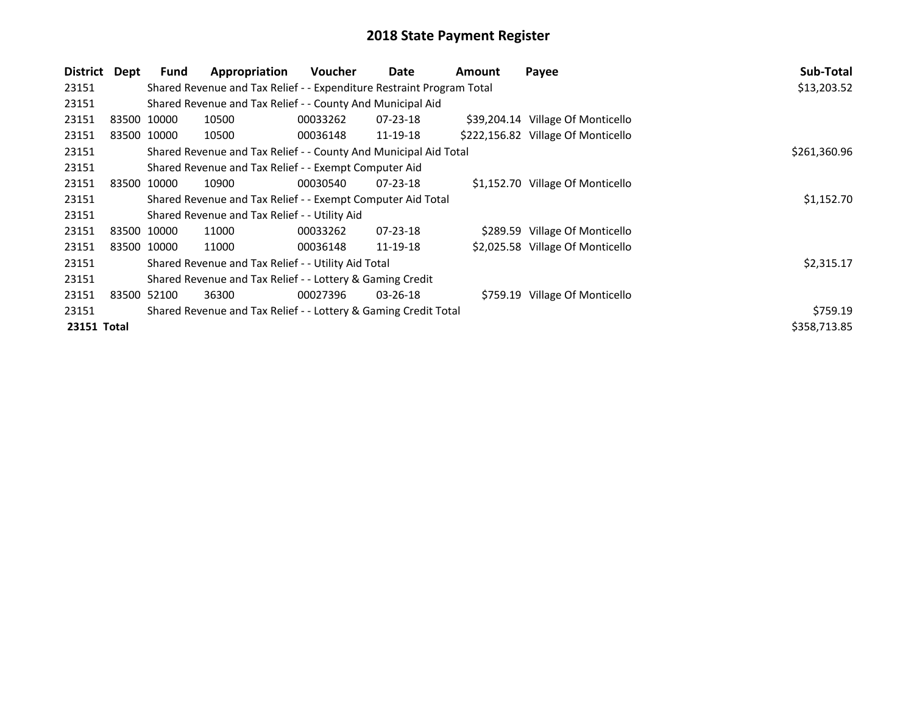| District    | Dept | <b>Fund</b>                                                 | Appropriation                                                         | <b>Voucher</b> | Date           | Amount | Payee                              | Sub-Total    |
|-------------|------|-------------------------------------------------------------|-----------------------------------------------------------------------|----------------|----------------|--------|------------------------------------|--------------|
| 23151       |      |                                                             | Shared Revenue and Tax Relief - - Expenditure Restraint Program Total |                |                |        |                                    | \$13,203.52  |
| 23151       |      |                                                             | Shared Revenue and Tax Relief - - County And Municipal Aid            |                |                |        |                                    |              |
| 23151       |      | 83500 10000                                                 | 10500                                                                 | 00033262       | 07-23-18       |        | \$39,204.14 Village Of Monticello  |              |
| 23151       |      | 83500 10000                                                 | 10500                                                                 | 00036148       | 11-19-18       |        | \$222,156.82 Village Of Monticello |              |
| 23151       |      |                                                             | Shared Revenue and Tax Relief - - County And Municipal Aid Total      |                |                |        |                                    | \$261,360.96 |
| 23151       |      |                                                             | Shared Revenue and Tax Relief - - Exempt Computer Aid                 |                |                |        |                                    |              |
| 23151       |      | 83500 10000                                                 | 10900                                                                 | 00030540       | $07 - 23 - 18$ |        | \$1,152.70 Village Of Monticello   |              |
| 23151       |      | Shared Revenue and Tax Relief - - Exempt Computer Aid Total | \$1,152.70                                                            |                |                |        |                                    |              |
| 23151       |      |                                                             | Shared Revenue and Tax Relief - - Utility Aid                         |                |                |        |                                    |              |
| 23151       |      | 83500 10000                                                 | 11000                                                                 | 00033262       | $07 - 23 - 18$ |        | \$289.59 Village Of Monticello     |              |
| 23151       |      | 83500 10000                                                 | 11000                                                                 | 00036148       | 11-19-18       |        | \$2,025.58 Village Of Monticello   |              |
| 23151       |      |                                                             | Shared Revenue and Tax Relief - - Utility Aid Total                   |                |                |        |                                    | \$2,315.17   |
| 23151       |      |                                                             | Shared Revenue and Tax Relief - - Lottery & Gaming Credit             |                |                |        |                                    |              |
| 23151       |      | 83500 52100                                                 | 36300                                                                 | 00027396       | $03 - 26 - 18$ |        | \$759.19 Village Of Monticello     |              |
| 23151       |      | \$759.19                                                    |                                                                       |                |                |        |                                    |              |
| 23151 Total |      |                                                             |                                                                       |                |                |        |                                    | \$358,713.85 |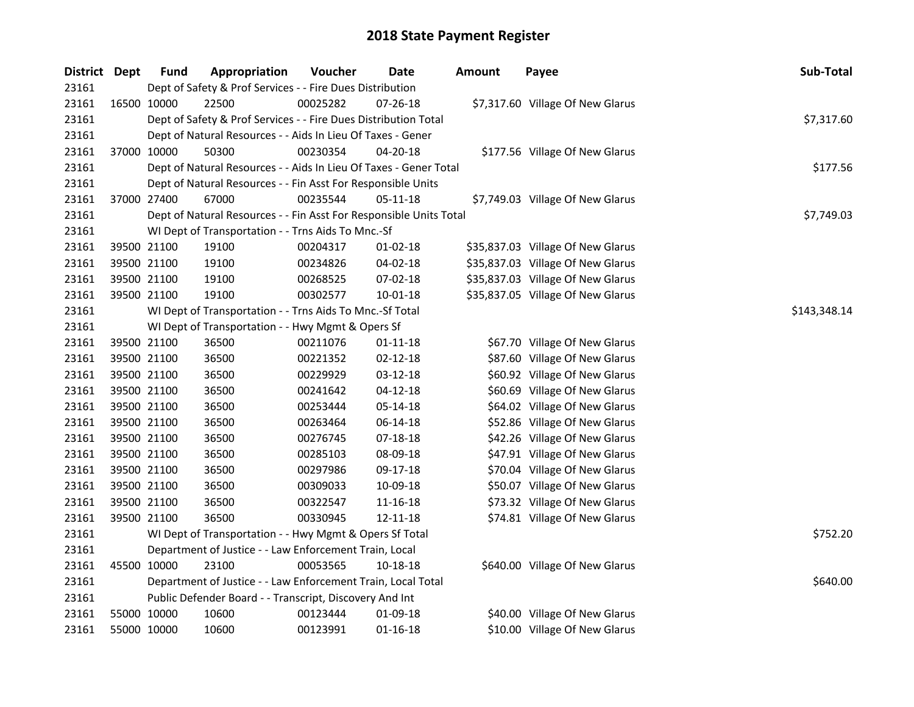| <b>District Dept</b> | <b>Fund</b> | Appropriation                                                      | Voucher      | Date           | <b>Amount</b> | Payee                             | Sub-Total  |
|----------------------|-------------|--------------------------------------------------------------------|--------------|----------------|---------------|-----------------------------------|------------|
| 23161                |             | Dept of Safety & Prof Services - - Fire Dues Distribution          |              |                |               |                                   |            |
| 23161                | 16500 10000 | 22500                                                              | 00025282     | 07-26-18       |               | \$7,317.60 Village Of New Glarus  |            |
| 23161                |             | Dept of Safety & Prof Services - - Fire Dues Distribution Total    |              |                |               |                                   | \$7,317.60 |
| 23161                |             | Dept of Natural Resources - - Aids In Lieu Of Taxes - Gener        |              |                |               |                                   |            |
| 23161                | 37000 10000 | 50300                                                              | 00230354     | 04-20-18       |               | \$177.56 Village Of New Glarus    |            |
| 23161                |             | Dept of Natural Resources - - Aids In Lieu Of Taxes - Gener Total  |              |                |               |                                   | \$177.56   |
| 23161                |             | Dept of Natural Resources - - Fin Asst For Responsible Units       |              |                |               |                                   |            |
| 23161                | 37000 27400 | 67000                                                              | 00235544     | 05-11-18       |               | \$7,749.03 Village Of New Glarus  |            |
| 23161                |             | Dept of Natural Resources - - Fin Asst For Responsible Units Total |              |                |               |                                   | \$7,749.03 |
| 23161                |             | WI Dept of Transportation - - Trns Aids To Mnc.-Sf                 |              |                |               |                                   |            |
| 23161                | 39500 21100 | 19100                                                              | 00204317     | 01-02-18       |               | \$35,837.03 Village Of New Glarus |            |
| 23161                | 39500 21100 | 19100                                                              | 00234826     | 04-02-18       |               | \$35,837.03 Village Of New Glarus |            |
| 23161                | 39500 21100 | 19100                                                              | 00268525     | 07-02-18       |               | \$35,837.03 Village Of New Glarus |            |
| 23161                | 39500 21100 | 19100                                                              | 00302577     | 10-01-18       |               | \$35,837.05 Village Of New Glarus |            |
| 23161                |             | WI Dept of Transportation - - Trns Aids To Mnc.-Sf Total           | \$143,348.14 |                |               |                                   |            |
| 23161                |             | WI Dept of Transportation - - Hwy Mgmt & Opers Sf                  |              |                |               |                                   |            |
| 23161                | 39500 21100 | 36500                                                              | 00211076     | $01 - 11 - 18$ |               | \$67.70 Village Of New Glarus     |            |
| 23161                | 39500 21100 | 36500                                                              | 00221352     | 02-12-18       |               | \$87.60 Village Of New Glarus     |            |
| 23161                | 39500 21100 | 36500                                                              | 00229929     | 03-12-18       |               | \$60.92 Village Of New Glarus     |            |
| 23161                | 39500 21100 | 36500                                                              | 00241642     | $04 - 12 - 18$ |               | \$60.69 Village Of New Glarus     |            |
| 23161                | 39500 21100 | 36500                                                              | 00253444     | 05-14-18       |               | \$64.02 Village Of New Glarus     |            |
| 23161                | 39500 21100 | 36500                                                              | 00263464     | 06-14-18       |               | \$52.86 Village Of New Glarus     |            |
| 23161                | 39500 21100 | 36500                                                              | 00276745     | $07-18-18$     |               | \$42.26 Village Of New Glarus     |            |
| 23161                | 39500 21100 | 36500                                                              | 00285103     | 08-09-18       |               | \$47.91 Village Of New Glarus     |            |
| 23161                | 39500 21100 | 36500                                                              | 00297986     | 09-17-18       |               | \$70.04 Village Of New Glarus     |            |
| 23161                | 39500 21100 | 36500                                                              | 00309033     | 10-09-18       |               | \$50.07 Village Of New Glarus     |            |
| 23161                | 39500 21100 | 36500                                                              | 00322547     | 11-16-18       |               | \$73.32 Village Of New Glarus     |            |
| 23161                | 39500 21100 | 36500                                                              | 00330945     | 12-11-18       |               | \$74.81 Village Of New Glarus     |            |
| 23161                |             | WI Dept of Transportation - - Hwy Mgmt & Opers Sf Total            | \$752.20     |                |               |                                   |            |
| 23161                |             | Department of Justice - - Law Enforcement Train, Local             |              |                |               |                                   |            |
| 23161                | 45500 10000 | 23100                                                              | 00053565     | 10-18-18       |               | \$640.00 Village Of New Glarus    |            |
| 23161                |             | Department of Justice - - Law Enforcement Train, Local Total       |              |                |               |                                   | \$640.00   |
| 23161                |             | Public Defender Board - - Transcript, Discovery And Int            |              |                |               |                                   |            |
| 23161                | 55000 10000 | 10600                                                              | 00123444     | 01-09-18       |               | \$40.00 Village Of New Glarus     |            |
| 23161                | 55000 10000 | 10600                                                              | 00123991     | $01 - 16 - 18$ |               | \$10.00 Village Of New Glarus     |            |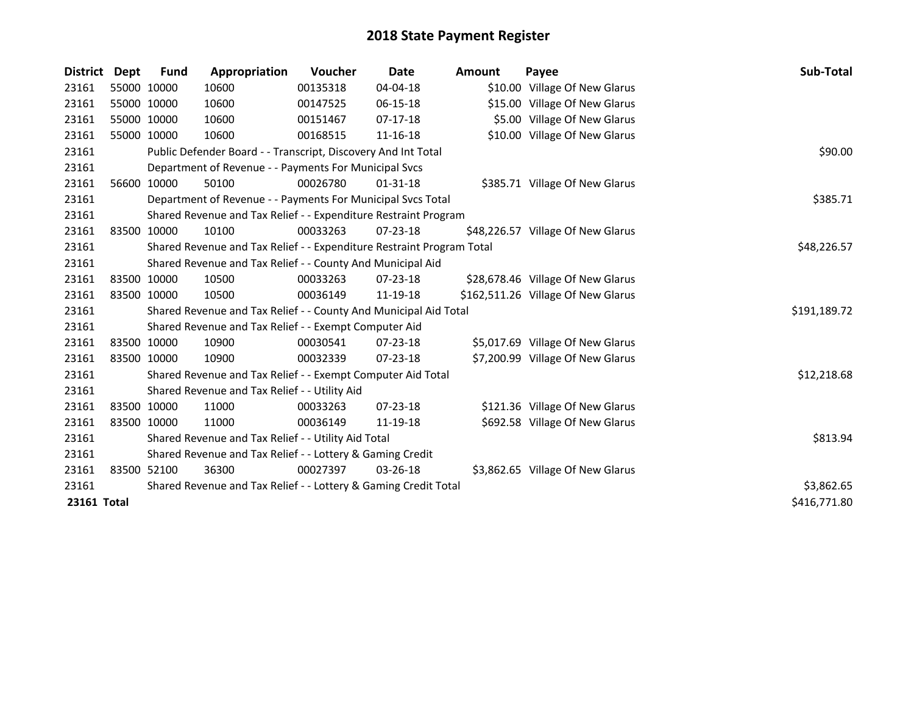| District    | <b>Dept</b> | <b>Fund</b> | Appropriation                                                         | <b>Voucher</b> | Date           | Amount      | Payee                              | <b>Sub-Total</b> |
|-------------|-------------|-------------|-----------------------------------------------------------------------|----------------|----------------|-------------|------------------------------------|------------------|
| 23161       |             | 55000 10000 | 10600                                                                 | 00135318       | 04-04-18       |             | \$10.00 Village Of New Glarus      |                  |
| 23161       |             | 55000 10000 | 10600                                                                 | 00147525       | 06-15-18       |             | \$15.00 Village Of New Glarus      |                  |
| 23161       |             | 55000 10000 | 10600                                                                 | 00151467       | 07-17-18       |             | \$5.00 Village Of New Glarus       |                  |
| 23161       |             | 55000 10000 | 10600                                                                 | 00168515       | 11-16-18       |             | \$10.00 Village Of New Glarus      |                  |
| 23161       |             |             | Public Defender Board - - Transcript, Discovery And Int Total         |                |                |             |                                    | \$90.00          |
| 23161       |             |             | Department of Revenue - - Payments For Municipal Svcs                 |                |                |             |                                    |                  |
| 23161       |             | 56600 10000 | 50100                                                                 | 00026780       | $01 - 31 - 18$ |             | \$385.71 Village Of New Glarus     |                  |
| 23161       |             |             | Department of Revenue - - Payments For Municipal Svcs Total           |                |                |             |                                    | \$385.71         |
| 23161       |             |             | Shared Revenue and Tax Relief - - Expenditure Restraint Program       |                |                |             |                                    |                  |
| 23161       |             | 83500 10000 | 10100                                                                 | 00033263       | $07 - 23 - 18$ |             | \$48,226.57 Village Of New Glarus  |                  |
| 23161       |             |             | Shared Revenue and Tax Relief - - Expenditure Restraint Program Total |                |                | \$48,226.57 |                                    |                  |
| 23161       |             |             | Shared Revenue and Tax Relief - - County And Municipal Aid            |                |                |             |                                    |                  |
| 23161       |             | 83500 10000 | 10500                                                                 | 00033263       | $07 - 23 - 18$ |             | \$28,678.46 Village Of New Glarus  |                  |
| 23161       |             | 83500 10000 | 10500                                                                 | 00036149       | 11-19-18       |             | \$162,511.26 Village Of New Glarus |                  |
| 23161       |             |             | Shared Revenue and Tax Relief - - County And Municipal Aid Total      |                |                |             |                                    | \$191,189.72     |
| 23161       |             |             | Shared Revenue and Tax Relief - - Exempt Computer Aid                 |                |                |             |                                    |                  |
| 23161       |             | 83500 10000 | 10900                                                                 | 00030541       | $07 - 23 - 18$ |             | \$5,017.69 Village Of New Glarus   |                  |
| 23161       |             | 83500 10000 | 10900                                                                 | 00032339       | $07 - 23 - 18$ |             | \$7,200.99 Village Of New Glarus   |                  |
| 23161       |             |             | Shared Revenue and Tax Relief - - Exempt Computer Aid Total           |                |                |             |                                    | \$12,218.68      |
| 23161       |             |             | Shared Revenue and Tax Relief - - Utility Aid                         |                |                |             |                                    |                  |
| 23161       |             | 83500 10000 | 11000                                                                 | 00033263       | 07-23-18       |             | \$121.36 Village Of New Glarus     |                  |
| 23161       |             | 83500 10000 | 11000                                                                 | 00036149       | 11-19-18       |             | \$692.58 Village Of New Glarus     |                  |
| 23161       |             |             | Shared Revenue and Tax Relief - - Utility Aid Total                   |                |                |             |                                    | \$813.94         |
| 23161       |             |             | Shared Revenue and Tax Relief - - Lottery & Gaming Credit             |                |                |             |                                    |                  |
| 23161       |             | 83500 52100 | 36300                                                                 | 00027397       | 03-26-18       |             | \$3,862.65 Village Of New Glarus   |                  |
| 23161       |             |             | Shared Revenue and Tax Relief - - Lottery & Gaming Credit Total       | \$3,862.65     |                |             |                                    |                  |
| 23161 Total |             |             |                                                                       |                |                |             |                                    | \$416,771.80     |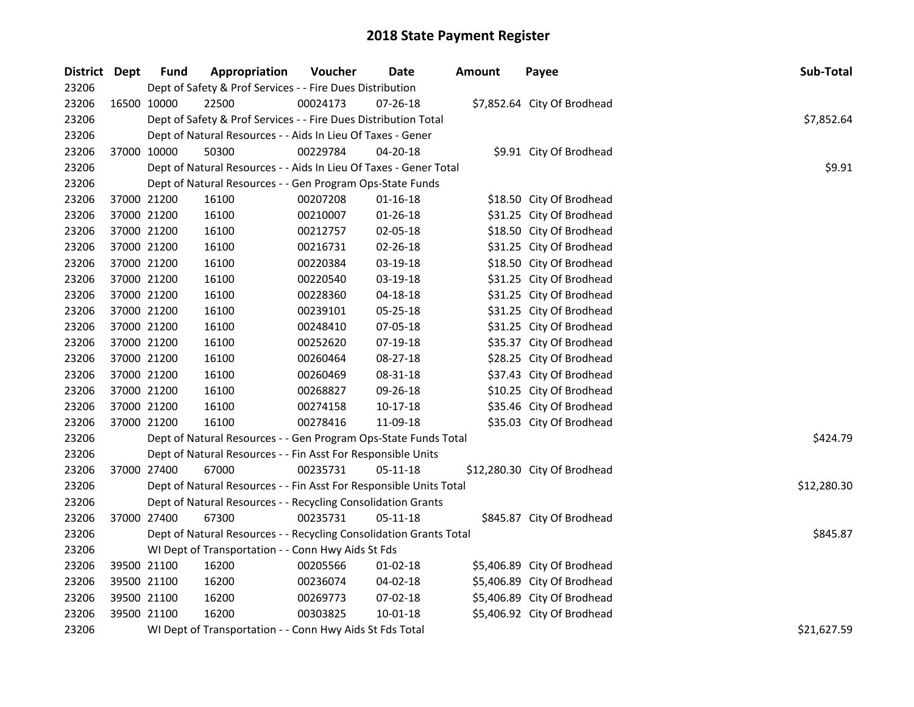| District Dept |             | <b>Fund</b>                                                        | Appropriation                                                      | Voucher  | Date           | <b>Amount</b> | Payee                        | Sub-Total   |
|---------------|-------------|--------------------------------------------------------------------|--------------------------------------------------------------------|----------|----------------|---------------|------------------------------|-------------|
| 23206         |             |                                                                    | Dept of Safety & Prof Services - - Fire Dues Distribution          |          |                |               |                              |             |
| 23206         |             | 16500 10000                                                        | 22500                                                              | 00024173 | 07-26-18       |               | \$7,852.64 City Of Brodhead  |             |
| 23206         |             |                                                                    | Dept of Safety & Prof Services - - Fire Dues Distribution Total    |          |                |               |                              | \$7,852.64  |
| 23206         |             |                                                                    | Dept of Natural Resources - - Aids In Lieu Of Taxes - Gener        |          |                |               |                              |             |
| 23206         |             | 37000 10000                                                        | 50300                                                              | 00229784 | 04-20-18       |               | \$9.91 City Of Brodhead      |             |
| 23206         |             |                                                                    | Dept of Natural Resources - - Aids In Lieu Of Taxes - Gener Total  |          |                |               |                              | \$9.91      |
| 23206         |             |                                                                    | Dept of Natural Resources - - Gen Program Ops-State Funds          |          |                |               |                              |             |
| 23206         |             | 37000 21200                                                        | 16100                                                              | 00207208 | $01 - 16 - 18$ |               | \$18.50 City Of Brodhead     |             |
| 23206         | 37000 21200 |                                                                    | 16100                                                              | 00210007 | 01-26-18       |               | \$31.25 City Of Brodhead     |             |
| 23206         | 37000 21200 |                                                                    | 16100                                                              | 00212757 | 02-05-18       |               | \$18.50 City Of Brodhead     |             |
| 23206         | 37000 21200 |                                                                    | 16100                                                              | 00216731 | 02-26-18       |               | \$31.25 City Of Brodhead     |             |
| 23206         |             | 37000 21200                                                        | 16100                                                              | 00220384 | 03-19-18       |               | \$18.50 City Of Brodhead     |             |
| 23206         |             | 37000 21200                                                        | 16100                                                              | 00220540 | 03-19-18       |               | \$31.25 City Of Brodhead     |             |
| 23206         | 37000 21200 |                                                                    | 16100                                                              | 00228360 | 04-18-18       |               | \$31.25 City Of Brodhead     |             |
| 23206         |             | 37000 21200                                                        | 16100                                                              | 00239101 | 05-25-18       |               | \$31.25 City Of Brodhead     |             |
| 23206         |             | 37000 21200                                                        | 16100                                                              | 00248410 | 07-05-18       |               | \$31.25 City Of Brodhead     |             |
| 23206         |             | 37000 21200                                                        | 16100                                                              | 00252620 | 07-19-18       |               | \$35.37 City Of Brodhead     |             |
| 23206         |             | 37000 21200                                                        | 16100                                                              | 00260464 | 08-27-18       |               | \$28.25 City Of Brodhead     |             |
| 23206         |             | 37000 21200                                                        | 16100                                                              | 00260469 | 08-31-18       |               | \$37.43 City Of Brodhead     |             |
| 23206         |             | 37000 21200                                                        | 16100                                                              | 00268827 | 09-26-18       |               | \$10.25 City Of Brodhead     |             |
| 23206         |             | 37000 21200                                                        | 16100                                                              | 00274158 | $10-17-18$     |               | \$35.46 City Of Brodhead     |             |
| 23206         |             | 37000 21200                                                        | 16100                                                              | 00278416 | 11-09-18       |               | \$35.03 City Of Brodhead     |             |
| 23206         |             |                                                                    | Dept of Natural Resources - - Gen Program Ops-State Funds Total    |          |                |               |                              | \$424.79    |
| 23206         |             |                                                                    | Dept of Natural Resources - - Fin Asst For Responsible Units       |          |                |               |                              |             |
| 23206         |             | 37000 27400                                                        | 67000                                                              | 00235731 | 05-11-18       |               | \$12,280.30 City Of Brodhead |             |
| 23206         |             |                                                                    | Dept of Natural Resources - - Fin Asst For Responsible Units Total |          |                |               |                              | \$12,280.30 |
| 23206         |             |                                                                    | Dept of Natural Resources - - Recycling Consolidation Grants       |          |                |               |                              |             |
| 23206         |             | 37000 27400                                                        | 67300                                                              | 00235731 | 05-11-18       |               | \$845.87 City Of Brodhead    |             |
| 23206         |             | Dept of Natural Resources - - Recycling Consolidation Grants Total | \$845.87                                                           |          |                |               |                              |             |
| 23206         |             | WI Dept of Transportation - - Conn Hwy Aids St Fds                 |                                                                    |          |                |               |                              |             |
| 23206         |             | 39500 21100                                                        | 16200                                                              | 00205566 | $01 - 02 - 18$ |               | \$5,406.89 City Of Brodhead  |             |
| 23206         |             | 39500 21100                                                        | 16200                                                              | 00236074 | 04-02-18       |               | \$5,406.89 City Of Brodhead  |             |
| 23206         |             | 39500 21100                                                        | 16200                                                              | 00269773 | 07-02-18       |               | \$5,406.89 City Of Brodhead  |             |
| 23206         |             | 39500 21100                                                        | 16200                                                              | 00303825 | 10-01-18       |               | \$5,406.92 City Of Brodhead  |             |
| 23206         |             |                                                                    | WI Dept of Transportation - - Conn Hwy Aids St Fds Total           |          |                |               |                              | \$21,627.59 |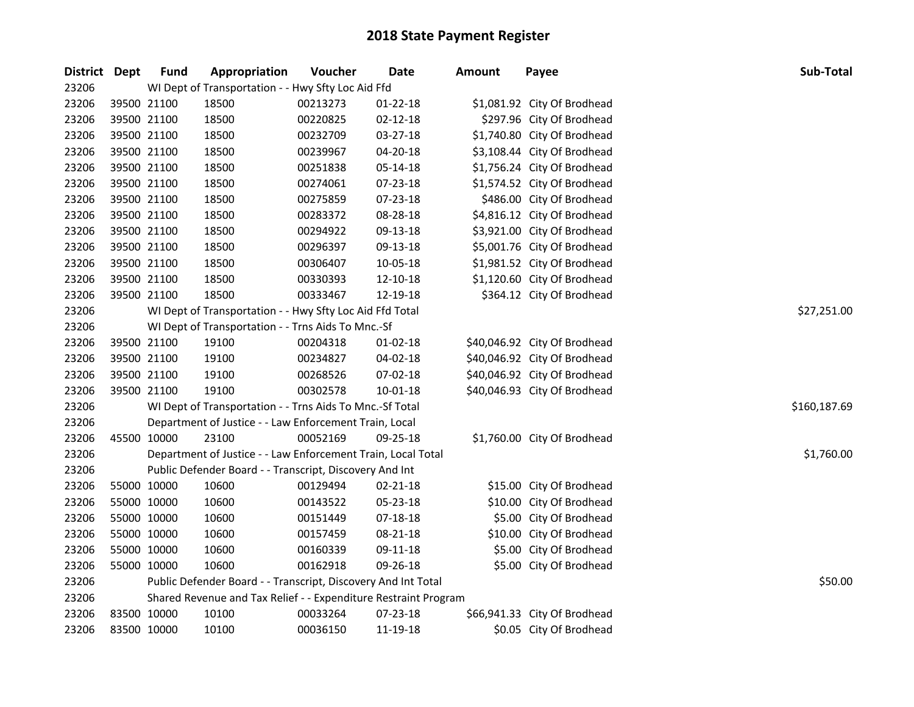| District Dept |             | <b>Fund</b> | Appropriation                                                   | Voucher  | <b>Date</b>    | <b>Amount</b> | Payee                        | Sub-Total    |
|---------------|-------------|-------------|-----------------------------------------------------------------|----------|----------------|---------------|------------------------------|--------------|
| 23206         |             |             | WI Dept of Transportation - - Hwy Sfty Loc Aid Ffd              |          |                |               |                              |              |
| 23206         | 39500 21100 |             | 18500                                                           | 00213273 | $01 - 22 - 18$ |               | \$1,081.92 City Of Brodhead  |              |
| 23206         | 39500 21100 |             | 18500                                                           | 00220825 | $02 - 12 - 18$ |               | \$297.96 City Of Brodhead    |              |
| 23206         | 39500 21100 |             | 18500                                                           | 00232709 | 03-27-18       |               | \$1,740.80 City Of Brodhead  |              |
| 23206         | 39500 21100 |             | 18500                                                           | 00239967 | $04 - 20 - 18$ |               | \$3,108.44 City Of Brodhead  |              |
| 23206         | 39500 21100 |             | 18500                                                           | 00251838 | 05-14-18       |               | \$1,756.24 City Of Brodhead  |              |
| 23206         | 39500 21100 |             | 18500                                                           | 00274061 | 07-23-18       |               | \$1,574.52 City Of Brodhead  |              |
| 23206         | 39500 21100 |             | 18500                                                           | 00275859 | 07-23-18       |               | \$486.00 City Of Brodhead    |              |
| 23206         | 39500 21100 |             | 18500                                                           | 00283372 | 08-28-18       |               | \$4,816.12 City Of Brodhead  |              |
| 23206         | 39500 21100 |             | 18500                                                           | 00294922 | 09-13-18       |               | \$3,921.00 City Of Brodhead  |              |
| 23206         | 39500 21100 |             | 18500                                                           | 00296397 | 09-13-18       |               | \$5,001.76 City Of Brodhead  |              |
| 23206         | 39500 21100 |             | 18500                                                           | 00306407 | 10-05-18       |               | \$1,981.52 City Of Brodhead  |              |
| 23206         | 39500 21100 |             | 18500                                                           | 00330393 | 12-10-18       |               | \$1,120.60 City Of Brodhead  |              |
| 23206         | 39500 21100 |             | 18500                                                           | 00333467 | 12-19-18       |               | \$364.12 City Of Brodhead    |              |
| 23206         |             |             | WI Dept of Transportation - - Hwy Sfty Loc Aid Ffd Total        |          | \$27,251.00    |               |                              |              |
| 23206         |             |             | WI Dept of Transportation - - Trns Aids To Mnc.-Sf              |          |                |               |                              |              |
| 23206         | 39500 21100 |             | 19100                                                           | 00204318 | $01-02-18$     |               | \$40,046.92 City Of Brodhead |              |
| 23206         | 39500 21100 |             | 19100                                                           | 00234827 | $04 - 02 - 18$ |               | \$40,046.92 City Of Brodhead |              |
| 23206         | 39500 21100 |             | 19100                                                           | 00268526 | $07-02-18$     |               | \$40,046.92 City Of Brodhead |              |
| 23206         | 39500 21100 |             | 19100                                                           | 00302578 | 10-01-18       |               | \$40,046.93 City Of Brodhead |              |
| 23206         |             |             | WI Dept of Transportation - - Trns Aids To Mnc.-Sf Total        |          |                |               |                              | \$160,187.69 |
| 23206         |             |             | Department of Justice - - Law Enforcement Train, Local          |          |                |               |                              |              |
| 23206         | 45500 10000 |             | 23100                                                           | 00052169 | 09-25-18       |               | \$1,760.00 City Of Brodhead  |              |
| 23206         |             |             | Department of Justice - - Law Enforcement Train, Local Total    |          |                |               |                              | \$1,760.00   |
| 23206         |             |             | Public Defender Board - - Transcript, Discovery And Int         |          |                |               |                              |              |
| 23206         | 55000 10000 |             | 10600                                                           | 00129494 | 02-21-18       |               | \$15.00 City Of Brodhead     |              |
| 23206         | 55000 10000 |             | 10600                                                           | 00143522 | 05-23-18       |               | \$10.00 City Of Brodhead     |              |
| 23206         | 55000 10000 |             | 10600                                                           | 00151449 | 07-18-18       |               | \$5.00 City Of Brodhead      |              |
| 23206         | 55000 10000 |             | 10600                                                           | 00157459 | 08-21-18       |               | \$10.00 City Of Brodhead     |              |
| 23206         | 55000 10000 |             | 10600                                                           | 00160339 | 09-11-18       |               | \$5.00 City Of Brodhead      |              |
| 23206         | 55000 10000 |             | 10600                                                           | 00162918 | 09-26-18       |               | \$5.00 City Of Brodhead      |              |
| 23206         |             |             | Public Defender Board - - Transcript, Discovery And Int Total   |          |                |               |                              | \$50.00      |
| 23206         |             |             | Shared Revenue and Tax Relief - - Expenditure Restraint Program |          |                |               |                              |              |
| 23206         | 83500 10000 |             | 10100                                                           | 00033264 | 07-23-18       |               | \$66,941.33 City Of Brodhead |              |
| 23206         | 83500 10000 |             | 10100                                                           | 00036150 | 11-19-18       |               | \$0.05 City Of Brodhead      |              |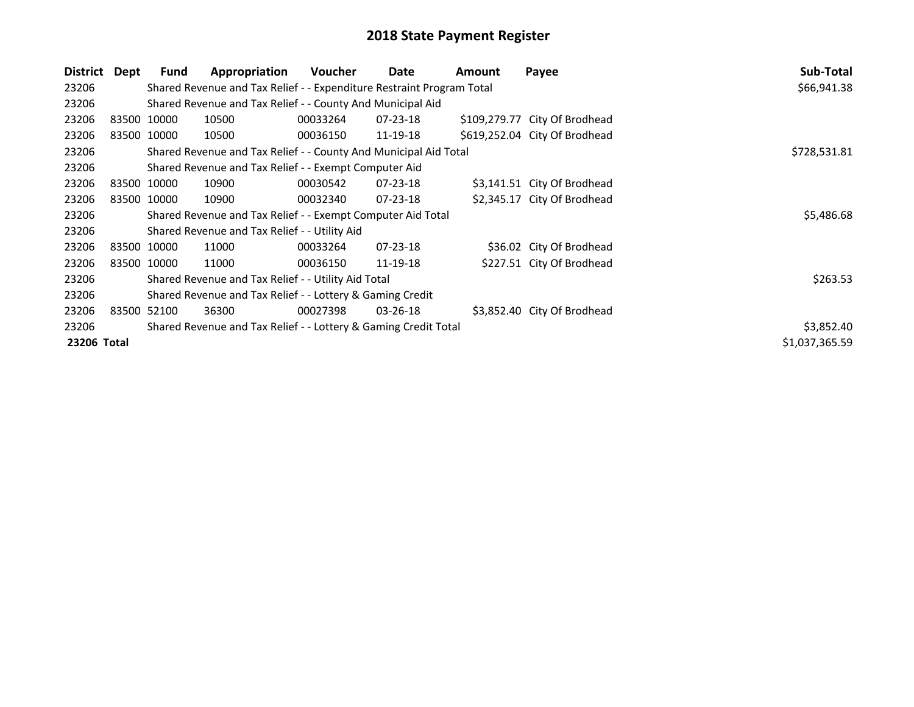| District Dept | Fund        | Appropriation                                                         | Voucher    | Date           | Amount | Payee                         | Sub-Total      |
|---------------|-------------|-----------------------------------------------------------------------|------------|----------------|--------|-------------------------------|----------------|
| 23206         |             | Shared Revenue and Tax Relief - - Expenditure Restraint Program Total |            |                |        |                               | \$66,941.38    |
| 23206         |             | Shared Revenue and Tax Relief - - County And Municipal Aid            |            |                |        |                               |                |
| 23206         | 83500 10000 | 10500                                                                 | 00033264   | 07-23-18       |        | \$109,279.77 City Of Brodhead |                |
| 23206         | 83500 10000 | 10500                                                                 | 00036150   | 11-19-18       |        | \$619,252.04 City Of Brodhead |                |
| 23206         |             | Shared Revenue and Tax Relief - - County And Municipal Aid Total      |            |                |        |                               | \$728,531.81   |
| 23206         |             | Shared Revenue and Tax Relief - - Exempt Computer Aid                 |            |                |        |                               |                |
| 23206         | 83500 10000 | 10900                                                                 | 00030542   | $07 - 23 - 18$ |        | \$3,141.51 City Of Brodhead   |                |
| 23206         | 83500 10000 | 10900                                                                 | 00032340   | $07 - 23 - 18$ |        | \$2,345.17 City Of Brodhead   |                |
| 23206         |             | Shared Revenue and Tax Relief - - Exempt Computer Aid Total           |            |                |        |                               | \$5,486.68     |
| 23206         |             | Shared Revenue and Tax Relief - - Utility Aid                         |            |                |        |                               |                |
| 23206         | 83500 10000 | 11000                                                                 | 00033264   | $07 - 23 - 18$ |        | \$36.02 City Of Brodhead      |                |
| 23206         | 83500 10000 | 11000                                                                 | 00036150   | 11-19-18       |        | \$227.51 City Of Brodhead     |                |
| 23206         |             | Shared Revenue and Tax Relief - - Utility Aid Total                   |            |                |        |                               | \$263.53       |
| 23206         |             | Shared Revenue and Tax Relief - - Lottery & Gaming Credit             |            |                |        |                               |                |
| 23206         | 83500 52100 | 36300                                                                 | 00027398   | $03 - 26 - 18$ |        | \$3,852.40 City Of Brodhead   |                |
| 23206         |             | Shared Revenue and Tax Relief - - Lottery & Gaming Credit Total       | \$3,852.40 |                |        |                               |                |
| 23206 Total   |             |                                                                       |            |                |        |                               | \$1,037,365.59 |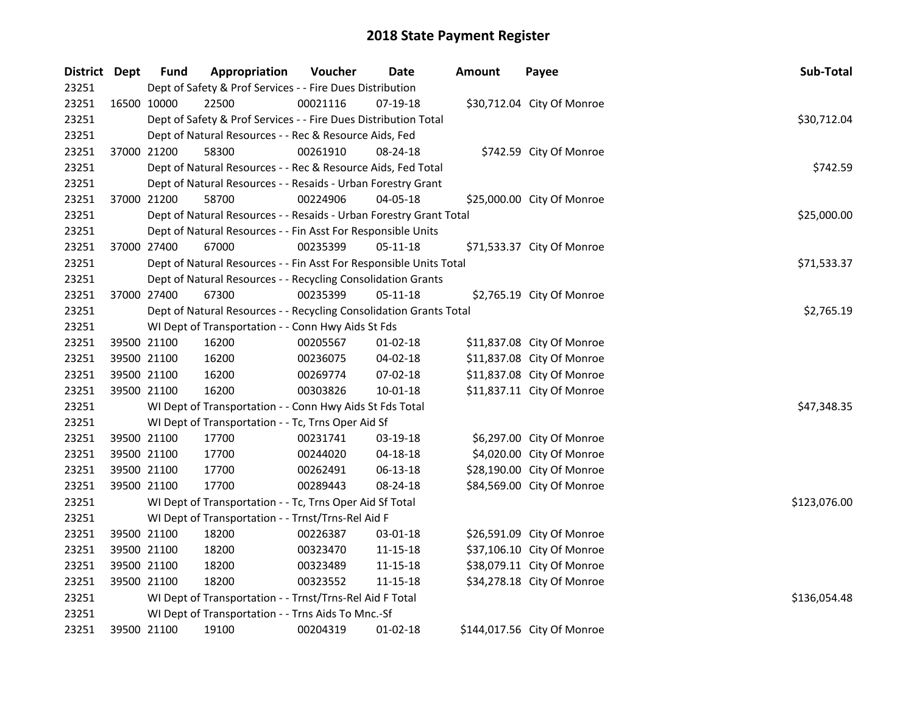| District Dept | <b>Fund</b> | Appropriation                                                      | Voucher  | Date       | <b>Amount</b> | Payee                       | Sub-Total    |
|---------------|-------------|--------------------------------------------------------------------|----------|------------|---------------|-----------------------------|--------------|
| 23251         |             | Dept of Safety & Prof Services - - Fire Dues Distribution          |          |            |               |                             |              |
| 23251         | 16500 10000 | 22500                                                              | 00021116 | 07-19-18   |               | \$30,712.04 City Of Monroe  |              |
| 23251         |             | Dept of Safety & Prof Services - - Fire Dues Distribution Total    |          |            |               |                             | \$30,712.04  |
| 23251         |             | Dept of Natural Resources - - Rec & Resource Aids, Fed             |          |            |               |                             |              |
| 23251         | 37000 21200 | 58300                                                              | 00261910 | 08-24-18   |               | \$742.59 City Of Monroe     |              |
| 23251         |             | Dept of Natural Resources - - Rec & Resource Aids, Fed Total       |          |            |               |                             | \$742.59     |
| 23251         |             | Dept of Natural Resources - - Resaids - Urban Forestry Grant       |          |            |               |                             |              |
| 23251         | 37000 21200 | 58700                                                              | 00224906 | 04-05-18   |               | \$25,000.00 City Of Monroe  |              |
| 23251         |             | Dept of Natural Resources - - Resaids - Urban Forestry Grant Total |          |            |               |                             | \$25,000.00  |
| 23251         |             | Dept of Natural Resources - - Fin Asst For Responsible Units       |          |            |               |                             |              |
| 23251         | 37000 27400 | 67000                                                              | 00235399 | 05-11-18   |               | \$71,533.37 City Of Monroe  |              |
| 23251         |             | Dept of Natural Resources - - Fin Asst For Responsible Units Total |          |            |               |                             | \$71,533.37  |
| 23251         |             | Dept of Natural Resources - - Recycling Consolidation Grants       |          |            |               |                             |              |
| 23251         | 37000 27400 | 67300                                                              | 00235399 | 05-11-18   |               | \$2,765.19 City Of Monroe   |              |
| 23251         |             | Dept of Natural Resources - - Recycling Consolidation Grants Total |          |            |               |                             | \$2,765.19   |
| 23251         |             | WI Dept of Transportation - - Conn Hwy Aids St Fds                 |          |            |               |                             |              |
| 23251         | 39500 21100 | 16200                                                              | 00205567 | $01-02-18$ |               | \$11,837.08 City Of Monroe  |              |
| 23251         | 39500 21100 | 16200                                                              | 00236075 | 04-02-18   |               | \$11,837.08 City Of Monroe  |              |
| 23251         | 39500 21100 | 16200                                                              | 00269774 | 07-02-18   |               | \$11,837.08 City Of Monroe  |              |
| 23251         | 39500 21100 | 16200                                                              | 00303826 | 10-01-18   |               | \$11,837.11 City Of Monroe  |              |
| 23251         |             | WI Dept of Transportation - - Conn Hwy Aids St Fds Total           |          |            |               |                             | \$47,348.35  |
| 23251         |             | WI Dept of Transportation - - Tc, Trns Oper Aid Sf                 |          |            |               |                             |              |
| 23251         | 39500 21100 | 17700                                                              | 00231741 | 03-19-18   |               | \$6,297.00 City Of Monroe   |              |
| 23251         | 39500 21100 | 17700                                                              | 00244020 | 04-18-18   |               | \$4,020.00 City Of Monroe   |              |
| 23251         | 39500 21100 | 17700                                                              | 00262491 | 06-13-18   |               | \$28,190.00 City Of Monroe  |              |
| 23251         | 39500 21100 | 17700                                                              | 00289443 | 08-24-18   |               | \$84,569.00 City Of Monroe  |              |
| 23251         |             | WI Dept of Transportation - - Tc, Trns Oper Aid Sf Total           |          |            |               |                             | \$123,076.00 |
| 23251         |             | WI Dept of Transportation - - Trnst/Trns-Rel Aid F                 |          |            |               |                             |              |
| 23251         | 39500 21100 | 18200                                                              | 00226387 | 03-01-18   |               | \$26,591.09 City Of Monroe  |              |
| 23251         | 39500 21100 | 18200                                                              | 00323470 | 11-15-18   |               | \$37,106.10 City Of Monroe  |              |
| 23251         | 39500 21100 | 18200                                                              | 00323489 | 11-15-18   |               | \$38,079.11 City Of Monroe  |              |
| 23251         | 39500 21100 | 18200                                                              | 00323552 | 11-15-18   |               | \$34,278.18 City Of Monroe  |              |
| 23251         |             | WI Dept of Transportation - - Trnst/Trns-Rel Aid F Total           |          |            |               |                             | \$136,054.48 |
| 23251         |             | WI Dept of Transportation - - Trns Aids To Mnc.-Sf                 |          |            |               |                             |              |
| 23251         | 39500 21100 | 19100                                                              | 00204319 | $01-02-18$ |               | \$144,017.56 City Of Monroe |              |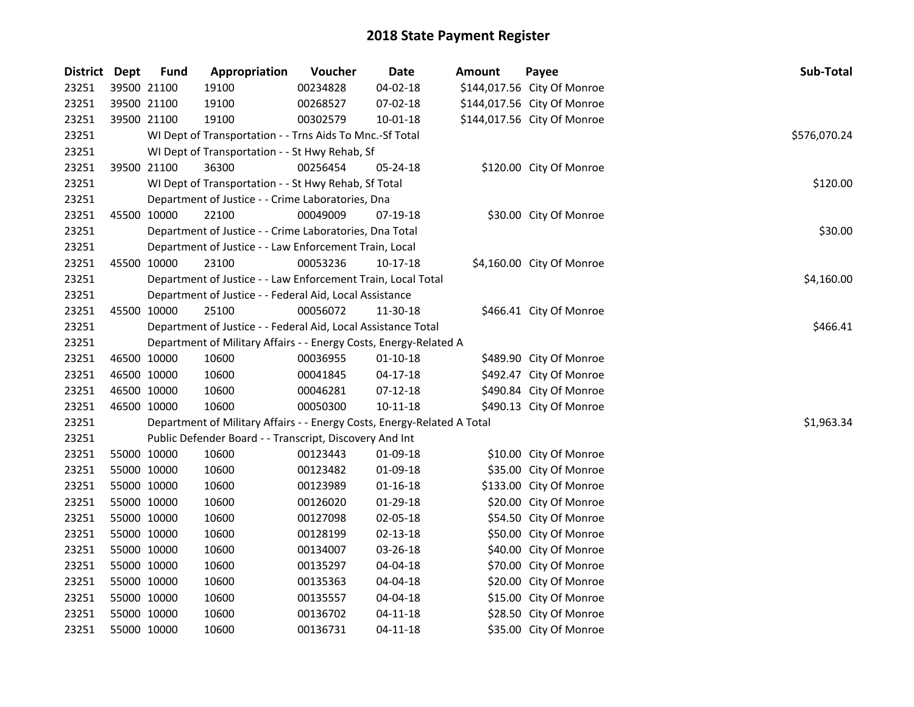| District Dept | <b>Fund</b> | Appropriation                                                             | Voucher  | <b>Date</b>    | Amount | Payee                       | Sub-Total    |  |  |  |  |
|---------------|-------------|---------------------------------------------------------------------------|----------|----------------|--------|-----------------------------|--------------|--|--|--|--|
| 23251         | 39500 21100 | 19100                                                                     | 00234828 | 04-02-18       |        | \$144,017.56 City Of Monroe |              |  |  |  |  |
| 23251         | 39500 21100 | 19100                                                                     | 00268527 | 07-02-18       |        | \$144,017.56 City Of Monroe |              |  |  |  |  |
| 23251         | 39500 21100 | 19100                                                                     | 00302579 | $10 - 01 - 18$ |        | \$144,017.56 City Of Monroe |              |  |  |  |  |
| 23251         |             | WI Dept of Transportation - - Trns Aids To Mnc.-Sf Total                  |          |                |        |                             | \$576,070.24 |  |  |  |  |
| 23251         |             | WI Dept of Transportation - - St Hwy Rehab, Sf                            |          |                |        |                             |              |  |  |  |  |
| 23251         | 39500 21100 | 36300                                                                     | 00256454 | 05-24-18       |        | \$120.00 City Of Monroe     |              |  |  |  |  |
| 23251         |             | WI Dept of Transportation - - St Hwy Rehab, Sf Total                      |          |                |        |                             | \$120.00     |  |  |  |  |
| 23251         |             | Department of Justice - - Crime Laboratories, Dna                         |          |                |        |                             |              |  |  |  |  |
| 23251         | 45500 10000 | 22100                                                                     | 00049009 | 07-19-18       |        | \$30.00 City Of Monroe      |              |  |  |  |  |
| 23251         |             | Department of Justice - - Crime Laboratories, Dna Total                   |          |                |        |                             | \$30.00      |  |  |  |  |
| 23251         |             | Department of Justice - - Law Enforcement Train, Local                    |          |                |        |                             |              |  |  |  |  |
| 23251         | 45500 10000 | 23100                                                                     | 00053236 | 10-17-18       |        | \$4,160.00 City Of Monroe   |              |  |  |  |  |
| 23251         |             | Department of Justice - - Law Enforcement Train, Local Total              |          |                |        |                             | \$4,160.00   |  |  |  |  |
| 23251         |             | Department of Justice - - Federal Aid, Local Assistance                   |          |                |        |                             |              |  |  |  |  |
| 23251         | 45500 10000 | 25100                                                                     | 00056072 | 11-30-18       |        | \$466.41 City Of Monroe     |              |  |  |  |  |
| 23251         |             | Department of Justice - - Federal Aid, Local Assistance Total<br>\$466.41 |          |                |        |                             |              |  |  |  |  |
| 23251         |             | Department of Military Affairs - - Energy Costs, Energy-Related A         |          |                |        |                             |              |  |  |  |  |
| 23251         | 46500 10000 | 10600                                                                     | 00036955 | $01 - 10 - 18$ |        | \$489.90 City Of Monroe     |              |  |  |  |  |
| 23251         | 46500 10000 | 10600                                                                     | 00041845 | $04 - 17 - 18$ |        | \$492.47 City Of Monroe     |              |  |  |  |  |
| 23251         | 46500 10000 | 10600                                                                     | 00046281 | 07-12-18       |        | \$490.84 City Of Monroe     |              |  |  |  |  |
| 23251         | 46500 10000 | 10600                                                                     | 00050300 | $10 - 11 - 18$ |        | \$490.13 City Of Monroe     |              |  |  |  |  |
| 23251         |             | Department of Military Affairs - - Energy Costs, Energy-Related A Total   |          |                |        |                             | \$1,963.34   |  |  |  |  |
| 23251         |             | Public Defender Board - - Transcript, Discovery And Int                   |          |                |        |                             |              |  |  |  |  |
| 23251         | 55000 10000 | 10600                                                                     | 00123443 | 01-09-18       |        | \$10.00 City Of Monroe      |              |  |  |  |  |
| 23251         | 55000 10000 | 10600                                                                     | 00123482 | 01-09-18       |        | \$35.00 City Of Monroe      |              |  |  |  |  |
| 23251         | 55000 10000 | 10600                                                                     | 00123989 | $01 - 16 - 18$ |        | \$133.00 City Of Monroe     |              |  |  |  |  |
| 23251         | 55000 10000 | 10600                                                                     | 00126020 | 01-29-18       |        | \$20.00 City Of Monroe      |              |  |  |  |  |
| 23251         | 55000 10000 | 10600                                                                     | 00127098 | 02-05-18       |        | \$54.50 City Of Monroe      |              |  |  |  |  |
| 23251         | 55000 10000 | 10600                                                                     | 00128199 | 02-13-18       |        | \$50.00 City Of Monroe      |              |  |  |  |  |
| 23251         | 55000 10000 | 10600                                                                     | 00134007 | 03-26-18       |        | \$40.00 City Of Monroe      |              |  |  |  |  |
| 23251         | 55000 10000 | 10600                                                                     | 00135297 | 04-04-18       |        | \$70.00 City Of Monroe      |              |  |  |  |  |
| 23251         | 55000 10000 | 10600                                                                     | 00135363 | 04-04-18       |        | \$20.00 City Of Monroe      |              |  |  |  |  |
| 23251         | 55000 10000 | 10600                                                                     | 00135557 | 04-04-18       |        | \$15.00 City Of Monroe      |              |  |  |  |  |
| 23251         | 55000 10000 | 10600                                                                     | 00136702 | $04 - 11 - 18$ |        | \$28.50 City Of Monroe      |              |  |  |  |  |
| 23251         | 55000 10000 | 10600                                                                     | 00136731 | $04 - 11 - 18$ |        | \$35.00 City Of Monroe      |              |  |  |  |  |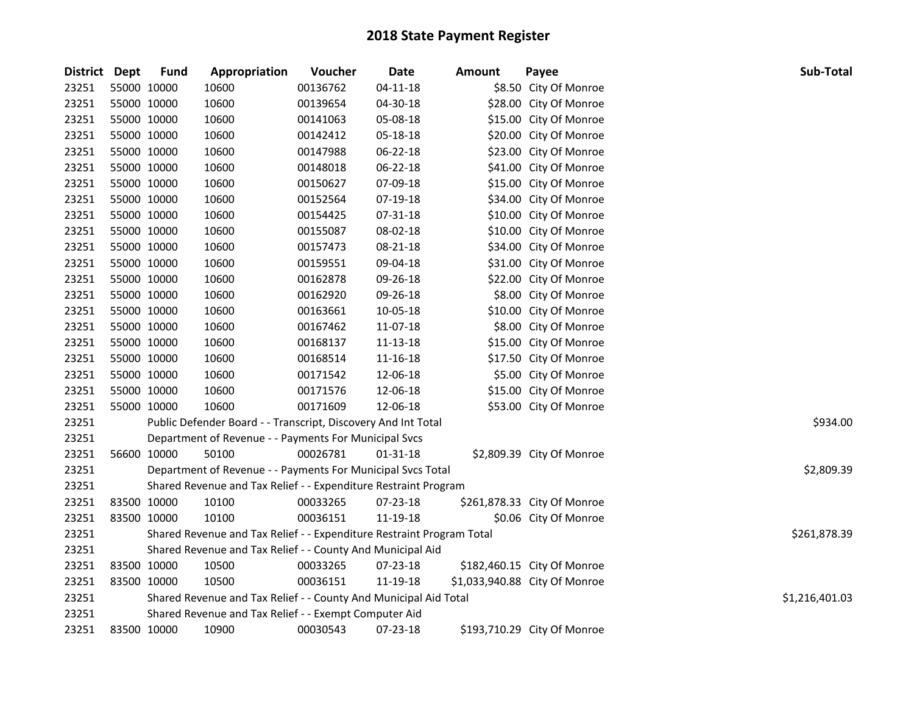| District Dept | <b>Fund</b> | Appropriation                                                         | Voucher  | <b>Date</b>    | <b>Amount</b> | Payee                         | Sub-Total      |
|---------------|-------------|-----------------------------------------------------------------------|----------|----------------|---------------|-------------------------------|----------------|
| 23251         | 55000 10000 | 10600                                                                 | 00136762 | $04 - 11 - 18$ |               | \$8.50 City Of Monroe         |                |
| 23251         | 55000 10000 | 10600                                                                 | 00139654 | 04-30-18       |               | \$28.00 City Of Monroe        |                |
| 23251         | 55000 10000 | 10600                                                                 | 00141063 | 05-08-18       |               | \$15.00 City Of Monroe        |                |
| 23251         | 55000 10000 | 10600                                                                 | 00142412 | 05-18-18       |               | \$20.00 City Of Monroe        |                |
| 23251         | 55000 10000 | 10600                                                                 | 00147988 | 06-22-18       |               | \$23.00 City Of Monroe        |                |
| 23251         | 55000 10000 | 10600                                                                 | 00148018 | 06-22-18       |               | \$41.00 City Of Monroe        |                |
| 23251         | 55000 10000 | 10600                                                                 | 00150627 | 07-09-18       |               | \$15.00 City Of Monroe        |                |
| 23251         | 55000 10000 | 10600                                                                 | 00152564 | 07-19-18       |               | \$34.00 City Of Monroe        |                |
| 23251         | 55000 10000 | 10600                                                                 | 00154425 | 07-31-18       |               | \$10.00 City Of Monroe        |                |
| 23251         | 55000 10000 | 10600                                                                 | 00155087 | 08-02-18       |               | \$10.00 City Of Monroe        |                |
| 23251         | 55000 10000 | 10600                                                                 | 00157473 | 08-21-18       |               | \$34.00 City Of Monroe        |                |
| 23251         | 55000 10000 | 10600                                                                 | 00159551 | 09-04-18       |               | \$31.00 City Of Monroe        |                |
| 23251         | 55000 10000 | 10600                                                                 | 00162878 | 09-26-18       |               | \$22.00 City Of Monroe        |                |
| 23251         | 55000 10000 | 10600                                                                 | 00162920 | 09-26-18       |               | \$8.00 City Of Monroe         |                |
| 23251         | 55000 10000 | 10600                                                                 | 00163661 | 10-05-18       |               | \$10.00 City Of Monroe        |                |
| 23251         | 55000 10000 | 10600                                                                 | 00167462 | 11-07-18       |               | \$8.00 City Of Monroe         |                |
| 23251         | 55000 10000 | 10600                                                                 | 00168137 | 11-13-18       |               | \$15.00 City Of Monroe        |                |
| 23251         | 55000 10000 | 10600                                                                 | 00168514 | 11-16-18       |               | \$17.50 City Of Monroe        |                |
| 23251         | 55000 10000 | 10600                                                                 | 00171542 | 12-06-18       |               | \$5.00 City Of Monroe         |                |
| 23251         | 55000 10000 | 10600                                                                 | 00171576 | 12-06-18       |               | \$15.00 City Of Monroe        |                |
| 23251         | 55000 10000 | 10600                                                                 | 00171609 | 12-06-18       |               | \$53.00 City Of Monroe        |                |
| 23251         |             | Public Defender Board - - Transcript, Discovery And Int Total         |          |                |               |                               | \$934.00       |
| 23251         |             | Department of Revenue - - Payments For Municipal Svcs                 |          |                |               |                               |                |
| 23251         | 56600 10000 | 50100                                                                 | 00026781 | $01 - 31 - 18$ |               | \$2,809.39 City Of Monroe     |                |
| 23251         |             | Department of Revenue - - Payments For Municipal Svcs Total           |          |                |               |                               | \$2,809.39     |
| 23251         |             | Shared Revenue and Tax Relief - - Expenditure Restraint Program       |          |                |               |                               |                |
| 23251         | 83500 10000 | 10100                                                                 | 00033265 | 07-23-18       |               | \$261,878.33 City Of Monroe   |                |
| 23251         | 83500 10000 | 10100                                                                 | 00036151 | 11-19-18       |               | \$0.06 City Of Monroe         |                |
| 23251         |             | Shared Revenue and Tax Relief - - Expenditure Restraint Program Total |          |                |               |                               | \$261,878.39   |
| 23251         |             | Shared Revenue and Tax Relief - - County And Municipal Aid            |          |                |               |                               |                |
| 23251         | 83500 10000 | 10500                                                                 | 00033265 | 07-23-18       |               | \$182,460.15 City Of Monroe   |                |
| 23251         | 83500 10000 | 10500                                                                 | 00036151 | 11-19-18       |               | \$1,033,940.88 City Of Monroe |                |
| 23251         |             | Shared Revenue and Tax Relief - - County And Municipal Aid Total      |          |                |               |                               | \$1,216,401.03 |
| 23251         |             | Shared Revenue and Tax Relief - - Exempt Computer Aid                 |          |                |               |                               |                |
| 23251         | 83500 10000 | 10900                                                                 | 00030543 | 07-23-18       |               | \$193,710.29 City Of Monroe   |                |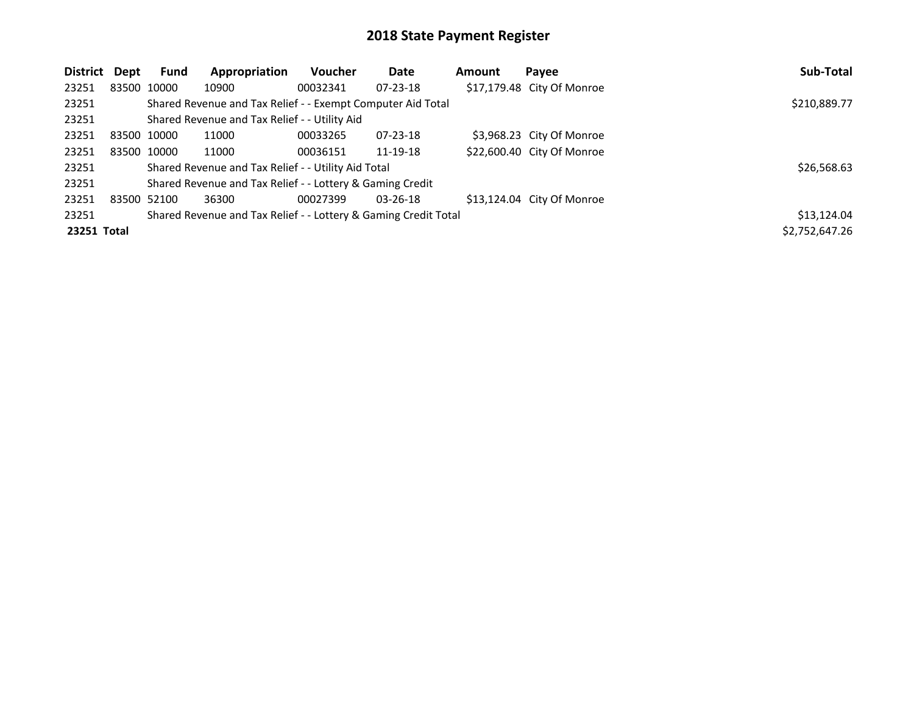| District    | Dept | <b>Fund</b> | Appropriation                                                   | <b>Voucher</b> | Date           | Amount | Payee                      | Sub-Total      |
|-------------|------|-------------|-----------------------------------------------------------------|----------------|----------------|--------|----------------------------|----------------|
| 23251       |      | 83500 10000 | 10900                                                           | 00032341       | $07 - 23 - 18$ |        | \$17,179.48 City Of Monroe |                |
| 23251       |      |             | Shared Revenue and Tax Relief - - Exempt Computer Aid Total     |                |                |        |                            | \$210,889.77   |
| 23251       |      |             | Shared Revenue and Tax Relief - - Utility Aid                   |                |                |        |                            |                |
| 23251       |      | 83500 10000 | 11000                                                           | 00033265       | $07 - 23 - 18$ |        | \$3,968.23 City Of Monroe  |                |
| 23251       |      | 83500 10000 | 11000                                                           | 00036151       | 11-19-18       |        | \$22,600.40 City Of Monroe |                |
| 23251       |      |             | Shared Revenue and Tax Relief - - Utility Aid Total             |                |                |        |                            | \$26,568.63    |
| 23251       |      |             | Shared Revenue and Tax Relief - - Lottery & Gaming Credit       |                |                |        |                            |                |
| 23251       |      | 83500 52100 | 36300                                                           | 00027399       | $03 - 26 - 18$ |        | \$13,124.04 City Of Monroe |                |
| 23251       |      |             | Shared Revenue and Tax Relief - - Lottery & Gaming Credit Total |                |                |        |                            | \$13,124.04    |
| 23251 Total |      |             |                                                                 |                |                |        |                            | \$2,752,647.26 |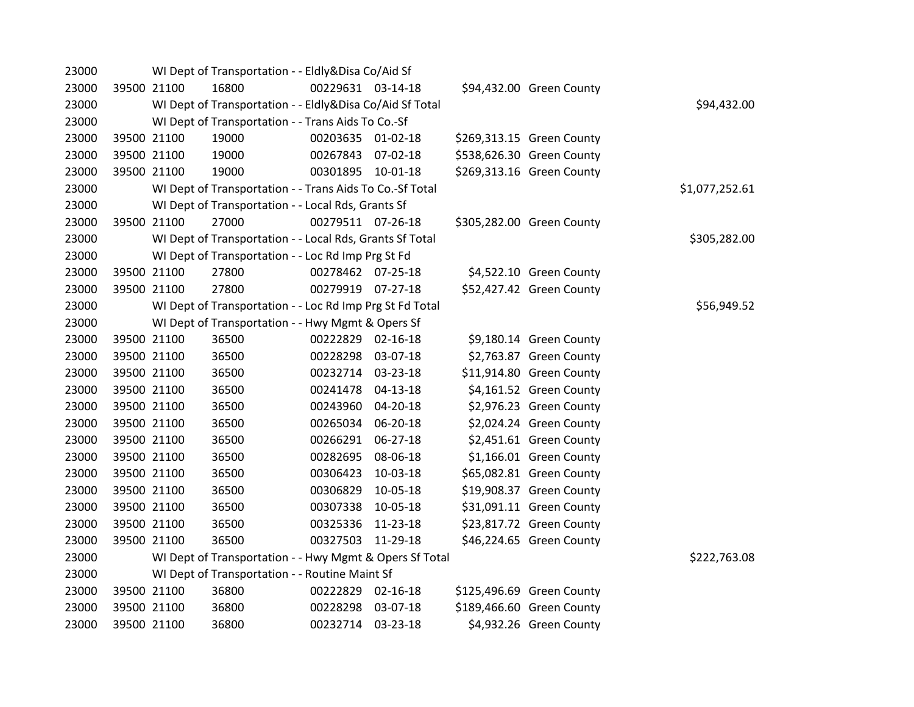| 23000 |             | WI Dept of Transportation - - Eldly&Disa Co/Aid Sf       |                   |                |                           |                |
|-------|-------------|----------------------------------------------------------|-------------------|----------------|---------------------------|----------------|
| 23000 | 39500 21100 | 16800                                                    | 00229631 03-14-18 |                | \$94,432.00 Green County  |                |
| 23000 |             | WI Dept of Transportation - - Eldly&Disa Co/Aid Sf Total |                   |                |                           | \$94,432.00    |
| 23000 |             | WI Dept of Transportation - - Trans Aids To Co.-Sf       |                   |                |                           |                |
| 23000 | 39500 21100 | 19000                                                    | 00203635 01-02-18 |                | \$269,313.15 Green County |                |
| 23000 | 39500 21100 | 19000                                                    | 00267843 07-02-18 |                | \$538,626.30 Green County |                |
| 23000 | 39500 21100 | 19000                                                    | 00301895 10-01-18 |                | \$269,313.16 Green County |                |
| 23000 |             | WI Dept of Transportation - - Trans Aids To Co.-Sf Total |                   |                |                           | \$1,077,252.61 |
| 23000 |             | WI Dept of Transportation - - Local Rds, Grants Sf       |                   |                |                           |                |
| 23000 | 39500 21100 | 27000                                                    | 00279511 07-26-18 |                | \$305,282.00 Green County |                |
| 23000 |             | WI Dept of Transportation - - Local Rds, Grants Sf Total |                   |                |                           | \$305,282.00   |
| 23000 |             | WI Dept of Transportation - - Loc Rd Imp Prg St Fd       |                   |                |                           |                |
| 23000 | 39500 21100 | 27800                                                    | 00278462 07-25-18 |                | \$4,522.10 Green County   |                |
| 23000 | 39500 21100 | 27800                                                    | 00279919 07-27-18 |                | \$52,427.42 Green County  |                |
| 23000 |             | WI Dept of Transportation - - Loc Rd Imp Prg St Fd Total |                   |                |                           | \$56,949.52    |
| 23000 |             | WI Dept of Transportation - - Hwy Mgmt & Opers Sf        |                   |                |                           |                |
| 23000 | 39500 21100 | 36500                                                    | 00222829          | $02 - 16 - 18$ | \$9,180.14 Green County   |                |
| 23000 | 39500 21100 | 36500                                                    | 00228298          | 03-07-18       | \$2,763.87 Green County   |                |
| 23000 | 39500 21100 | 36500                                                    | 00232714          | 03-23-18       | \$11,914.80 Green County  |                |
| 23000 | 39500 21100 | 36500                                                    | 00241478 04-13-18 |                | \$4,161.52 Green County   |                |
| 23000 | 39500 21100 | 36500                                                    | 00243960          | 04-20-18       | \$2,976.23 Green County   |                |
| 23000 | 39500 21100 | 36500                                                    | 00265034          | 06-20-18       | \$2,024.24 Green County   |                |
| 23000 | 39500 21100 | 36500                                                    | 00266291          | 06-27-18       | \$2,451.61 Green County   |                |
| 23000 | 39500 21100 | 36500                                                    | 00282695          | 08-06-18       | \$1,166.01 Green County   |                |
| 23000 | 39500 21100 | 36500                                                    | 00306423          | 10-03-18       | \$65,082.81 Green County  |                |
| 23000 | 39500 21100 | 36500                                                    | 00306829          | 10-05-18       | \$19,908.37 Green County  |                |
| 23000 | 39500 21100 | 36500                                                    | 00307338          | 10-05-18       | \$31,091.11 Green County  |                |
| 23000 | 39500 21100 | 36500                                                    | 00325336          | 11-23-18       | \$23,817.72 Green County  |                |
| 23000 | 39500 21100 | 36500                                                    | 00327503 11-29-18 |                | \$46,224.65 Green County  |                |
| 23000 |             | WI Dept of Transportation - - Hwy Mgmt & Opers Sf Total  |                   |                |                           | \$222,763.08   |
| 23000 |             | WI Dept of Transportation - - Routine Maint Sf           |                   |                |                           |                |
| 23000 | 39500 21100 | 36800                                                    | 00222829          | 02-16-18       | \$125,496.69 Green County |                |
| 23000 | 39500 21100 | 36800                                                    | 00228298          | 03-07-18       | \$189,466.60 Green County |                |
| 23000 | 39500 21100 | 36800                                                    | 00232714 03-23-18 |                | \$4,932.26 Green County   |                |